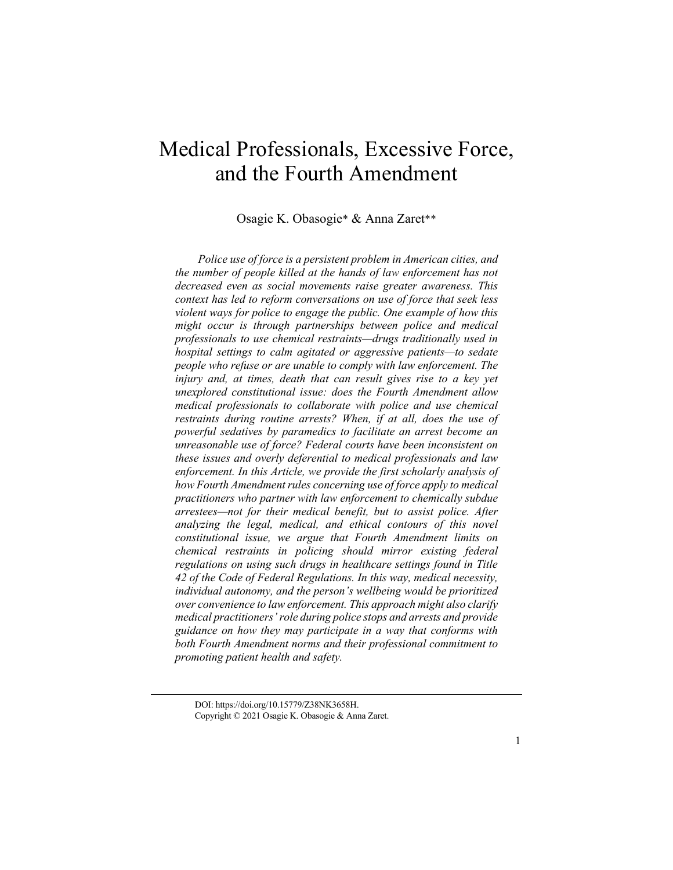# Medical Professionals, Excessive Force, and the Fourth Amendment

Osagie K. Obasogie\* & Anna Zaret\*\*

*Police use of force is a persistent problem in American cities, and the number of people killed at the hands of law enforcement has not decreased even as social movements raise greater awareness. This context has led to reform conversations on use of force that seek less violent ways for police to engage the public. One example of how this might occur is through partnerships between police and medical professionals to use chemical restraints—drugs traditionally used in hospital settings to calm agitated or aggressive patients—to sedate people who refuse or are unable to comply with law enforcement. The injury and, at times, death that can result gives rise to a key yet unexplored constitutional issue: does the Fourth Amendment allow medical professionals to collaborate with police and use chemical restraints during routine arrests? When, if at all, does the use of powerful sedatives by paramedics to facilitate an arrest become an unreasonable use of force? Federal courts have been inconsistent on these issues and overly deferential to medical professionals and law enforcement. In this Article, we provide the first scholarly analysis of how Fourth Amendment rules concerning use of force apply to medical practitioners who partner with law enforcement to chemically subdue arrestees—not for their medical benefit, but to assist police. After analyzing the legal, medical, and ethical contours of this novel constitutional issue, we argue that Fourth Amendment limits on chemical restraints in policing should mirror existing federal regulations on using such drugs in healthcare settings found in Title 42 of the Code of Federal Regulations. In this way, medical necessity, individual autonomy, and the person's wellbeing would be prioritized over convenience to law enforcement. This approach might also clarify medical practitioners' role during police stops and arrests and provide guidance on how they may participate in a way that conforms with both Fourth Amendment norms and their professional commitment to promoting patient health and safety.*

DOI: https://doi.org/10.15779/Z38NK3658H. Copyright © 2021 Osagie K. Obasogie & Anna Zaret.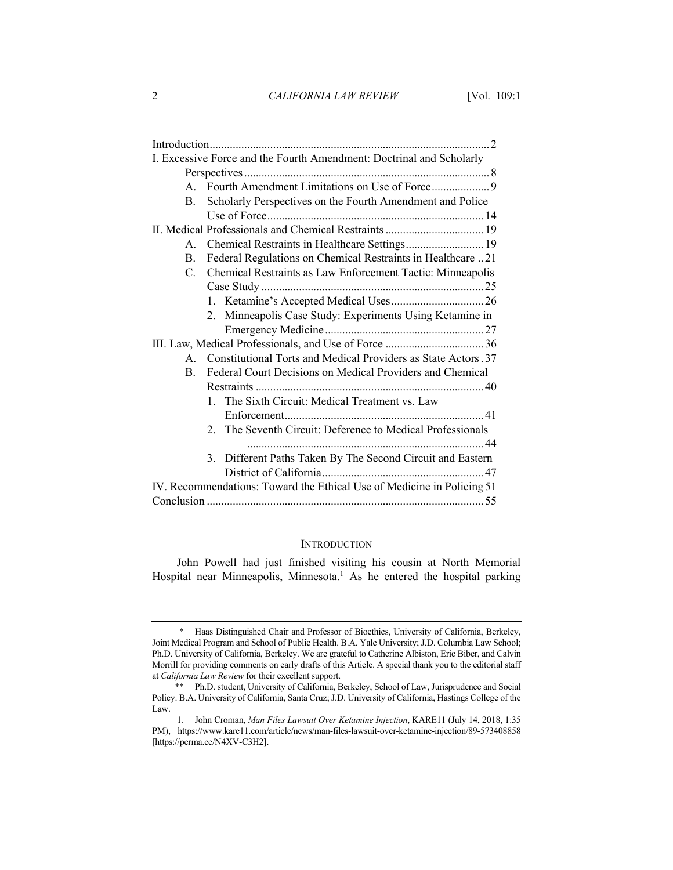|                                                                        | I. Excessive Force and the Fourth Amendment: Doctrinal and Scholarly |
|------------------------------------------------------------------------|----------------------------------------------------------------------|
|                                                                        |                                                                      |
|                                                                        |                                                                      |
| B.                                                                     | Scholarly Perspectives on the Fourth Amendment and Police            |
|                                                                        |                                                                      |
|                                                                        |                                                                      |
| $A_{1}$                                                                | Chemical Restraints in Healthcare Settings 19                        |
| B.                                                                     | Federal Regulations on Chemical Restraints in Healthcare 21          |
| $C_{\cdot}$                                                            | Chemical Restraints as Law Enforcement Tactic: Minneapolis           |
|                                                                        |                                                                      |
|                                                                        |                                                                      |
|                                                                        | 2. Minneapolis Case Study: Experiments Using Ketamine in             |
|                                                                        |                                                                      |
|                                                                        |                                                                      |
|                                                                        | A. Constitutional Torts and Medical Providers as State Actors. 37    |
| B.                                                                     | Federal Court Decisions on Medical Providers and Chemical            |
|                                                                        |                                                                      |
|                                                                        | 1. The Sixth Circuit: Medical Treatment vs. Law                      |
|                                                                        |                                                                      |
|                                                                        | 2. The Seventh Circuit: Deference to Medical Professionals           |
|                                                                        |                                                                      |
|                                                                        | 3. Different Paths Taken By The Second Circuit and Eastern           |
|                                                                        |                                                                      |
| IV. Recommendations: Toward the Ethical Use of Medicine in Policing 51 |                                                                      |
|                                                                        |                                                                      |

## INTRODUCTION

John Powell had just finished visiting his cousin at North Memorial Hospital near Minneapolis, Minnesota.<sup>1</sup> As he entered the hospital parking

<sup>\*</sup> Haas Distinguished Chair and Professor of Bioethics, University of California, Berkeley, Joint Medical Program and School of Public Health. B.A. Yale University; J.D. Columbia Law School; Ph.D. University of California, Berkeley. We are grateful to Catherine Albiston, Eric Biber, and Calvin Morrill for providing comments on early drafts of this Article. A special thank you to the editorial staff at *California Law Review* for their excellent support.

<sup>\*\*</sup> Ph.D. student, University of California, Berkeley, School of Law, Jurisprudence and Social Policy. B.A. University of California, Santa Cruz; J.D. University of California, Hastings College of the Law.

<sup>1.</sup> John Croman, *Man Files Lawsuit Over Ketamine Injection*, KARE11 (July 14, 2018, 1:35 PM), https://www.kare11.com/article/news/man-files-lawsuit-over-ketamine-injection/89-573408858 [https://perma.cc/N4XV-C3H2].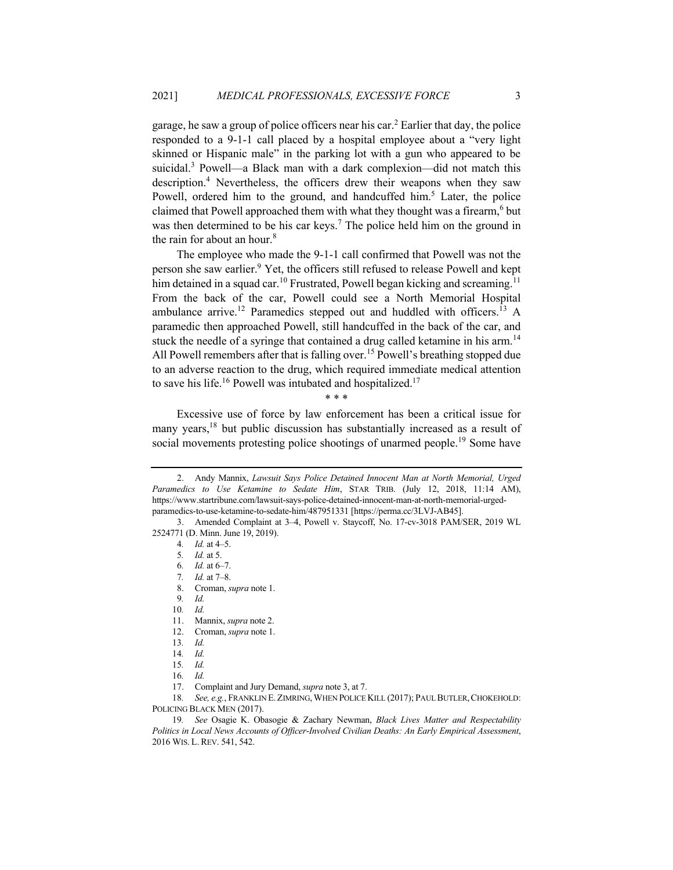garage, he saw a group of police officers near his car.<sup>2</sup> Earlier that day, the police responded to a 9-1-1 call placed by a hospital employee about a "very light skinned or Hispanic male" in the parking lot with a gun who appeared to be suicidal.<sup>3</sup> Powell—a Black man with a dark complexion—did not match this description.<sup>4</sup> Nevertheless, the officers drew their weapons when they saw Powell, ordered him to the ground, and handcuffed him.<sup>5</sup> Later, the police claimed that Powell approached them with what they thought was a firearm,<sup>6</sup> but was then determined to be his car keys.<sup>7</sup> The police held him on the ground in the rain for about an hour.<sup>8</sup>

The employee who made the 9-1-1 call confirmed that Powell was not the person she saw earlier.<sup>9</sup> Yet, the officers still refused to release Powell and kept him detained in a squad car.<sup>10</sup> Frustrated, Powell began kicking and screaming.<sup>11</sup> From the back of the car, Powell could see a North Memorial Hospital ambulance arrive.<sup>12</sup> Paramedics stepped out and huddled with officers.<sup>13</sup> A paramedic then approached Powell, still handcuffed in the back of the car, and stuck the needle of a syringe that contained a drug called ketamine in his arm.<sup>14</sup> All Powell remembers after that is falling over.<sup>15</sup> Powell's breathing stopped due to an adverse reaction to the drug, which required immediate medical attention to save his life.<sup>16</sup> Powell was intubated and hospitalized.<sup>17</sup>

\* \* \*

Excessive use of force by law enforcement has been a critical issue for many years,<sup>18</sup> but public discussion has substantially increased as a result of social movements protesting police shootings of unarmed people.<sup>19</sup> Some have

<sup>2.</sup> Andy Mannix, *Lawsuit Says Police Detained Innocent Man at North Memorial, Urged Paramedics to Use Ketamine to Sedate Him*, STAR TRIB. (July 12, 2018, 11:14 AM), https://www.startribune.com/lawsuit-says-police-detained-innocent-man-at-north-memorial-urgedparamedics-to-use-ketamine-to-sedate-him/487951331 [https://perma.cc/3LVJ-AB45].

<sup>3.</sup> Amended Complaint at 3–4, Powell v. Staycoff, No. 17-cv-3018 PAM/SER, 2019 WL 2524771 (D. Minn. June 19, 2019).

<sup>4</sup>*. Id.* at 4–5.

<sup>5</sup>*. Id.* at 5.

<sup>6</sup>*. Id.* at 6–7.

<sup>7</sup>*. Id.* at 7–8.

<sup>8.</sup> Croman, *supra* note 1.

<sup>9</sup>*. Id.*

<sup>10</sup>*. Id.*

<sup>11.</sup> Mannix, *supra* note 2.

Croman, *supra* note 1. 13*. Id.*

<sup>14</sup>*. Id.*

<sup>15</sup>*. Id.*

<sup>16</sup>*. Id.*

<sup>17.</sup> Complaint and Jury Demand, *supra* note 3, at 7.

<sup>18</sup>*. See, e.g.*, FRANKLIN E.ZIMRING,WHEN POLICE KILL (2017); PAUL BUTLER,CHOKEHOLD: POLICING BLACK MEN (2017).

<sup>19</sup>*. See* Osagie K. Obasogie & Zachary Newman, *Black Lives Matter and Respectability Politics in Local News Accounts of Officer-Involved Civilian Deaths: An Early Empirical Assessment*, 2016 WIS. L. REV. 541, 542.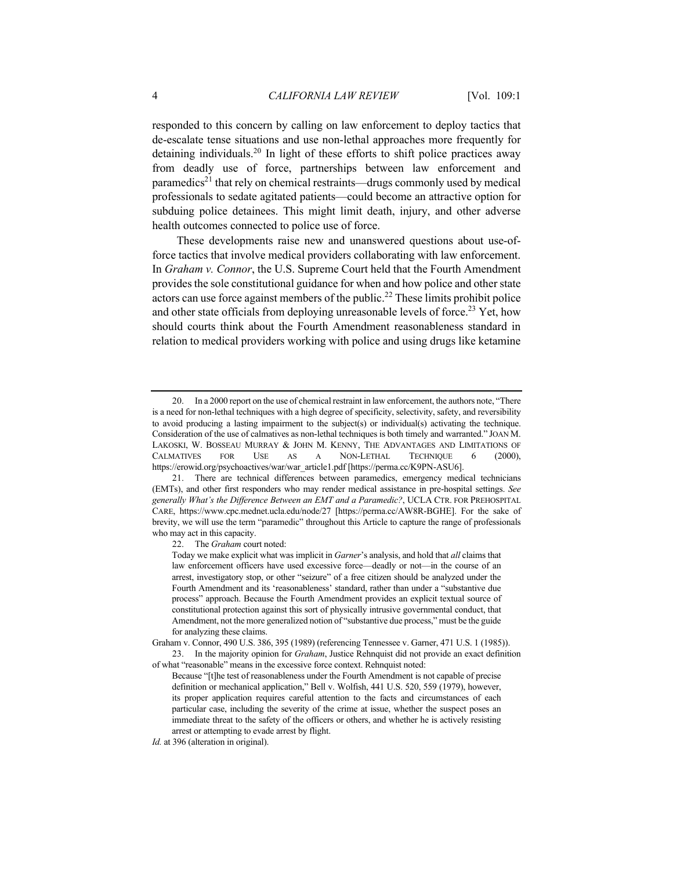responded to this concern by calling on law enforcement to deploy tactics that de-escalate tense situations and use non-lethal approaches more frequently for detaining individuals.<sup>20</sup> In light of these efforts to shift police practices away from deadly use of force, partnerships between law enforcement and paramedics<sup>21</sup> that rely on chemical restraints—drugs commonly used by medical professionals to sedate agitated patients—could become an attractive option for subduing police detainees. This might limit death, injury, and other adverse health outcomes connected to police use of force.

These developments raise new and unanswered questions about use-offorce tactics that involve medical providers collaborating with law enforcement. In *Graham v. Connor*, the U.S. Supreme Court held that the Fourth Amendment provides the sole constitutional guidance for when and how police and other state actors can use force against members of the public.<sup>22</sup> These limits prohibit police and other state officials from deploying unreasonable levels of force.<sup>23</sup> Yet, how should courts think about the Fourth Amendment reasonableness standard in relation to medical providers working with police and using drugs like ketamine

22. The *Graham* court noted:

of what "reasonable" means in the excessive force context. Rehnquist noted:

<sup>20.</sup> In a 2000 report on the use of chemical restraint in law enforcement, the authors note, "There is a need for non-lethal techniques with a high degree of specificity, selectivity, safety, and reversibility to avoid producing a lasting impairment to the subject(s) or individual(s) activating the technique. Consideration of the use of calmatives as non-lethal techniques is both timely and warranted." JOAN M. LAKOSKI, W. BOSSEAU MURRAY & JOHN M. KENNY, THE ADVANTAGES AND LIMITATIONS OF CALMATIVES FOR USE AS A NON-LETHAL TECHNIQUE 6 (2000), https://erowid.org/psychoactives/war/war\_article1.pdf [https://perma.cc/K9PN-ASU6].

<sup>21.</sup> There are technical differences between paramedics, emergency medical technicians (EMTs), and other first responders who may render medical assistance in pre-hospital settings. *See generally What's the Difference Between an EMT and a Paramedic?*, UCLA CTR. FOR PREHOSPITAL CARE, https://www.cpc.mednet.ucla.edu/node/27 [https://perma.cc/AW8R-BGHE]. For the sake of brevity, we will use the term "paramedic" throughout this Article to capture the range of professionals who may act in this capacity.

Today we make explicit what was implicit in *Garner*'s analysis, and hold that *all* claims that law enforcement officers have used excessive force—deadly or not—in the course of an arrest, investigatory stop, or other "seizure" of a free citizen should be analyzed under the Fourth Amendment and its 'reasonableness' standard, rather than under a "substantive due process" approach. Because the Fourth Amendment provides an explicit textual source of constitutional protection against this sort of physically intrusive governmental conduct, that Amendment, not the more generalized notion of "substantive due process," must be the guide for analyzing these claims.

Graham v. Connor, 490 U.S. 386, 395 (1989) (referencing Tennessee v. Garner, 471 U.S. 1 (1985)). 23. In the majority opinion for *Graham*, Justice Rehnquist did not provide an exact definition

Because "[t]he test of reasonableness under the Fourth Amendment is not capable of precise definition or mechanical application," Bell v. Wolfish, 441 U.S. 520, 559 (1979), however, its proper application requires careful attention to the facts and circumstances of each particular case, including the severity of the crime at issue, whether the suspect poses an immediate threat to the safety of the officers or others, and whether he is actively resisting arrest or attempting to evade arrest by flight.

*Id.* at 396 (alteration in original).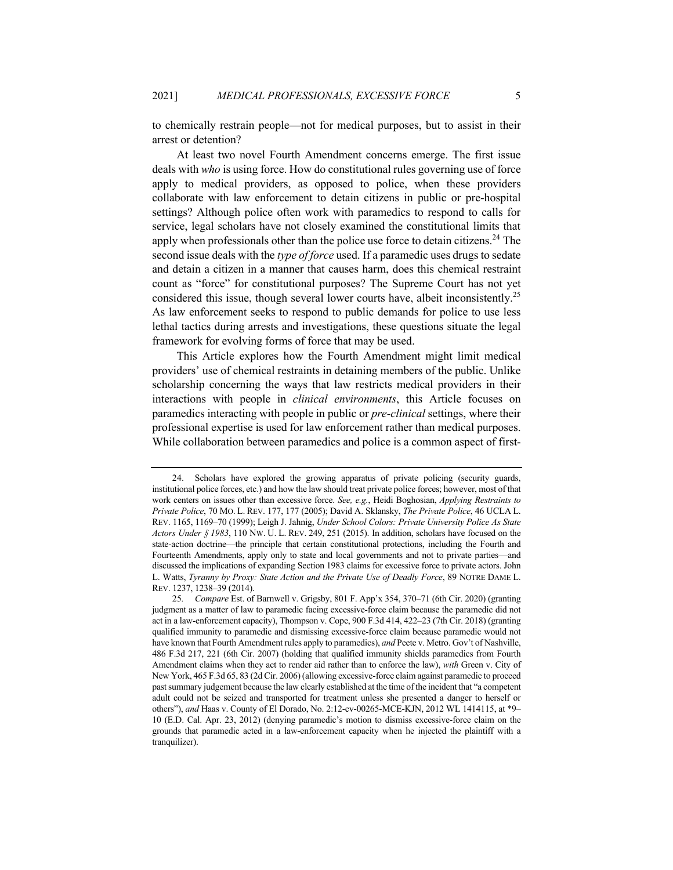to chemically restrain people—not for medical purposes, but to assist in their arrest or detention?

At least two novel Fourth Amendment concerns emerge. The first issue deals with *who* is using force. How do constitutional rules governing use of force apply to medical providers, as opposed to police, when these providers collaborate with law enforcement to detain citizens in public or pre-hospital settings? Although police often work with paramedics to respond to calls for service, legal scholars have not closely examined the constitutional limits that apply when professionals other than the police use force to detain citizens.<sup>24</sup> The second issue deals with the *type of force* used. If a paramedic uses drugs to sedate and detain a citizen in a manner that causes harm, does this chemical restraint count as "force" for constitutional purposes? The Supreme Court has not yet considered this issue, though several lower courts have, albeit inconsistently.<sup>25</sup> As law enforcement seeks to respond to public demands for police to use less lethal tactics during arrests and investigations, these questions situate the legal framework for evolving forms of force that may be used.

This Article explores how the Fourth Amendment might limit medical providers' use of chemical restraints in detaining members of the public. Unlike scholarship concerning the ways that law restricts medical providers in their interactions with people in *clinical environments*, this Article focuses on paramedics interacting with people in public or *pre-clinical* settings, where their professional expertise is used for law enforcement rather than medical purposes. While collaboration between paramedics and police is a common aspect of first-

<sup>24.</sup> Scholars have explored the growing apparatus of private policing (security guards, institutional police forces, etc.) and how the law should treat private police forces; however, most of that work centers on issues other than excessive force. *See, e.g.*, Heidi Boghosian, *Applying Restraints to Private Police*, 70 MO. L. REV. 177, 177 (2005); David A. Sklansky, *The Private Police*, 46 UCLA L. REV. 1165, 1169–70 (1999); Leigh J. Jahnig, *Under School Colors: Private University Police As State Actors Under § 1983*, 110 NW. U. L. REV. 249, 251 (2015). In addition, scholars have focused on the state-action doctrine—the principle that certain constitutional protections, including the Fourth and Fourteenth Amendments, apply only to state and local governments and not to private parties—and discussed the implications of expanding Section 1983 claims for excessive force to private actors. John L. Watts, *Tyranny by Proxy: State Action and the Private Use of Deadly Force*, 89 NOTRE DAME L. REV. 1237, 1238–39 (2014).

<sup>25</sup>*. Compare* Est. of Barnwell v. Grigsby, 801 F. App'x 354, 370–71 (6th Cir. 2020) (granting judgment as a matter of law to paramedic facing excessive-force claim because the paramedic did not act in a law-enforcement capacity), Thompson v. Cope, 900 F.3d 414, 422–23 (7th Cir. 2018) (granting qualified immunity to paramedic and dismissing excessive-force claim because paramedic would not have known that Fourth Amendment rules apply to paramedics), *and* Peete v. Metro. Gov't of Nashville, 486 F.3d 217, 221 (6th Cir. 2007) (holding that qualified immunity shields paramedics from Fourth Amendment claims when they act to render aid rather than to enforce the law), *with* Green v. City of New York, 465 F.3d 65, 83 (2d Cir. 2006) (allowing excessive-force claim against paramedic to proceed past summary judgement because the law clearly established at the time of the incident that "a competent adult could not be seized and transported for treatment unless she presented a danger to herself or others"), *and* Haas v. County of El Dorado, No. 2:12-cv-00265-MCE-KJN, 2012 WL 1414115, at \*9– 10 (E.D. Cal. Apr. 23, 2012) (denying paramedic's motion to dismiss excessive-force claim on the grounds that paramedic acted in a law-enforcement capacity when he injected the plaintiff with a tranquilizer).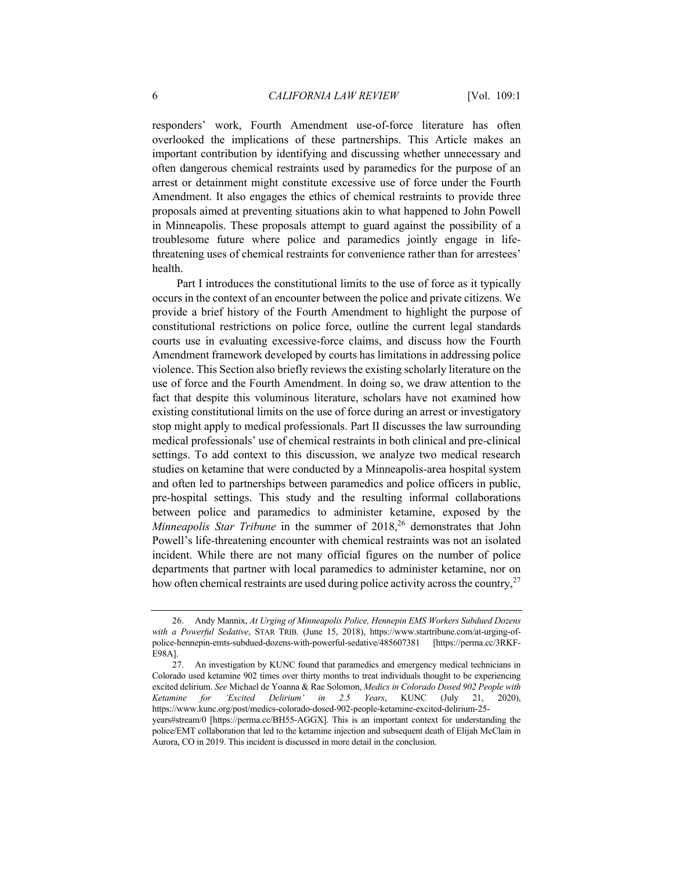responders' work, Fourth Amendment use-of-force literature has often overlooked the implications of these partnerships. This Article makes an important contribution by identifying and discussing whether unnecessary and often dangerous chemical restraints used by paramedics for the purpose of an arrest or detainment might constitute excessive use of force under the Fourth Amendment. It also engages the ethics of chemical restraints to provide three proposals aimed at preventing situations akin to what happened to John Powell in Minneapolis. These proposals attempt to guard against the possibility of a troublesome future where police and paramedics jointly engage in lifethreatening uses of chemical restraints for convenience rather than for arrestees' health.

Part I introduces the constitutional limits to the use of force as it typically occurs in the context of an encounter between the police and private citizens. We provide a brief history of the Fourth Amendment to highlight the purpose of constitutional restrictions on police force, outline the current legal standards courts use in evaluating excessive-force claims, and discuss how the Fourth Amendment framework developed by courts has limitations in addressing police violence. This Section also briefly reviews the existing scholarly literature on the use of force and the Fourth Amendment. In doing so, we draw attention to the fact that despite this voluminous literature, scholars have not examined how existing constitutional limits on the use of force during an arrest or investigatory stop might apply to medical professionals. Part II discusses the law surrounding medical professionals' use of chemical restraints in both clinical and pre-clinical settings. To add context to this discussion, we analyze two medical research studies on ketamine that were conducted by a Minneapolis-area hospital system and often led to partnerships between paramedics and police officers in public, pre-hospital settings. This study and the resulting informal collaborations between police and paramedics to administer ketamine, exposed by the *Minneapolis Star Tribune* in the summer of 2018,<sup>26</sup> demonstrates that John Powell's life-threatening encounter with chemical restraints was not an isolated incident. While there are not many official figures on the number of police departments that partner with local paramedics to administer ketamine, nor on how often chemical restraints are used during police activity across the country,  $2^7$ 

<sup>26.</sup> Andy Mannix, *At Urging of Minneapolis Police, Hennepin EMS Workers Subdued Dozens with a Powerful Sedative*, STAR TRIB. (June 15, 2018), https://www.startribune.com/at-urging-ofpolice-hennepin-emts-subdued-dozens-with-powerful-sedative/485607381 [https://perma.cc/3RKF-E98A].

<sup>27.</sup> An investigation by KUNC found that paramedics and emergency medical technicians in Colorado used ketamine 902 times over thirty months to treat individuals thought to be experiencing excited delirium. *See* Michael de Yoanna & Rae Solomon, *Medics in Colorado Dosed 902 People with Ketamine for 'Excited Delirium' in 2.5 Years*, KUNC (July 21, 2020), https://www.kunc.org/post/medics-colorado-dosed-902-people-ketamine-excited-delirium-25 years#stream/0 [https://perma.cc/BH55-AGGX]. This is an important context for understanding the police/EMT collaboration that led to the ketamine injection and subsequent death of Elijah McClain in Aurora, CO in 2019. This incident is discussed in more detail in the conclusion.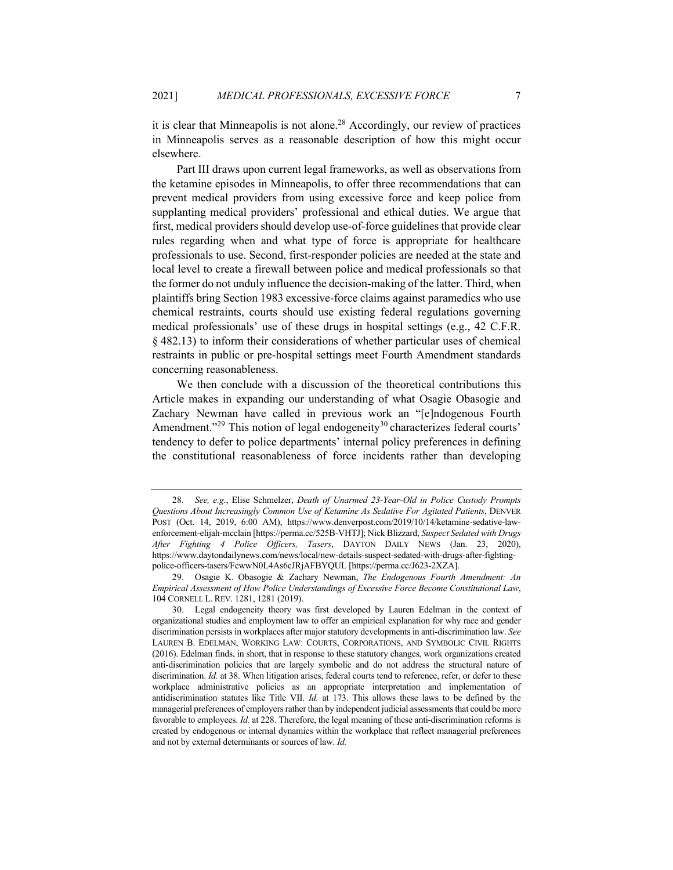it is clear that Minneapolis is not alone.<sup>28</sup> Accordingly, our review of practices in Minneapolis serves as a reasonable description of how this might occur elsewhere.

Part III draws upon current legal frameworks, as well as observations from the ketamine episodes in Minneapolis, to offer three recommendations that can prevent medical providers from using excessive force and keep police from supplanting medical providers' professional and ethical duties. We argue that first, medical providers should develop use-of-force guidelines that provide clear rules regarding when and what type of force is appropriate for healthcare professionals to use. Second, first-responder policies are needed at the state and local level to create a firewall between police and medical professionals so that the former do not unduly influence the decision-making of the latter. Third, when plaintiffs bring Section 1983 excessive-force claims against paramedics who use chemical restraints, courts should use existing federal regulations governing medical professionals' use of these drugs in hospital settings (e.g., 42 C.F.R. § 482.13) to inform their considerations of whether particular uses of chemical restraints in public or pre-hospital settings meet Fourth Amendment standards concerning reasonableness.

We then conclude with a discussion of the theoretical contributions this Article makes in expanding our understanding of what Osagie Obasogie and Zachary Newman have called in previous work an "[e]ndogenous Fourth Amendment."<sup>29</sup> This notion of legal endogeneity<sup>30</sup> characterizes federal courts' tendency to defer to police departments' internal policy preferences in defining the constitutional reasonableness of force incidents rather than developing

<sup>28</sup>*. See, e.g.*, Elise Schmelzer, *Death of Unarmed 23-Year-Old in Police Custody Prompts Questions About Increasingly Common Use of Ketamine As Sedative For Agitated Patients*, DENVER POST (Oct. 14, 2019, 6:00 AM), https://www.denverpost.com/2019/10/14/ketamine-sedative-lawenforcement-elijah-mcclain [https://perma.cc/525B-VHTJ]; Nick Blizzard, *Suspect Sedated with Drugs After Fighting 4 Police Officers, Tasers*, DAYTON DAILY NEWS (Jan. 23, 2020), https://www.daytondailynews.com/news/local/new-details-suspect-sedated-with-drugs-after-fightingpolice-officers-tasers/FcwwN0L4As6cJRjAFBYQUL [https://perma.cc/J623-2XZA].

<sup>29.</sup> Osagie K. Obasogie & Zachary Newman, *The Endogenous Fourth Amendment: An Empirical Assessment of How Police Understandings of Excessive Force Become Constitutional Law*, 104 CORNELL L. REV. 1281, 1281 (2019).

<sup>30.</sup> Legal endogeneity theory was first developed by Lauren Edelman in the context of organizational studies and employment law to offer an empirical explanation for why race and gender discrimination persists in workplaces after major statutory developments in anti-discrimination law. *See* LAUREN B. EDELMAN, WORKING LAW: COURTS, CORPORATIONS, AND SYMBOLIC CIVIL RIGHTS (2016). Edelman finds, in short, that in response to these statutory changes, work organizations created anti-discrimination policies that are largely symbolic and do not address the structural nature of discrimination. *Id.* at 38. When litigation arises, federal courts tend to reference, refer, or defer to these workplace administrative policies as an appropriate interpretation and implementation of antidiscrimination statutes like Title VII. *Id.* at 173. This allows these laws to be defined by the managerial preferences of employers rather than by independent judicial assessments that could be more favorable to employees. *Id.* at 228. Therefore, the legal meaning of these anti-discrimination reforms is created by endogenous or internal dynamics within the workplace that reflect managerial preferences and not by external determinants or sources of law. *Id.*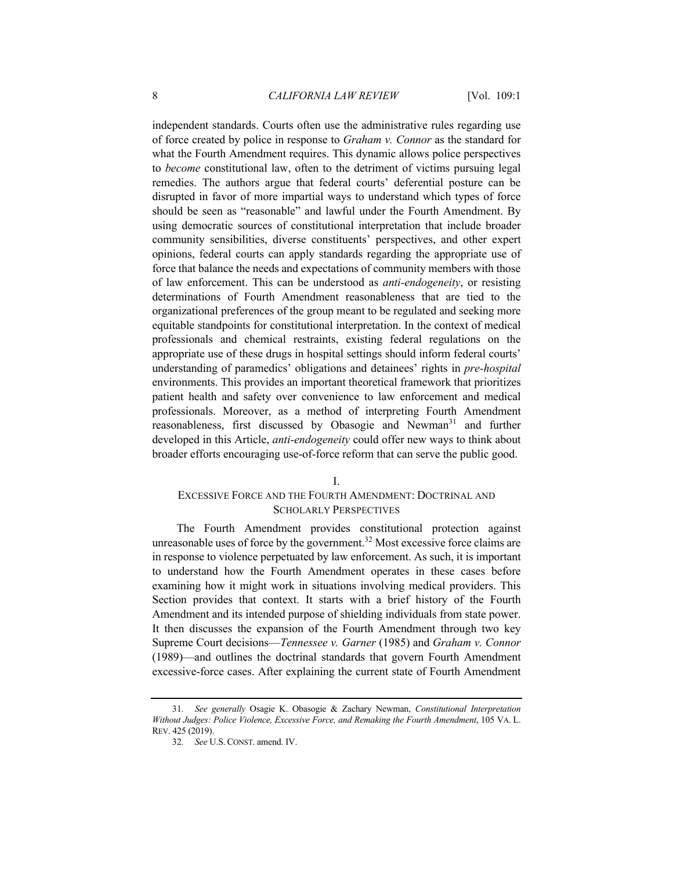independent standards. Courts often use the administrative rules regarding use of force created by police in response to *Graham v. Connor* as the standard for what the Fourth Amendment requires. This dynamic allows police perspectives to *become* constitutional law, often to the detriment of victims pursuing legal remedies. The authors argue that federal courts' deferential posture can be disrupted in favor of more impartial ways to understand which types of force should be seen as "reasonable" and lawful under the Fourth Amendment. By using democratic sources of constitutional interpretation that include broader community sensibilities, diverse constituents' perspectives, and other expert opinions, federal courts can apply standards regarding the appropriate use of force that balance the needs and expectations of community members with those of law enforcement. This can be understood as *anti-endogeneity*, or resisting determinations of Fourth Amendment reasonableness that are tied to the organizational preferences of the group meant to be regulated and seeking more equitable standpoints for constitutional interpretation. In the context of medical professionals and chemical restraints, existing federal regulations on the appropriate use of these drugs in hospital settings should inform federal courts' understanding of paramedics' obligations and detainees' rights in *pre-hospital* environments. This provides an important theoretical framework that prioritizes patient health and safety over convenience to law enforcement and medical professionals. Moreover, as a method of interpreting Fourth Amendment reasonableness, first discussed by Obasogie and Newman<sup>31</sup> and further developed in this Article, *anti-endogeneity* could offer new ways to think about broader efforts encouraging use-of-force reform that can serve the public good.

#### I.

# EXCESSIVE FORCE AND THE FOURTH AMENDMENT: DOCTRINAL AND SCHOLARLY PERSPECTIVES

The Fourth Amendment provides constitutional protection against unreasonable uses of force by the government.<sup>32</sup> Most excessive force claims are in response to violence perpetuated by law enforcement. As such, it is important to understand how the Fourth Amendment operates in these cases before examining how it might work in situations involving medical providers. This Section provides that context. It starts with a brief history of the Fourth Amendment and its intended purpose of shielding individuals from state power. It then discusses the expansion of the Fourth Amendment through two key Supreme Court decisions—*Tennessee v. Garner* (1985) and *Graham v. Connor*  (1989)—and outlines the doctrinal standards that govern Fourth Amendment excessive-force cases. After explaining the current state of Fourth Amendment

<sup>31</sup>*. See generally* Osagie K. Obasogie & Zachary Newman, *Constitutional Interpretation Without Judges: Police Violence, Excessive Force, and Remaking the Fourth Amendment*, 105 VA. L. REV. 425 (2019).

<sup>32</sup>*. See* U.S. CONST. amend. IV.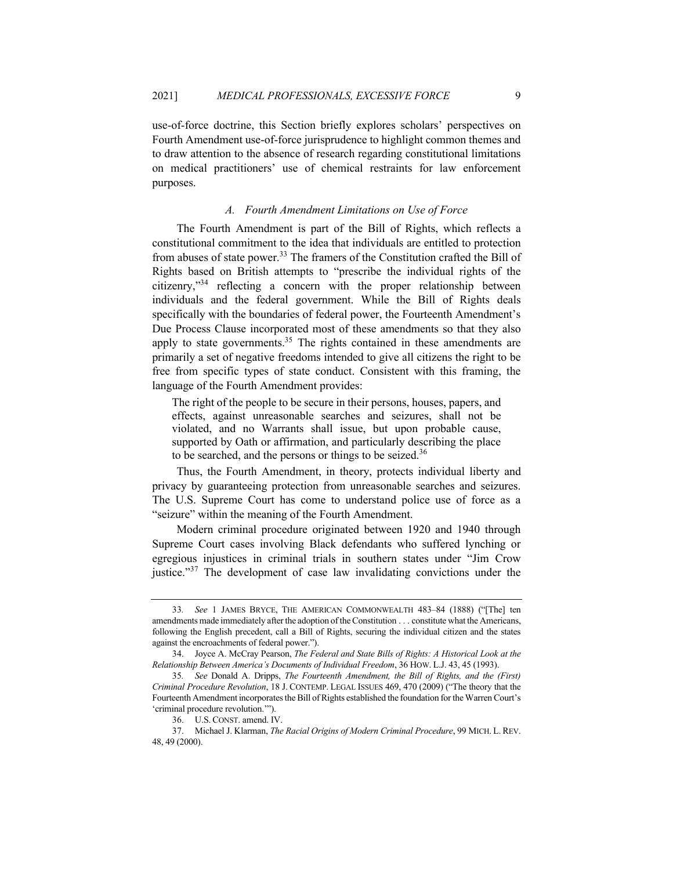use-of-force doctrine, this Section briefly explores scholars' perspectives on Fourth Amendment use-of-force jurisprudence to highlight common themes and to draw attention to the absence of research regarding constitutional limitations on medical practitioners' use of chemical restraints for law enforcement purposes.

## *A. Fourth Amendment Limitations on Use of Force*

The Fourth Amendment is part of the Bill of Rights, which reflects a constitutional commitment to the idea that individuals are entitled to protection from abuses of state power.<sup>33</sup> The framers of the Constitution crafted the Bill of Rights based on British attempts to "prescribe the individual rights of the citizenry,"<sup>34</sup> reflecting a concern with the proper relationship between individuals and the federal government. While the Bill of Rights deals specifically with the boundaries of federal power, the Fourteenth Amendment's Due Process Clause incorporated most of these amendments so that they also apply to state governments.<sup>35</sup> The rights contained in these amendments are primarily a set of negative freedoms intended to give all citizens the right to be free from specific types of state conduct. Consistent with this framing, the language of the Fourth Amendment provides:

The right of the people to be secure in their persons, houses, papers, and effects, against unreasonable searches and seizures, shall not be violated, and no Warrants shall issue, but upon probable cause, supported by Oath or affirmation, and particularly describing the place to be searched, and the persons or things to be seized.<sup>36</sup>

Thus, the Fourth Amendment, in theory, protects individual liberty and privacy by guaranteeing protection from unreasonable searches and seizures. The U.S. Supreme Court has come to understand police use of force as a "seizure" within the meaning of the Fourth Amendment.

Modern criminal procedure originated between 1920 and 1940 through Supreme Court cases involving Black defendants who suffered lynching or egregious injustices in criminal trials in southern states under "Jim Crow justice."<sup>37</sup> The development of case law invalidating convictions under the

<sup>33</sup>*. See* 1 JAMES BRYCE, THE AMERICAN COMMONWEALTH 483–84 (1888) ("[The] ten amendments made immediately after the adoption of the Constitution . . . constitute what the Americans, following the English precedent, call a Bill of Rights, securing the individual citizen and the states against the encroachments of federal power.").

<sup>34.</sup> Joyce A. McCray Pearson, *The Federal and State Bills of Rights: A Historical Look at the Relationship Between America's Documents of Individual Freedom*, 36 HOW. L.J. 43, 45 (1993).

<sup>35</sup>*. See* Donald A. Dripps, *The Fourteenth Amendment, the Bill of Rights, and the (First) Criminal Procedure Revolution*, 18 J. CONTEMP. LEGAL ISSUES 469, 470 (2009) ("The theory that the Fourteenth Amendment incorporates the Bill of Rights established the foundation for the Warren Court's 'criminal procedure revolution.'").

<sup>36.</sup> U.S. CONST. amend. IV.

<sup>37.</sup> Michael J. Klarman, *The Racial Origins of Modern Criminal Procedure*, 99 MICH. L. REV. 48, 49 (2000).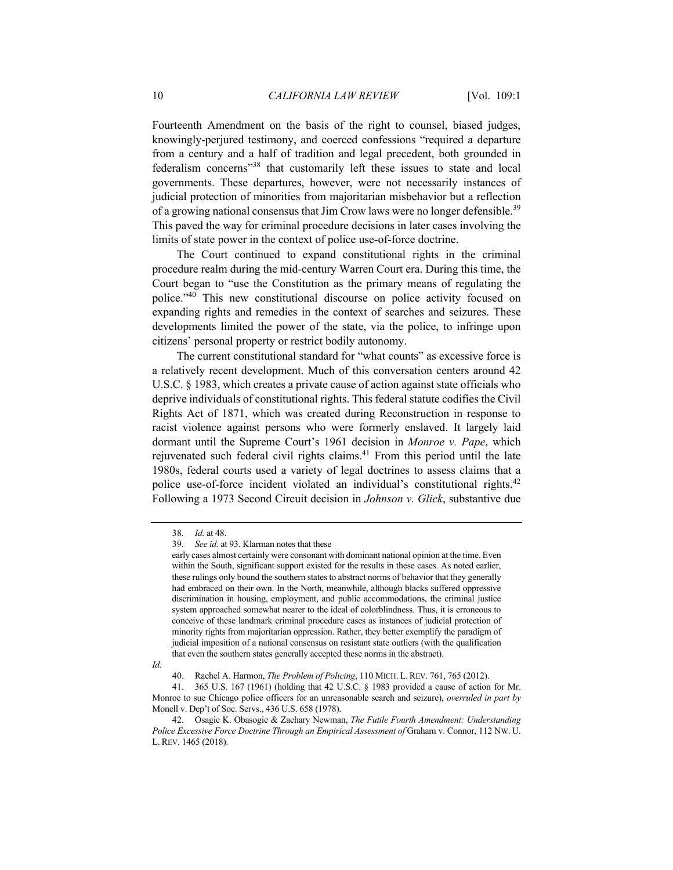Fourteenth Amendment on the basis of the right to counsel, biased judges, knowingly-perjured testimony, and coerced confessions "required a departure from a century and a half of tradition and legal precedent, both grounded in federalism concerns"<sup>38</sup> that customarily left these issues to state and local governments. These departures, however, were not necessarily instances of judicial protection of minorities from majoritarian misbehavior but a reflection of a growing national consensus that Jim Crow laws were no longer defensible.<sup>39</sup> This paved the way for criminal procedure decisions in later cases involving the limits of state power in the context of police use-of-force doctrine.

The Court continued to expand constitutional rights in the criminal procedure realm during the mid-century Warren Court era. During this time, the Court began to "use the Constitution as the primary means of regulating the police."40 This new constitutional discourse on police activity focused on expanding rights and remedies in the context of searches and seizures. These developments limited the power of the state, via the police, to infringe upon citizens' personal property or restrict bodily autonomy.

The current constitutional standard for "what counts" as excessive force is a relatively recent development. Much of this conversation centers around 42 U.S.C. § 1983, which creates a private cause of action against state officials who deprive individuals of constitutional rights. This federal statute codifies the Civil Rights Act of 1871, which was created during Reconstruction in response to racist violence against persons who were formerly enslaved. It largely laid dormant until the Supreme Court's 1961 decision in *Monroe v. Pape*, which rejuvenated such federal civil rights claims. $41$  From this period until the late 1980s, federal courts used a variety of legal doctrines to assess claims that a police use-of-force incident violated an individual's constitutional rights.<sup>42</sup> Following a 1973 Second Circuit decision in *Johnson v. Glick*, substantive due

*Id.* 

<sup>38</sup>*. Id.* at 48.

<sup>39</sup>*. See id.* at 93. Klarman notes that these

early cases almost certainly were consonant with dominant national opinion at the time. Even within the South, significant support existed for the results in these cases. As noted earlier, these rulings only bound the southern states to abstract norms of behavior that they generally had embraced on their own. In the North, meanwhile, although blacks suffered oppressive discrimination in housing, employment, and public accommodations, the criminal justice system approached somewhat nearer to the ideal of colorblindness. Thus, it is erroneous to conceive of these landmark criminal procedure cases as instances of judicial protection of minority rights from majoritarian oppression. Rather, they better exemplify the paradigm of judicial imposition of a national consensus on resistant state outliers (with the qualification that even the southern states generally accepted these norms in the abstract).

<sup>40.</sup> Rachel A. Harmon, *The Problem of Policing*, 110 MICH. L. REV. 761, 765 (2012).

<sup>41.</sup> 365 U.S. 167 (1961) (holding that 42 U.S.C. § 1983 provided a cause of action for Mr. Monroe to sue Chicago police officers for an unreasonable search and seizure), *overruled in part by*  Monell v. Dep't of Soc. Servs., 436 U.S. 658 (1978).

<sup>42.</sup> Osagie K. Obasogie & Zachary Newman, *The Futile Fourth Amendment: Understanding Police Excessive Force Doctrine Through an Empirical Assessment of* Graham v. Connor, 112 NW. U. L. REV. 1465 (2018).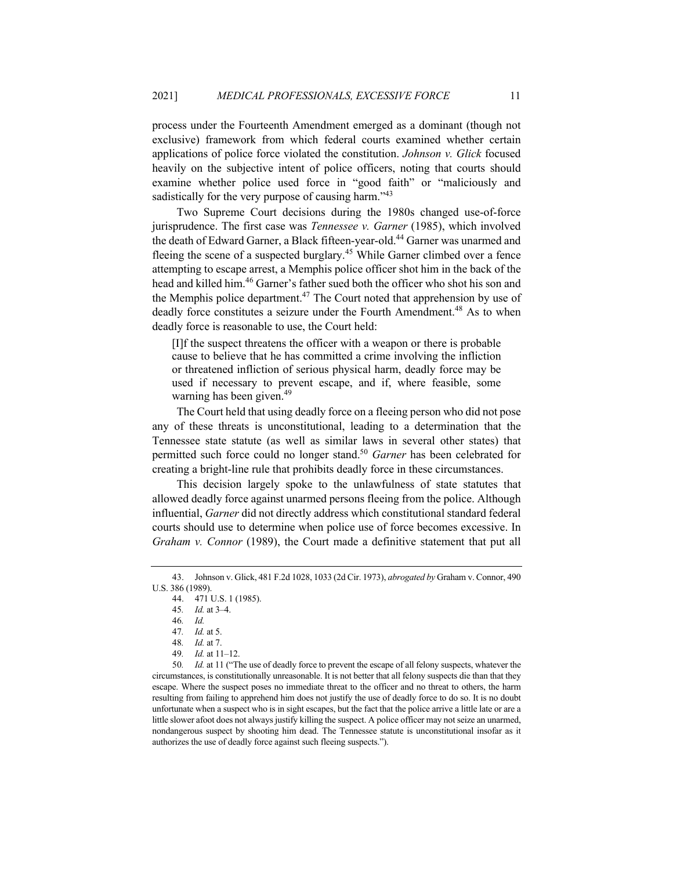process under the Fourteenth Amendment emerged as a dominant (though not exclusive) framework from which federal courts examined whether certain applications of police force violated the constitution. *Johnson v. Glick* focused heavily on the subjective intent of police officers, noting that courts should examine whether police used force in "good faith" or "maliciously and sadistically for the very purpose of causing harm."<sup>43</sup>

Two Supreme Court decisions during the 1980s changed use-of-force jurisprudence. The first case was *Tennessee v. Garner* (1985), which involved the death of Edward Garner, a Black fifteen-year-old.<sup>44</sup> Garner was unarmed and fleeing the scene of a suspected burglary.<sup>45</sup> While Garner climbed over a fence attempting to escape arrest, a Memphis police officer shot him in the back of the head and killed him.<sup>46</sup> Garner's father sued both the officer who shot his son and the Memphis police department.<sup>47</sup> The Court noted that apprehension by use of deadly force constitutes a seizure under the Fourth Amendment.<sup>48</sup> As to when deadly force is reasonable to use, the Court held:

[I]f the suspect threatens the officer with a weapon or there is probable cause to believe that he has committed a crime involving the infliction or threatened infliction of serious physical harm, deadly force may be used if necessary to prevent escape, and if, where feasible, some warning has been given.<sup>49</sup>

The Court held that using deadly force on a fleeing person who did not pose any of these threats is unconstitutional, leading to a determination that the Tennessee state statute (as well as similar laws in several other states) that permitted such force could no longer stand.50 *Garner* has been celebrated for creating a bright-line rule that prohibits deadly force in these circumstances.

This decision largely spoke to the unlawfulness of state statutes that allowed deadly force against unarmed persons fleeing from the police. Although influential, *Garner* did not directly address which constitutional standard federal courts should use to determine when police use of force becomes excessive. In *Graham v. Connor* (1989), the Court made a definitive statement that put all

<sup>43.</sup> Johnson v. Glick, 481 F.2d 1028, 1033 (2d Cir. 1973), *abrogated by* Graham v. Connor, 490 U.S. 386 (1989).

<sup>44.</sup> 471 U.S. 1 (1985).

<sup>45</sup>*. Id.* at 3–4.

<sup>46</sup>*. Id.*

<sup>47</sup>*. Id.* at 5.

<sup>48</sup>*. Id.* at 7.

<sup>49</sup>*. Id.* at 11–12.

<sup>50</sup>*. Id.* at 11 ("The use of deadly force to prevent the escape of all felony suspects, whatever the circumstances, is constitutionally unreasonable. It is not better that all felony suspects die than that they escape. Where the suspect poses no immediate threat to the officer and no threat to others, the harm resulting from failing to apprehend him does not justify the use of deadly force to do so. It is no doubt unfortunate when a suspect who is in sight escapes, but the fact that the police arrive a little late or are a little slower afoot does not always justify killing the suspect. A police officer may not seize an unarmed, nondangerous suspect by shooting him dead. The Tennessee statute is unconstitutional insofar as it authorizes the use of deadly force against such fleeing suspects.").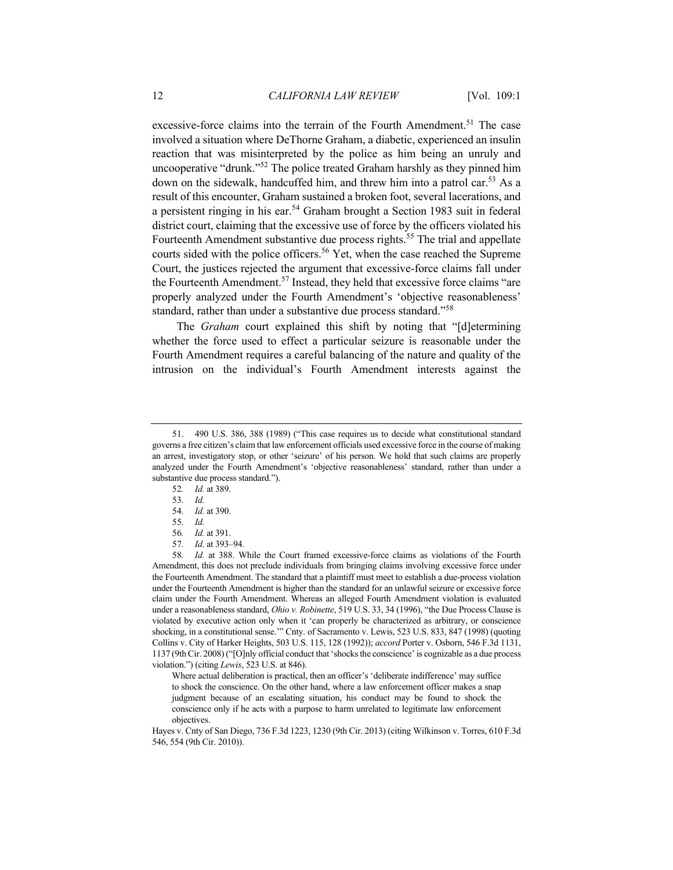excessive-force claims into the terrain of the Fourth Amendment.<sup>51</sup> The case involved a situation where DeThorne Graham, a diabetic, experienced an insulin reaction that was misinterpreted by the police as him being an unruly and uncooperative "drunk."52 The police treated Graham harshly as they pinned him down on the sidewalk, handcuffed him, and threw him into a patrol car.<sup>53</sup> As a result of this encounter, Graham sustained a broken foot, several lacerations, and a persistent ringing in his ear.<sup>54</sup> Graham brought a Section 1983 suit in federal district court, claiming that the excessive use of force by the officers violated his Fourteenth Amendment substantive due process rights.<sup>55</sup> The trial and appellate courts sided with the police officers.<sup>56</sup> Yet, when the case reached the Supreme Court, the justices rejected the argument that excessive-force claims fall under the Fourteenth Amendment.<sup>57</sup> Instead, they held that excessive force claims "are properly analyzed under the Fourth Amendment's 'objective reasonableness' standard, rather than under a substantive due process standard."<sup>58</sup>

The *Graham* court explained this shift by noting that "[d]etermining whether the force used to effect a particular seizure is reasonable under the Fourth Amendment requires a careful balancing of the nature and quality of the intrusion on the individual's Fourth Amendment interests against the

Where actual deliberation is practical, then an officer's 'deliberate indifference' may suffice to shock the conscience. On the other hand, where a law enforcement officer makes a snap judgment because of an escalating situation, his conduct may be found to shock the conscience only if he acts with a purpose to harm unrelated to legitimate law enforcement objectives.

Hayes v. Cnty of San Diego, 736 F.3d 1223, 1230 (9th Cir. 2013) (citing Wilkinson v. Torres, 610 F.3d 546, 554 (9th Cir. 2010)).

<sup>51.</sup> 490 U.S. 386, 388 (1989) ("This case requires us to decide what constitutional standard governs a free citizen's claim that law enforcement officials used excessive force in the course of making an arrest, investigatory stop, or other 'seizure' of his person. We hold that such claims are properly analyzed under the Fourth Amendment's 'objective reasonableness' standard, rather than under a substantive due process standard.").

<sup>52</sup>*. Id.* at 389.

<sup>53</sup>*. Id.*

<sup>54</sup>*. Id.* at 390.

<sup>55</sup>*. Id.*

<sup>56</sup>*. Id.* at 391.

<sup>57</sup>*. Id.* at 393–94.

<sup>58</sup>*. Id.* at 388. While the Court framed excessive-force claims as violations of the Fourth Amendment, this does not preclude individuals from bringing claims involving excessive force under the Fourteenth Amendment. The standard that a plaintiff must meet to establish a due-process violation under the Fourteenth Amendment is higher than the standard for an unlawful seizure or excessive force claim under the Fourth Amendment. Whereas an alleged Fourth Amendment violation is evaluated under a reasonableness standard, *Ohio v. Robinette*, 519 U.S. 33, 34 (1996), "the Due Process Clause is violated by executive action only when it 'can properly be characterized as arbitrary, or conscience shocking, in a constitutional sense.'" Cnty. of Sacramento v. Lewis, 523 U.S. 833, 847 (1998) (quoting Collins v. City of Harker Heights, 503 U.S. 115, 128 (1992)); *accord* Porter v. Osborn, 546 F.3d 1131, 1137 (9th Cir. 2008) ("[O]nly official conduct that 'shocks the conscience' is cognizable as a due process violation.") (citing *Lewis*, 523 U.S. at 846).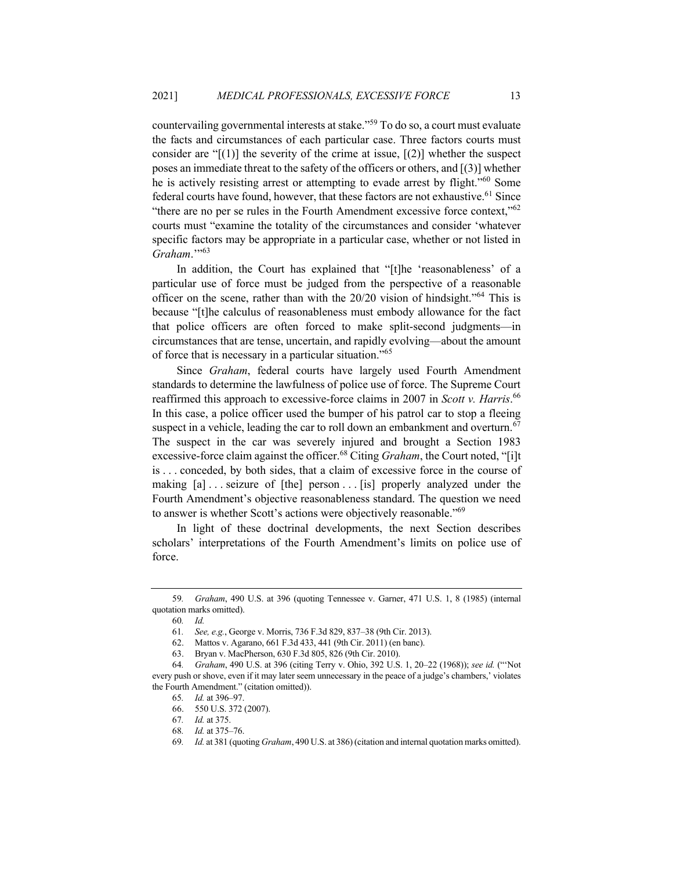countervailing governmental interests at stake."59 To do so, a court must evaluate the facts and circumstances of each particular case. Three factors courts must consider are " $[(1)]$  the severity of the crime at issue,  $[(2)]$  whether the suspect poses an immediate threat to the safety of the officers or others, and [(3)] whether he is actively resisting arrest or attempting to evade arrest by flight."<sup>60</sup> Some federal courts have found, however, that these factors are not exhaustive.<sup>61</sup> Since "there are no per se rules in the Fourth Amendment excessive force context," $62$ courts must "examine the totality of the circumstances and consider 'whatever specific factors may be appropriate in a particular case, whether or not listed in Graham."<sup>563</sup>

In addition, the Court has explained that "[t]he 'reasonableness' of a particular use of force must be judged from the perspective of a reasonable officer on the scene, rather than with the 20/20 vision of hindsight."<sup>64</sup> This is because "[t]he calculus of reasonableness must embody allowance for the fact that police officers are often forced to make split-second judgments—in circumstances that are tense, uncertain, and rapidly evolving—about the amount of force that is necessary in a particular situation."<sup>65</sup>

Since *Graham*, federal courts have largely used Fourth Amendment standards to determine the lawfulness of police use of force. The Supreme Court reaffirmed this approach to excessive-force claims in 2007 in *Scott v. Harris*. 66 In this case, a police officer used the bumper of his patrol car to stop a fleeing suspect in a vehicle, leading the car to roll down an embankment and overturn.<sup>67</sup> The suspect in the car was severely injured and brought a Section 1983 excessive-force claim against the officer.<sup>68</sup> Citing *Graham*, the Court noted, "[i]t is . . . conceded, by both sides, that a claim of excessive force in the course of making [a] ... seizure of [the] person ... [is] properly analyzed under the Fourth Amendment's objective reasonableness standard. The question we need to answer is whether Scott's actions were objectively reasonable."<sup>69</sup>

In light of these doctrinal developments, the next Section describes scholars' interpretations of the Fourth Amendment's limits on police use of force.

<sup>59</sup>*. Graham*, 490 U.S. at 396 (quoting Tennessee v. Garner, 471 U.S. 1, 8 (1985) (internal quotation marks omitted).

<sup>60</sup>*. Id.*

<sup>61</sup>*. See, e.g.*, George v. Morris, 736 F.3d 829, 837–38 (9th Cir. 2013).

<sup>62.</sup> Mattos v. Agarano, 661 F.3d 433, 441 (9th Cir. 2011) (en banc).

<sup>63.</sup> Bryan v. MacPherson, 630 F.3d 805, 826 (9th Cir. 2010).

<sup>64</sup>*. Graham*, 490 U.S. at 396 (citing Terry v. Ohio, 392 U.S. 1, 20–22 (1968)); *see id.* ("'Not every push or shove, even if it may later seem unnecessary in the peace of a judge's chambers,' violates the Fourth Amendment." (citation omitted)).

<sup>65</sup>*. Id.* at 396–97.

<sup>66.</sup> 550 U.S. 372 (2007).

<sup>67</sup>*. Id.* at 375.

<sup>68</sup>*. Id.* at 375–76.

<sup>69</sup>*. Id.* at 381 (quoting *Graham*, 490 U.S. at 386) (citation and internal quotation marks omitted).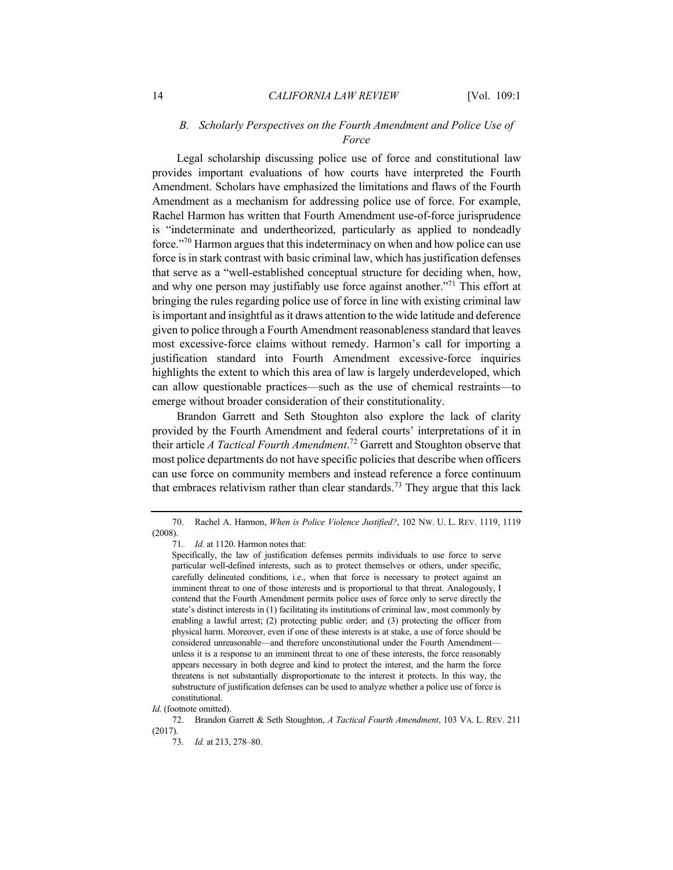## *B. Scholarly Perspectives on the Fourth Amendment and Police Use of Force*

Legal scholarship discussing police use of force and constitutional law provides important evaluations of how courts have interpreted the Fourth Amendment. Scholars have emphasized the limitations and flaws of the Fourth Amendment as a mechanism for addressing police use of force. For example, Rachel Harmon has written that Fourth Amendment use-of-force jurisprudence is "indeterminate and undertheorized, particularly as applied to nondeadly force."<sup>70</sup> Harmon argues that this indeterminacy on when and how police can use force is in stark contrast with basic criminal law, which has justification defenses that serve as a "well-established conceptual structure for deciding when, how, and why one person may justifiably use force against another."<sup>71</sup> This effort at bringing the rules regarding police use of force in line with existing criminal law is important and insightful as it draws attention to the wide latitude and deference given to police through a Fourth Amendment reasonableness standard that leaves most excessive-force claims without remedy. Harmon's call for importing a justification standard into Fourth Amendment excessive-force inquiries highlights the extent to which this area of law is largely underdeveloped, which can allow questionable practices—such as the use of chemical restraints—to emerge without broader consideration of their constitutionality.

Brandon Garrett and Seth Stoughton also explore the lack of clarity provided by the Fourth Amendment and federal courts' interpretations of it in their article *A Tactical Fourth Amendment*. <sup>72</sup> Garrett and Stoughton observe that most police departments do not have specific policies that describe when officers can use force on community members and instead reference a force continuum that embraces relativism rather than clear standards.<sup>73</sup> They argue that this lack

<sup>70.</sup> Rachel A. Harmon, *When is Police Violence Justified?*, 102 NW. U. L. REV. 1119, 1119 (2008).

<sup>71</sup>*. Id.* at 1120. Harmon notes that:

Specifically, the law of justification defenses permits individuals to use force to serve particular well-defined interests, such as to protect themselves or others, under specific, carefully delineated conditions, i.e., when that force is necessary to protect against an imminent threat to one of those interests and is proportional to that threat. Analogously, I contend that the Fourth Amendment permits police uses of force only to serve directly the state's distinct interests in (1) facilitating its institutions of criminal law, most commonly by enabling a lawful arrest; (2) protecting public order; and (3) protecting the officer from physical harm. Moreover, even if one of these interests is at stake, a use of force should be considered unreasonable—and therefore unconstitutional under the Fourth Amendment unless it is a response to an imminent threat to one of these interests, the force reasonably appears necessary in both degree and kind to protect the interest, and the harm the force threatens is not substantially disproportionate to the interest it protects. In this way, the substructure of justification defenses can be used to analyze whether a police use of force is constitutional.

*Id.* (footnote omitted).

<sup>72.</sup> Brandon Garrett & Seth Stoughton, *A Tactical Fourth Amendment*, 103 VA. L. REV. 211 (2017).

<sup>73</sup>*. Id.* at 213, 278–80.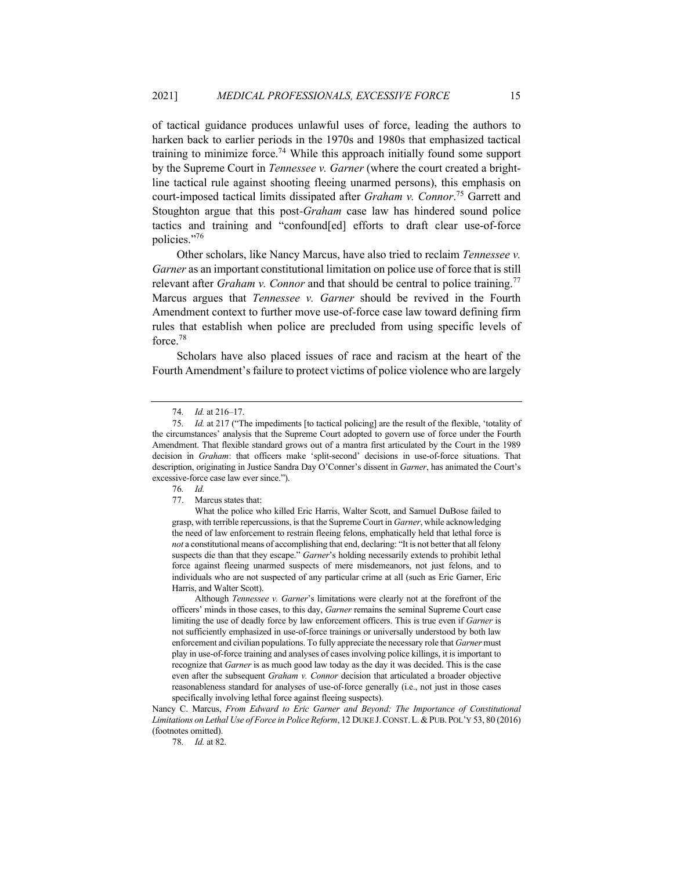of tactical guidance produces unlawful uses of force, leading the authors to harken back to earlier periods in the 1970s and 1980s that emphasized tactical training to minimize force.<sup>74</sup> While this approach initially found some support by the Supreme Court in *Tennessee v. Garner* (where the court created a brightline tactical rule against shooting fleeing unarmed persons), this emphasis on court-imposed tactical limits dissipated after *Graham v. Connor*. <sup>75</sup> Garrett and Stoughton argue that this post-*Graham* case law has hindered sound police tactics and training and "confound[ed] efforts to draft clear use-of-force policies."76

Other scholars, like Nancy Marcus, have also tried to reclaim *Tennessee v. Garner* as an important constitutional limitation on police use of force that is still relevant after *Graham v. Connor* and that should be central to police training.<sup>77</sup> Marcus argues that *Tennessee v. Garner* should be revived in the Fourth Amendment context to further move use-of-force case law toward defining firm rules that establish when police are precluded from using specific levels of force.<sup>78</sup>

Scholars have also placed issues of race and racism at the heart of the Fourth Amendment's failure to protect victims of police violence who are largely

76*. Id.*

Although *Tennessee v. Garner*'s limitations were clearly not at the forefront of the officers' minds in those cases, to this day, *Garner* remains the seminal Supreme Court case limiting the use of deadly force by law enforcement officers. This is true even if *Garner* is not sufficiently emphasized in use-of-force trainings or universally understood by both law enforcement and civilian populations. To fully appreciate the necessary role that *Garner* must play in use-of-force training and analyses of cases involving police killings, it is important to recognize that *Garner* is as much good law today as the day it was decided. This is the case even after the subsequent *Graham v. Connor* decision that articulated a broader objective reasonableness standard for analyses of use-of-force generally (i.e., not just in those cases specifically involving lethal force against fleeing suspects).

Nancy C. Marcus, *From Edward to Eric Garner and Beyond: The Importance of Constitutional Limitations on Lethal Use of Force in Police Reform*, 12 DUKE J.CONST.L.&PUB.POL'Y 53, 80 (2016) (footnotes omitted).

78*. Id.* at 82.

<sup>74</sup>*. Id.* at 216–17.

<sup>75</sup>*. Id.* at 217 ("The impediments [to tactical policing] are the result of the flexible, 'totality of the circumstances' analysis that the Supreme Court adopted to govern use of force under the Fourth Amendment. That flexible standard grows out of a mantra first articulated by the Court in the 1989 decision in *Graham*: that officers make 'split-second' decisions in use-of-force situations. That description, originating in Justice Sandra Day O'Conner's dissent in *Garner*, has animated the Court's excessive-force case law ever since.").

<sup>77.</sup> Marcus states that:

What the police who killed Eric Harris, Walter Scott, and Samuel DuBose failed to grasp, with terrible repercussions, is that the Supreme Court in *Garner*, while acknowledging the need of law enforcement to restrain fleeing felons, emphatically held that lethal force is *not* a constitutional means of accomplishing that end, declaring: "It is not better that all felony suspects die than that they escape." *Garner*'s holding necessarily extends to prohibit lethal force against fleeing unarmed suspects of mere misdemeanors, not just felons, and to individuals who are not suspected of any particular crime at all (such as Eric Garner, Eric Harris, and Walter Scott).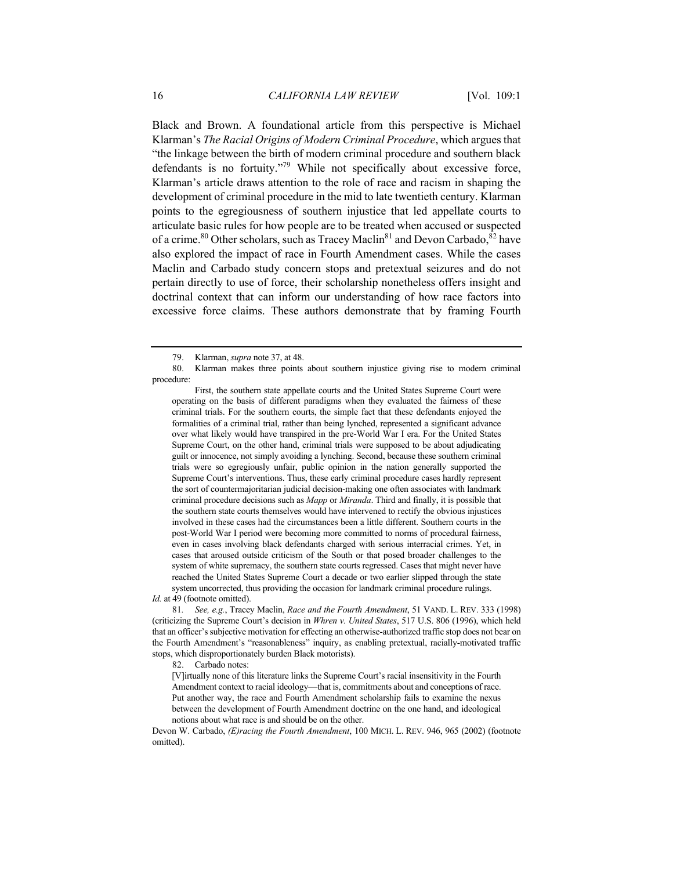Black and Brown. A foundational article from this perspective is Michael Klarman's *The Racial Origins of Modern Criminal Procedure*, which argues that "the linkage between the birth of modern criminal procedure and southern black defendants is no fortuity."<sup>79</sup> While not specifically about excessive force, Klarman's article draws attention to the role of race and racism in shaping the development of criminal procedure in the mid to late twentieth century. Klarman points to the egregiousness of southern injustice that led appellate courts to articulate basic rules for how people are to be treated when accused or suspected of a crime.<sup>80</sup> Other scholars, such as Tracey Maclin<sup>81</sup> and Devon Carbado, <sup>82</sup> have also explored the impact of race in Fourth Amendment cases. While the cases Maclin and Carbado study concern stops and pretextual seizures and do not pertain directly to use of force, their scholarship nonetheless offers insight and doctrinal context that can inform our understanding of how race factors into excessive force claims. These authors demonstrate that by framing Fourth

First, the southern state appellate courts and the United States Supreme Court were operating on the basis of different paradigms when they evaluated the fairness of these criminal trials. For the southern courts, the simple fact that these defendants enjoyed the formalities of a criminal trial, rather than being lynched, represented a significant advance over what likely would have transpired in the pre-World War I era. For the United States Supreme Court, on the other hand, criminal trials were supposed to be about adjudicating guilt or innocence, not simply avoiding a lynching. Second, because these southern criminal trials were so egregiously unfair, public opinion in the nation generally supported the Supreme Court's interventions. Thus, these early criminal procedure cases hardly represent the sort of countermajoritarian judicial decision-making one often associates with landmark criminal procedure decisions such as *Mapp* or *Miranda*. Third and finally, it is possible that the southern state courts themselves would have intervened to rectify the obvious injustices involved in these cases had the circumstances been a little different. Southern courts in the post-World War I period were becoming more committed to norms of procedural fairness, even in cases involving black defendants charged with serious interracial crimes. Yet, in cases that aroused outside criticism of the South or that posed broader challenges to the system of white supremacy, the southern state courts regressed. Cases that might never have reached the United States Supreme Court a decade or two earlier slipped through the state system uncorrected, thus providing the occasion for landmark criminal procedure rulings.

*Id.* at 49 (footnote omitted).

81*. See, e.g.*, Tracey Maclin, *Race and the Fourth Amendment*, 51 VAND. L. REV. 333 (1998) (criticizing the Supreme Court's decision in *Whren v. United States*, 517 U.S. 806 (1996), which held that an officer's subjective motivation for effecting an otherwise-authorized traffic stop does not bear on the Fourth Amendment's "reasonableness" inquiry, as enabling pretextual, racially-motivated traffic stops, which disproportionately burden Black motorists).

82. Carbado notes:

[V]irtually none of this literature links the Supreme Court's racial insensitivity in the Fourth Amendment context to racial ideology—that is, commitments about and conceptions of race. Put another way, the race and Fourth Amendment scholarship fails to examine the nexus between the development of Fourth Amendment doctrine on the one hand, and ideological notions about what race is and should be on the other.

Devon W. Carbado, *(E)racing the Fourth Amendment*, 100 MICH. L. REV. 946, 965 (2002) (footnote omitted).

<sup>79.</sup> Klarman, *supra* note 37, at 48.

<sup>80.</sup> Klarman makes three points about southern injustice giving rise to modern criminal procedure: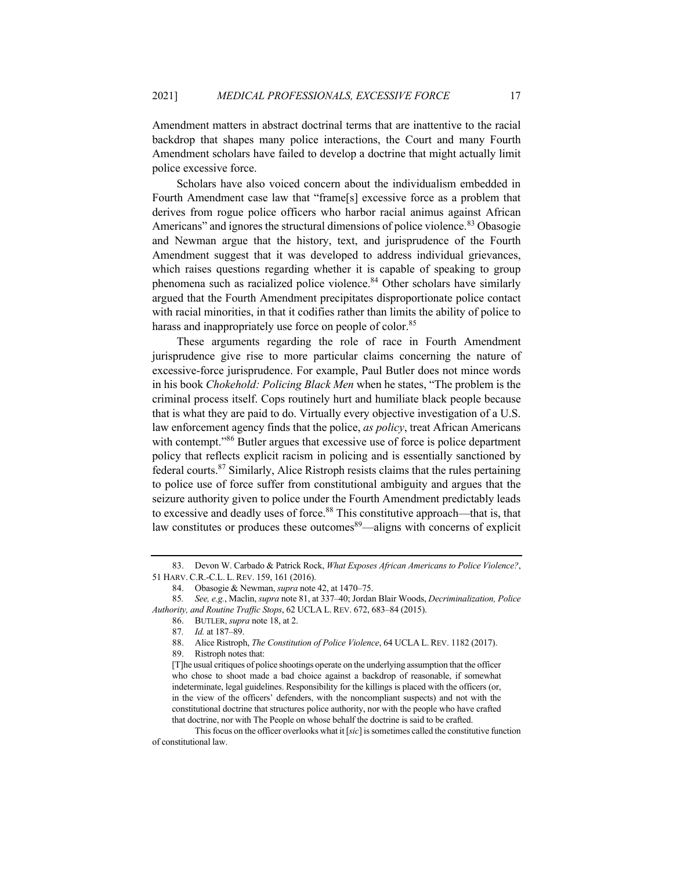Amendment matters in abstract doctrinal terms that are inattentive to the racial backdrop that shapes many police interactions, the Court and many Fourth Amendment scholars have failed to develop a doctrine that might actually limit police excessive force.

Scholars have also voiced concern about the individualism embedded in Fourth Amendment case law that "frame[s] excessive force as a problem that derives from rogue police officers who harbor racial animus against African Americans" and ignores the structural dimensions of police violence.<sup>83</sup> Obasogie and Newman argue that the history, text, and jurisprudence of the Fourth Amendment suggest that it was developed to address individual grievances, which raises questions regarding whether it is capable of speaking to group phenomena such as racialized police violence.<sup>84</sup> Other scholars have similarly argued that the Fourth Amendment precipitates disproportionate police contact with racial minorities, in that it codifies rather than limits the ability of police to harass and inappropriately use force on people of color.<sup>85</sup>

These arguments regarding the role of race in Fourth Amendment jurisprudence give rise to more particular claims concerning the nature of excessive-force jurisprudence. For example, Paul Butler does not mince words in his book *Chokehold: Policing Black Men* when he states, "The problem is the criminal process itself. Cops routinely hurt and humiliate black people because that is what they are paid to do. Virtually every objective investigation of a U.S. law enforcement agency finds that the police, *as policy*, treat African Americans with contempt."<sup>86</sup> Butler argues that excessive use of force is police department policy that reflects explicit racism in policing and is essentially sanctioned by federal courts.<sup>87</sup> Similarly, Alice Ristroph resists claims that the rules pertaining to police use of force suffer from constitutional ambiguity and argues that the seizure authority given to police under the Fourth Amendment predictably leads to excessive and deadly uses of force.<sup>88</sup> This constitutive approach—that is, that law constitutes or produces these outcomes $89$ —aligns with concerns of explicit

<sup>83.</sup> Devon W. Carbado & Patrick Rock, *What Exposes African Americans to Police Violence?*, 51 HARV. C.R.-C.L. L. REV. 159, 161 (2016).

<sup>84.</sup> Obasogie & Newman, *supra* note 42, at 1470–75.

<sup>85</sup>*. See, e.g.*, Maclin, *supra* note 81, at 337–40; Jordan Blair Woods, *Decriminalization, Police Authority, and Routine Traffic Stops*, 62 UCLA L. REV. 672, 683–84 (2015).

<sup>86.</sup> BUTLER, *supra* note 18, at 2.

<sup>87</sup>*. Id.* at 187–89.

<sup>88.</sup> Alice Ristroph, *The Constitution of Police Violence*, 64 UCLA L. REV. 1182 (2017).

<sup>89.</sup> Ristroph notes that:

<sup>[</sup>T]he usual critiques of police shootings operate on the underlying assumption that the officer who chose to shoot made a bad choice against a backdrop of reasonable, if somewhat indeterminate, legal guidelines. Responsibility for the killings is placed with the officers (or, in the view of the officers' defenders, with the noncompliant suspects) and not with the constitutional doctrine that structures police authority, nor with the people who have crafted that doctrine, nor with The People on whose behalf the doctrine is said to be crafted.

This focus on the officer overlooks what it [*sic*] is sometimes called the constitutive function of constitutional law.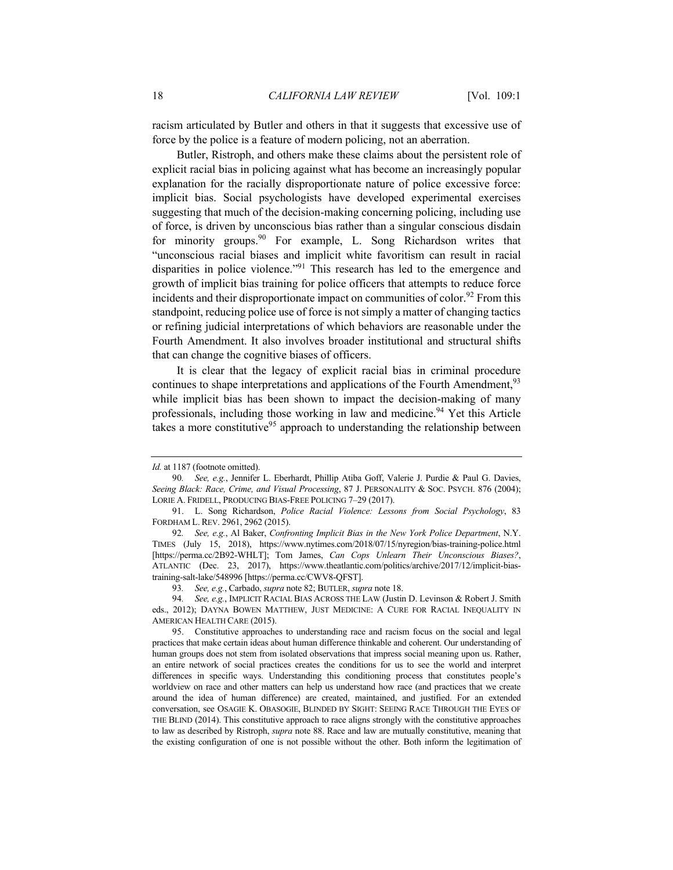racism articulated by Butler and others in that it suggests that excessive use of force by the police is a feature of modern policing, not an aberration.

Butler, Ristroph, and others make these claims about the persistent role of explicit racial bias in policing against what has become an increasingly popular explanation for the racially disproportionate nature of police excessive force: implicit bias. Social psychologists have developed experimental exercises suggesting that much of the decision-making concerning policing, including use of force, is driven by unconscious bias rather than a singular conscious disdain for minority groups.<sup>90</sup> For example, L. Song Richardson writes that "unconscious racial biases and implicit white favoritism can result in racial disparities in police violence."<sup>91</sup> This research has led to the emergence and growth of implicit bias training for police officers that attempts to reduce force incidents and their disproportionate impact on communities of color.<sup>92</sup> From this standpoint, reducing police use of force is not simply a matter of changing tactics or refining judicial interpretations of which behaviors are reasonable under the Fourth Amendment. It also involves broader institutional and structural shifts that can change the cognitive biases of officers.

It is clear that the legacy of explicit racial bias in criminal procedure continues to shape interpretations and applications of the Fourth Amendment,<sup>93</sup> while implicit bias has been shown to impact the decision-making of many professionals, including those working in law and medicine.<sup>94</sup> Yet this Article takes a more constitutive<sup>95</sup> approach to understanding the relationship between

*Id.* at 1187 (footnote omitted).

<sup>90</sup>*. See, e.g.*, Jennifer L. Eberhardt, Phillip Atiba Goff, Valerie J. Purdie & Paul G. Davies, *Seeing Black: Race, Crime, and Visual Processing*, 87 J. PERSONALITY & SOC. PSYCH. 876 (2004); LORIE A. FRIDELL, PRODUCING BIAS-FREE POLICING 7–29 (2017).

<sup>91.</sup> L. Song Richardson, *Police Racial Violence: Lessons from Social Psychology*, 83 FORDHAM L. REV. 2961, 2962 (2015).

<sup>92</sup>*. See, e.g.*, Al Baker, *Confronting Implicit Bias in the New York Police Department*, N.Y. TIMES (July 15, 2018), https://www.nytimes.com/2018/07/15/nyregion/bias-training-police.html [https://perma.cc/2B92-WHLT]; Tom James, *Can Cops Unlearn Their Unconscious Biases?*, ATLANTIC (Dec. 23, 2017), https://www.theatlantic.com/politics/archive/2017/12/implicit-biastraining-salt-lake/548996 [https://perma.cc/CWV8-QFST].

<sup>93</sup>*. See, e.g.*, Carbado, *supra* note 82; BUTLER, *supra* note 18.

<sup>94</sup>*. See, e.g.*, IMPLICIT RACIAL BIAS ACROSS THE LAW (Justin D. Levinson & Robert J. Smith eds., 2012); DAYNA BOWEN MATTHEW, JUST MEDICINE: A CURE FOR RACIAL INEQUALITY IN AMERICAN HEALTH CARE (2015).

<sup>95.</sup> Constitutive approaches to understanding race and racism focus on the social and legal practices that make certain ideas about human difference thinkable and coherent. Our understanding of human groups does not stem from isolated observations that impress social meaning upon us. Rather, an entire network of social practices creates the conditions for us to see the world and interpret differences in specific ways. Understanding this conditioning process that constitutes people's worldview on race and other matters can help us understand how race (and practices that we create around the idea of human difference) are created, maintained, and justified. For an extended conversation, see OSAGIE K. OBASOGIE, BLINDED BY SIGHT: SEEING RACE THROUGH THE EYES OF THE BLIND (2014). This constitutive approach to race aligns strongly with the constitutive approaches to law as described by Ristroph, *supra* note 88. Race and law are mutually constitutive, meaning that the existing configuration of one is not possible without the other. Both inform the legitimation of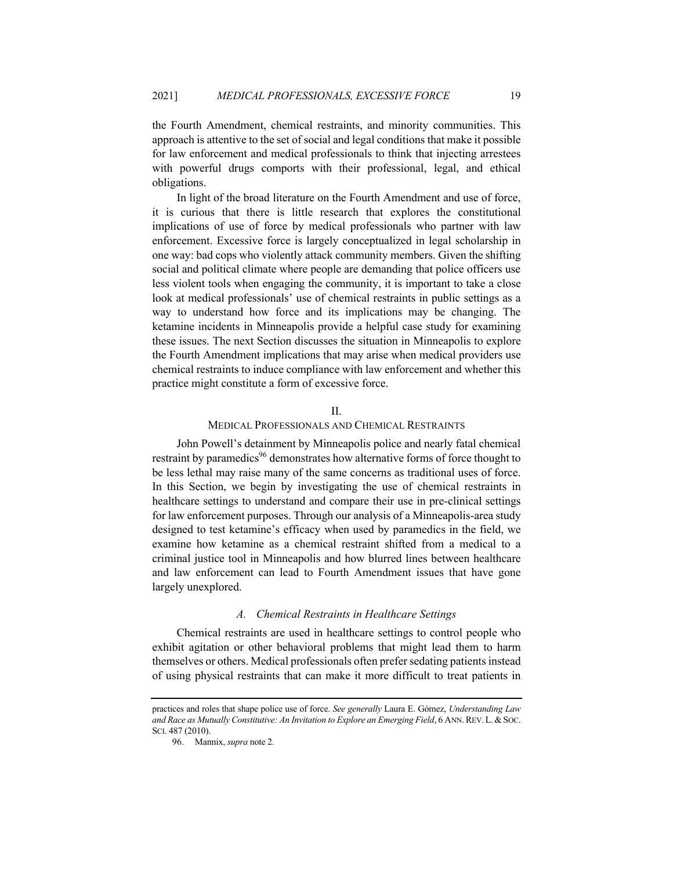the Fourth Amendment, chemical restraints, and minority communities. This approach is attentive to the set of social and legal conditions that make it possible for law enforcement and medical professionals to think that injecting arrestees with powerful drugs comports with their professional, legal, and ethical obligations.

In light of the broad literature on the Fourth Amendment and use of force, it is curious that there is little research that explores the constitutional implications of use of force by medical professionals who partner with law enforcement. Excessive force is largely conceptualized in legal scholarship in one way: bad cops who violently attack community members. Given the shifting social and political climate where people are demanding that police officers use less violent tools when engaging the community, it is important to take a close look at medical professionals' use of chemical restraints in public settings as a way to understand how force and its implications may be changing. The ketamine incidents in Minneapolis provide a helpful case study for examining these issues. The next Section discusses the situation in Minneapolis to explore the Fourth Amendment implications that may arise when medical providers use chemical restraints to induce compliance with law enforcement and whether this practice might constitute a form of excessive force.

## II.

## MEDICAL PROFESSIONALS AND CHEMICAL RESTRAINTS

John Powell's detainment by Minneapolis police and nearly fatal chemical restraint by paramedics<sup>96</sup> demonstrates how alternative forms of force thought to be less lethal may raise many of the same concerns as traditional uses of force. In this Section, we begin by investigating the use of chemical restraints in healthcare settings to understand and compare their use in pre-clinical settings for law enforcement purposes. Through our analysis of a Minneapolis-area study designed to test ketamine's efficacy when used by paramedics in the field, we examine how ketamine as a chemical restraint shifted from a medical to a criminal justice tool in Minneapolis and how blurred lines between healthcare and law enforcement can lead to Fourth Amendment issues that have gone largely unexplored.

#### *A. Chemical Restraints in Healthcare Settings*

Chemical restraints are used in healthcare settings to control people who exhibit agitation or other behavioral problems that might lead them to harm themselves or others. Medical professionals often prefer sedating patients instead of using physical restraints that can make it more difficult to treat patients in

practices and roles that shape police use of force. *See generally* Laura E. Gómez, *Understanding Law*  and Race as Mutually Constitutive: An Invitation to Explore an Emerging Field, 6 ANN. REV. L. & SOC. SCI. 487 (2010).

<sup>96.</sup> Mannix, *supra* note 2.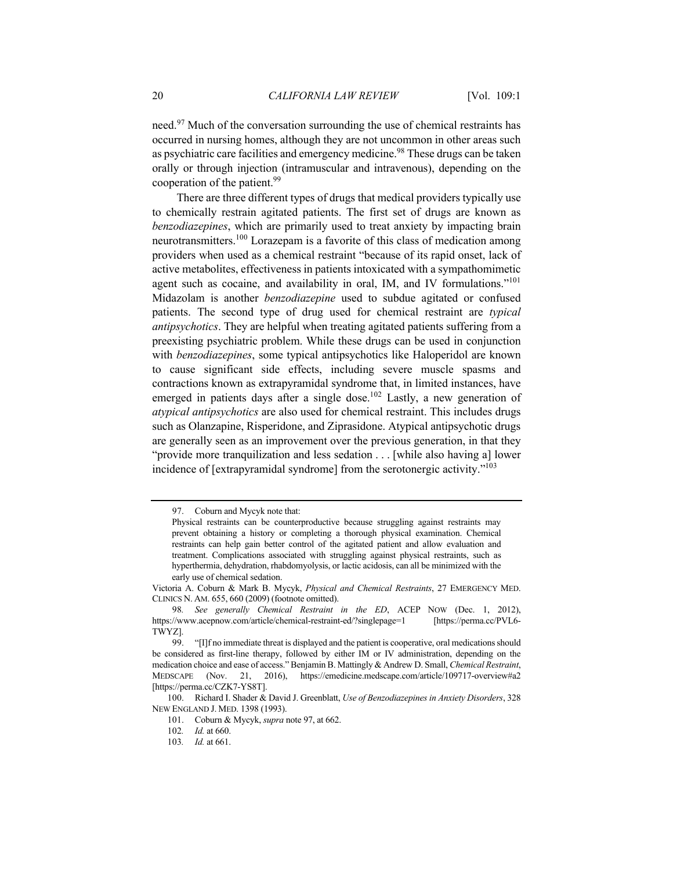need.<sup>97</sup> Much of the conversation surrounding the use of chemical restraints has occurred in nursing homes, although they are not uncommon in other areas such as psychiatric care facilities and emergency medicine.<sup>98</sup> These drugs can be taken orally or through injection (intramuscular and intravenous), depending on the cooperation of the patient.<sup>99</sup>

There are three different types of drugs that medical providers typically use to chemically restrain agitated patients. The first set of drugs are known as *benzodiazepines*, which are primarily used to treat anxiety by impacting brain neurotransmitters.<sup>100</sup> Lorazepam is a favorite of this class of medication among providers when used as a chemical restraint "because of its rapid onset, lack of active metabolites, effectiveness in patients intoxicated with a sympathomimetic agent such as cocaine, and availability in oral, IM, and IV formulations."<sup>101</sup> Midazolam is another *benzodiazepine* used to subdue agitated or confused patients. The second type of drug used for chemical restraint are *typical antipsychotics*. They are helpful when treating agitated patients suffering from a preexisting psychiatric problem. While these drugs can be used in conjunction with *benzodiazepines*, some typical antipsychotics like Haloperidol are known to cause significant side effects, including severe muscle spasms and contractions known as extrapyramidal syndrome that, in limited instances, have emerged in patients days after a single dose.<sup>102</sup> Lastly, a new generation of *atypical antipsychotics* are also used for chemical restraint. This includes drugs such as Olanzapine, Risperidone, and Ziprasidone. Atypical antipsychotic drugs are generally seen as an improvement over the previous generation, in that they "provide more tranquilization and less sedation . . . [while also having a] lower incidence of [extrapyramidal syndrome] from the serotonergic activity."<sup>103</sup>

<sup>97.</sup> Coburn and Mycyk note that:

Physical restraints can be counterproductive because struggling against restraints may prevent obtaining a history or completing a thorough physical examination. Chemical restraints can help gain better control of the agitated patient and allow evaluation and treatment. Complications associated with struggling against physical restraints, such as hyperthermia, dehydration, rhabdomyolysis, or lactic acidosis, can all be minimized with the early use of chemical sedation.

Victoria A. Coburn & Mark B. Mycyk, *Physical and Chemical Restraints*, 27 EMERGENCY MED. CLINICS N. AM. 655, 660 (2009) (footnote omitted).

<sup>98</sup>*. See generally Chemical Restraint in the ED*, ACEP NOW (Dec. 1, 2012), https://www.acepnow.com/article/chemical-restraint-ed/?singlepage=1 [https://perma.cc/PVL6-TWYZ].

<sup>99.</sup> "[I]f no immediate threat is displayed and the patient is cooperative, oral medications should be considered as first-line therapy, followed by either IM or IV administration, depending on the medication choice and ease of access." Benjamin B. Mattingly & Andrew D. Small, *Chemical Restraint*, MEDSCAPE (Nov. 21, 2016), https://emedicine.medscape.com/article/109717-overview#a2 [https://perma.cc/CZK7-YS8T].

<sup>100.</sup> Richard I. Shader & David J. Greenblatt, *Use of Benzodiazepines in Anxiety Disorders*, 328 NEW ENGLAND J. MED. 1398 (1993).

<sup>101.</sup> Coburn & Mycyk, *supra* note 97, at 662.

<sup>102</sup>*. Id.* at 660.

<sup>103</sup>*. Id.* at 661.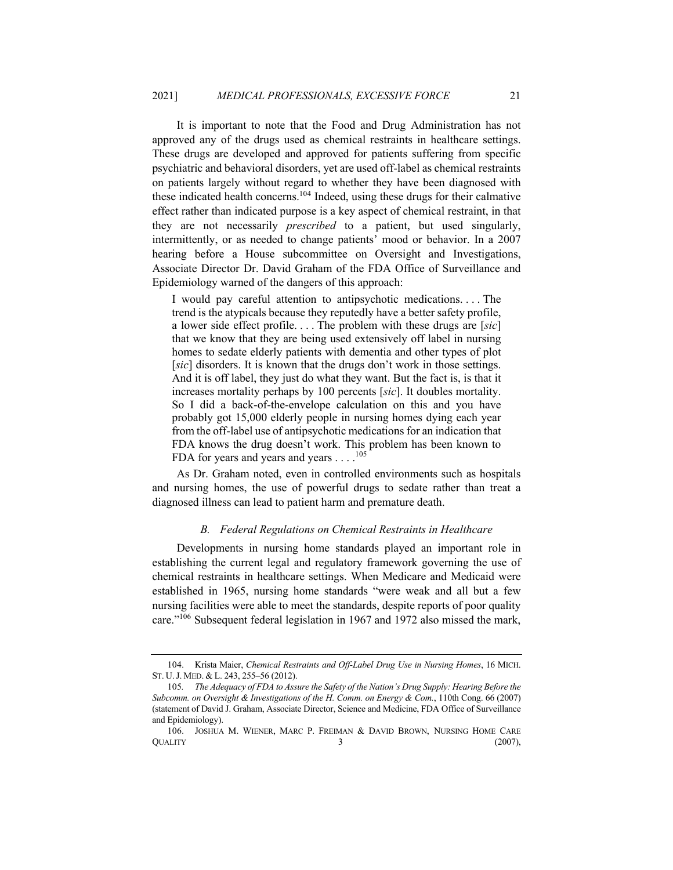It is important to note that the Food and Drug Administration has not approved any of the drugs used as chemical restraints in healthcare settings. These drugs are developed and approved for patients suffering from specific psychiatric and behavioral disorders, yet are used off-label as chemical restraints on patients largely without regard to whether they have been diagnosed with these indicated health concerns.<sup>104</sup> Indeed, using these drugs for their calmative effect rather than indicated purpose is a key aspect of chemical restraint, in that they are not necessarily *prescribed* to a patient, but used singularly, intermittently, or as needed to change patients' mood or behavior. In a 2007 hearing before a House subcommittee on Oversight and Investigations, Associate Director Dr. David Graham of the FDA Office of Surveillance and Epidemiology warned of the dangers of this approach:

I would pay careful attention to antipsychotic medications. . . . The trend is the atypicals because they reputedly have a better safety profile, a lower side effect profile. . . . The problem with these drugs are [*sic*] that we know that they are being used extensively off label in nursing homes to sedate elderly patients with dementia and other types of plot [*sic*] disorders. It is known that the drugs don't work in those settings. And it is off label, they just do what they want. But the fact is, is that it increases mortality perhaps by 100 percents [*sic*]. It doubles mortality. So I did a back-of-the-envelope calculation on this and you have probably got 15,000 elderly people in nursing homes dying each year from the off-label use of antipsychotic medications for an indication that FDA knows the drug doesn't work. This problem has been known to FDA for years and years and years  $\dots$ .<sup>105</sup>

As Dr. Graham noted, even in controlled environments such as hospitals and nursing homes, the use of powerful drugs to sedate rather than treat a diagnosed illness can lead to patient harm and premature death.

#### *B. Federal Regulations on Chemical Restraints in Healthcare*

Developments in nursing home standards played an important role in establishing the current legal and regulatory framework governing the use of chemical restraints in healthcare settings. When Medicare and Medicaid were established in 1965, nursing home standards "were weak and all but a few nursing facilities were able to meet the standards, despite reports of poor quality care."106 Subsequent federal legislation in 1967 and 1972 also missed the mark,

<sup>104.</sup> Krista Maier, *Chemical Restraints and Off-Label Drug Use in Nursing Homes*, 16 MICH. ST. U.J. MED. & L. 243, 255–56 (2012).

<sup>105</sup>*. The Adequacy of FDA to Assure the Safety of the Nation's Drug Supply: Hearing Before the Subcomm. on Oversight & Investigations of the H. Comm. on Energy & Com.*, 110th Cong. 66 (2007) (statement of David J. Graham, Associate Director, Science and Medicine, FDA Office of Surveillance and Epidemiology).

<sup>106.</sup> JOSHUA M. WIENER, MARC P. FREIMAN & DAVID BROWN, NURSING HOME CARE  $\alpha$  (2007),  $\alpha$  (2007),  $\alpha$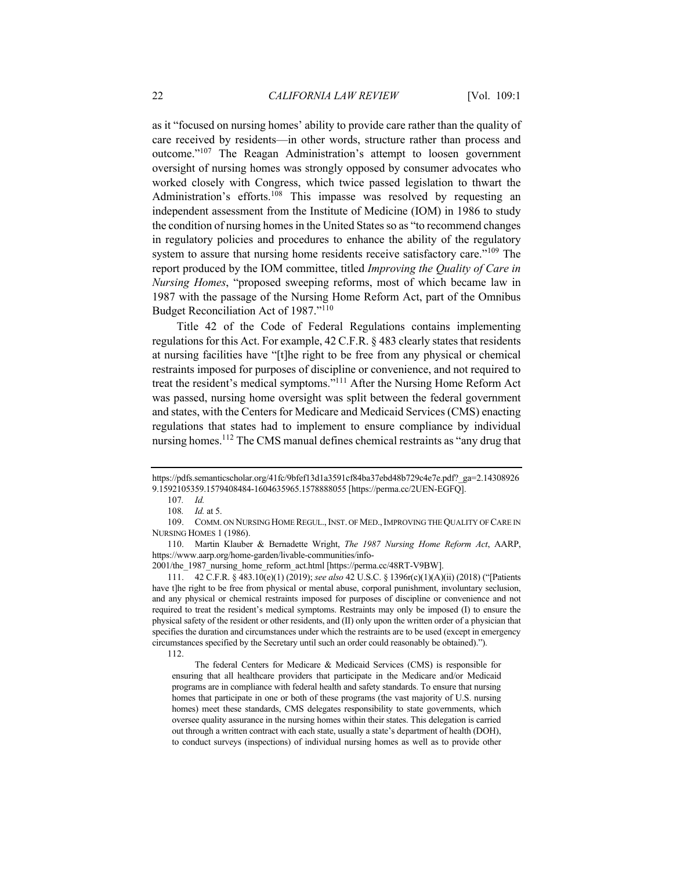as it "focused on nursing homes' ability to provide care rather than the quality of care received by residents—in other words, structure rather than process and outcome."107 The Reagan Administration's attempt to loosen government oversight of nursing homes was strongly opposed by consumer advocates who worked closely with Congress, which twice passed legislation to thwart the Administration's efforts.<sup>108</sup> This impasse was resolved by requesting an independent assessment from the Institute of Medicine (IOM) in 1986 to study the condition of nursing homes in the United States so as "to recommend changes in regulatory policies and procedures to enhance the ability of the regulatory system to assure that nursing home residents receive satisfactory care."<sup>109</sup> The report produced by the IOM committee, titled *Improving the Quality of Care in Nursing Homes*, "proposed sweeping reforms, most of which became law in 1987 with the passage of the Nursing Home Reform Act, part of the Omnibus Budget Reconciliation Act of 1987."<sup>110</sup>

Title 42 of the Code of Federal Regulations contains implementing regulations for this Act. For example, 42 C.F.R. § 483 clearly states that residents at nursing facilities have "[t]he right to be free from any physical or chemical restraints imposed for purposes of discipline or convenience, and not required to treat the resident's medical symptoms."111 After the Nursing Home Reform Act was passed, nursing home oversight was split between the federal government and states, with the Centers for Medicare and Medicaid Services (CMS) enacting regulations that states had to implement to ensure compliance by individual nursing homes.<sup>112</sup> The CMS manual defines chemical restraints as "any drug that

107*. Id.*

109. COMM. ON NURSING HOME REGUL.,INST. OF MED.,IMPROVING THE QUALITY OF CARE IN NURSING HOMES 1 (1986).

110. Martin Klauber & Bernadette Wright, *The 1987 Nursing Home Reform Act*, AARP, https://www.aarp.org/home-garden/livable-communities/info-

2001/the\_1987\_nursing\_home\_reform\_act.html [https://perma.cc/48RT-V9BW].

111. 42 C.F.R. § 483.10(e)(1) (2019); *see also* 42 U.S.C. § 1396r(c)(1)(A)(ii) (2018) ("[Patients have t]he right to be free from physical or mental abuse, corporal punishment, involuntary seclusion, and any physical or chemical restraints imposed for purposes of discipline or convenience and not required to treat the resident's medical symptoms. Restraints may only be imposed (I) to ensure the physical safety of the resident or other residents, and (II) only upon the written order of a physician that specifies the duration and circumstances under which the restraints are to be used (except in emergency circumstances specified by the Secretary until such an order could reasonably be obtained).").

The federal Centers for Medicare & Medicaid Services (CMS) is responsible for ensuring that all healthcare providers that participate in the Medicare and/or Medicaid programs are in compliance with federal health and safety standards. To ensure that nursing homes that participate in one or both of these programs (the vast majority of U.S. nursing homes) meet these standards, CMS delegates responsibility to state governments, which oversee quality assurance in the nursing homes within their states. This delegation is carried out through a written contract with each state, usually a state's department of health (DOH), to conduct surveys (inspections) of individual nursing homes as well as to provide other

https://pdfs.semanticscholar.org/41fc/9bfef13d1a3591cf84ba37ebd48b729c4e7e.pdf?\_ga=2.14308926 9.1592105359.1579408484-1604635965.1578888055 [https://perma.cc/2UEN-EGFQ].

<sup>108</sup>*. Id.* at 5.

<sup>112.</sup>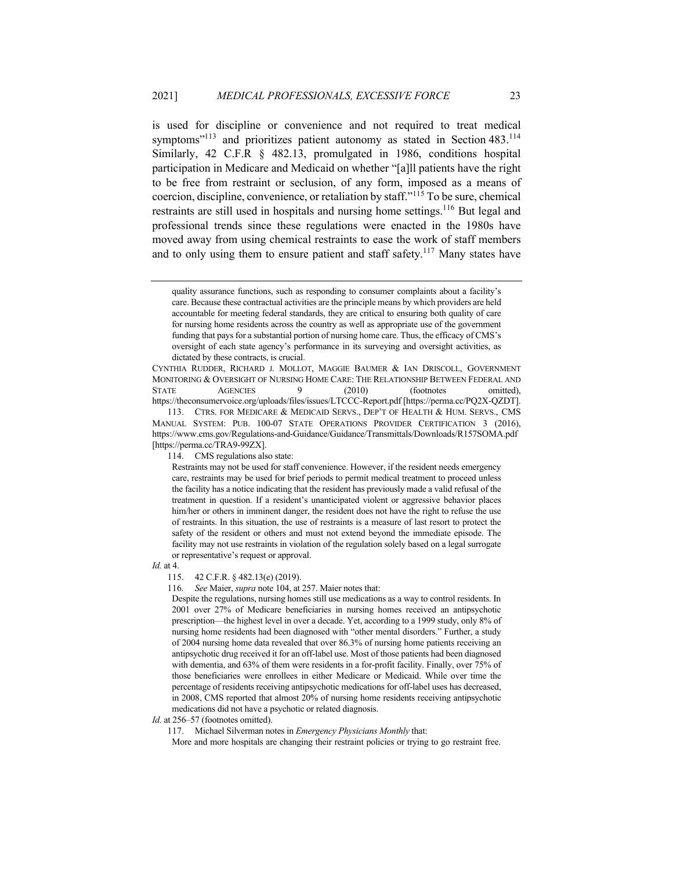is used for discipline or convenience and not required to treat medical symptoms"<sup>113</sup> and prioritizes patient autonomy as stated in Section  $483$ .<sup>114</sup> Similarly, 42 C.F.R § 482.13, promulgated in 1986, conditions hospital participation in Medicare and Medicaid on whether "[a]ll patients have the right to be free from restraint or seclusion, of any form, imposed as a means of coercion, discipline, convenience, or retaliation by staff."<sup>115</sup> To be sure, chemical restraints are still used in hospitals and nursing home settings.<sup>116</sup> But legal and professional trends since these regulations were enacted in the 1980s have moved away from using chemical restraints to ease the work of staff members and to only using them to ensure patient and staff safety.<sup>117</sup> Many states have

CYNTHIA RUDDER, RICHARD J. MOLLOT, MAGGIE BAUMER & IAN DRISCOLL, GOVERNMENT MONITORING & OVERSIGHT OF NURSING HOME CARE: THE RELATIONSHIP BETWEEN FEDERAL AND STATE AGENCIES 9 (2010) (footnotes omitted), https://theconsumervoice.org/uploads/files/issues/LTCCC-Report.pdf [https://perma.cc/PQ2X-QZDT].

114. CMS regulations also state:

*Id.* at 4.

115. 42 C.F.R. § 482.13(e) (2019).

116*. See* Maier, *supra* note 104, at 257. Maier notes that:

Despite the regulations, nursing homes still use medications as a way to control residents. In 2001 over 27% of Medicare beneficiaries in nursing homes received an antipsychotic prescription—the highest level in over a decade. Yet, according to a 1999 study, only 8% of nursing home residents had been diagnosed with "other mental disorders." Further, a study of 2004 nursing home data revealed that over 86.3% of nursing home patients receiving an antipsychotic drug received it for an off-label use. Most of those patients had been diagnosed with dementia, and 63% of them were residents in a for-profit facility. Finally, over 75% of those beneficiaries were enrollees in either Medicare or Medicaid. While over time the percentage of residents receiving antipsychotic medications for off-label uses has decreased, in 2008, CMS reported that almost 20% of nursing home residents receiving antipsychotic medications did not have a psychotic or related diagnosis.

Id. at 256–57 (footnotes omitted).

117. Michael Silverman notes in *Emergency Physicians Monthly* that:

More and more hospitals are changing their restraint policies or trying to go restraint free.

quality assurance functions, such as responding to consumer complaints about a facility's care. Because these contractual activities are the principle means by which providers are held accountable for meeting federal standards, they are critical to ensuring both quality of care for nursing home residents across the country as well as appropriate use of the government funding that pays for a substantial portion of nursing home care. Thus, the efficacy of CMS's oversight of each state agency's performance in its surveying and oversight activities, as dictated by these contracts, is crucial.

<sup>113.</sup> CTRS. FOR MEDICARE & MEDICAID SERVS., DEP'T OF HEALTH & HUM. SERVS., CMS MANUAL SYSTEM: PUB. 100-07 STATE OPERATIONS PROVIDER CERTIFICATION 3 (2016), https://www.cms.gov/Regulations-and-Guidance/Guidance/Transmittals/Downloads/R157SOMA.pdf [https://perma.cc/TRA9-99ZX].

Restraints may not be used for staff convenience. However, if the resident needs emergency care, restraints may be used for brief periods to permit medical treatment to proceed unless the facility has a notice indicating that the resident has previously made a valid refusal of the treatment in question. If a resident's unanticipated violent or aggressive behavior places him/her or others in imminent danger, the resident does not have the right to refuse the use of restraints. In this situation, the use of restraints is a measure of last resort to protect the safety of the resident or others and must not extend beyond the immediate episode. The facility may not use restraints in violation of the regulation solely based on a legal surrogate or representative's request or approval.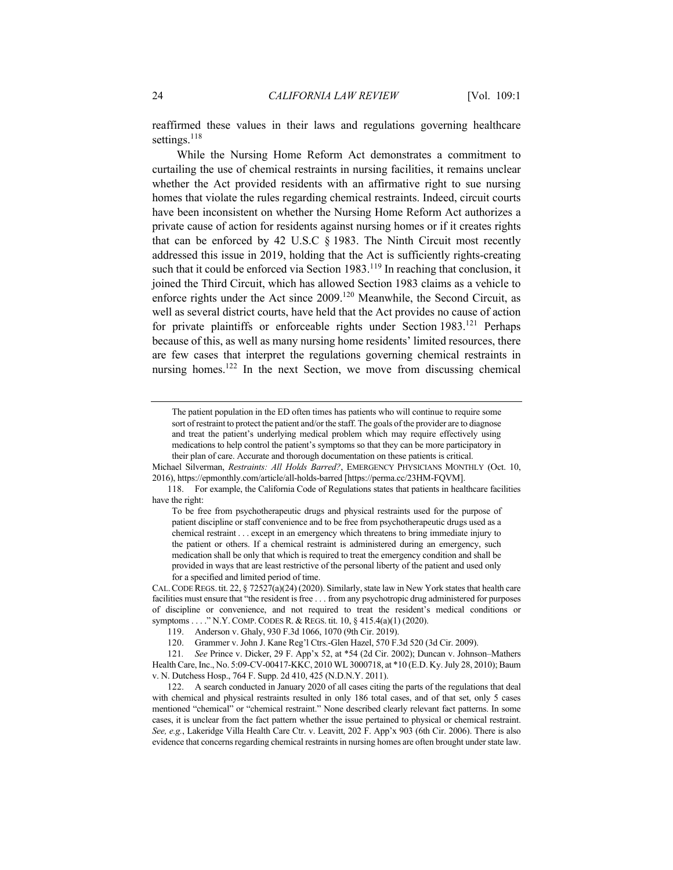reaffirmed these values in their laws and regulations governing healthcare settings. $118$ 

While the Nursing Home Reform Act demonstrates a commitment to curtailing the use of chemical restraints in nursing facilities, it remains unclear whether the Act provided residents with an affirmative right to sue nursing homes that violate the rules regarding chemical restraints. Indeed, circuit courts have been inconsistent on whether the Nursing Home Reform Act authorizes a private cause of action for residents against nursing homes or if it creates rights that can be enforced by 42 U.S.C § 1983. The Ninth Circuit most recently addressed this issue in 2019, holding that the Act is sufficiently rights-creating such that it could be enforced via Section  $1983$ .<sup>119</sup> In reaching that conclusion, it joined the Third Circuit, which has allowed Section 1983 claims as a vehicle to enforce rights under the Act since 2009.120 Meanwhile, the Second Circuit, as well as several district courts, have held that the Act provides no cause of action for private plaintiffs or enforceable rights under Section 1983.<sup>121</sup> Perhaps because of this, as well as many nursing home residents' limited resources, there are few cases that interpret the regulations governing chemical restraints in nursing homes.<sup>122</sup> In the next Section, we move from discussing chemical

Michael Silverman, *Restraints: All Holds Barred?*, EMERGENCY PHYSICIANS MONTHLY (Oct. 10, 2016), https://epmonthly.com/article/all-holds-barred [https://perma.cc/23HM-FQVM].

The patient population in the ED often times has patients who will continue to require some sort of restraint to protect the patient and/or the staff. The goals of the provider are to diagnose and treat the patient's underlying medical problem which may require effectively using medications to help control the patient's symptoms so that they can be more participatory in their plan of care. Accurate and thorough documentation on these patients is critical.

<sup>118.</sup> For example, the California Code of Regulations states that patients in healthcare facilities have the right:

To be free from psychotherapeutic drugs and physical restraints used for the purpose of patient discipline or staff convenience and to be free from psychotherapeutic drugs used as a chemical restraint . . . except in an emergency which threatens to bring immediate injury to the patient or others. If a chemical restraint is administered during an emergency, such medication shall be only that which is required to treat the emergency condition and shall be provided in ways that are least restrictive of the personal liberty of the patient and used only for a specified and limited period of time.

CAL.CODE REGS. tit. 22, § 72527(a)(24) (2020). Similarly, state law in New York states that health care facilities must ensure that "the resident is free . . . from any psychotropic drug administered for purposes of discipline or convenience, and not required to treat the resident's medical conditions or symptoms . . . ." N.Y. COMP. CODES R. & REGS. tit. 10, § 415.4(a)(1) (2020).

<sup>119.</sup> Anderson v. Ghaly, 930 F.3d 1066, 1070 (9th Cir. 2019).

<sup>120.</sup> Grammer v. John J. Kane Reg'l Ctrs.-Glen Hazel, 570 F.3d 520 (3d Cir. 2009).

<sup>121</sup>*. See* Prince v. Dicker, 29 F. App'x 52, at \*54 (2d Cir. 2002); Duncan v. Johnson–Mathers Health Care, Inc., No. 5:09-CV-00417-KKC, 2010 WL 3000718, at \*10 (E.D. Ky. July 28, 2010); Baum v. N. Dutchess Hosp., 764 F. Supp. 2d 410, 425 (N.D.N.Y. 2011).

<sup>122.</sup> A search conducted in January 2020 of all cases citing the parts of the regulations that deal with chemical and physical restraints resulted in only 186 total cases, and of that set, only 5 cases mentioned "chemical" or "chemical restraint." None described clearly relevant fact patterns. In some cases, it is unclear from the fact pattern whether the issue pertained to physical or chemical restraint. *See, e.g.*, Lakeridge Villa Health Care Ctr. v. Leavitt, 202 F. App'x 903 (6th Cir. 2006). There is also evidence that concerns regarding chemical restraints in nursing homes are often brought under state law.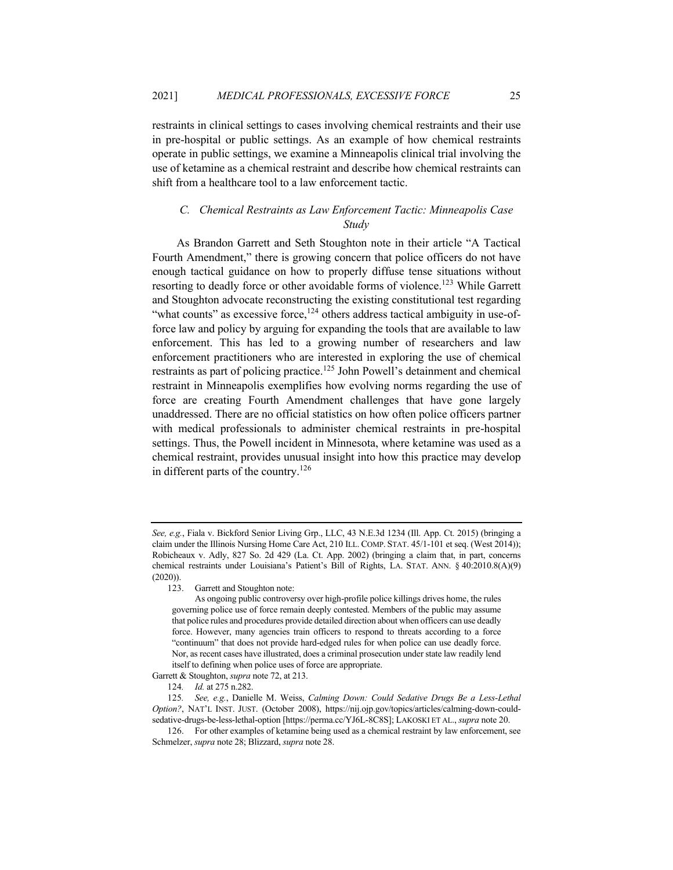restraints in clinical settings to cases involving chemical restraints and their use in pre-hospital or public settings. As an example of how chemical restraints operate in public settings, we examine a Minneapolis clinical trial involving the use of ketamine as a chemical restraint and describe how chemical restraints can shift from a healthcare tool to a law enforcement tactic.

# *C. Chemical Restraints as Law Enforcement Tactic: Minneapolis Case Study*

As Brandon Garrett and Seth Stoughton note in their article "A Tactical Fourth Amendment," there is growing concern that police officers do not have enough tactical guidance on how to properly diffuse tense situations without resorting to deadly force or other avoidable forms of violence.<sup>123</sup> While Garrett and Stoughton advocate reconstructing the existing constitutional test regarding "what counts" as excessive force, $124$  others address tactical ambiguity in use-offorce law and policy by arguing for expanding the tools that are available to law enforcement. This has led to a growing number of researchers and law enforcement practitioners who are interested in exploring the use of chemical restraints as part of policing practice.<sup>125</sup> John Powell's detainment and chemical restraint in Minneapolis exemplifies how evolving norms regarding the use of force are creating Fourth Amendment challenges that have gone largely unaddressed. There are no official statistics on how often police officers partner with medical professionals to administer chemical restraints in pre-hospital settings. Thus, the Powell incident in Minnesota, where ketamine was used as a chemical restraint, provides unusual insight into how this practice may develop in different parts of the country.<sup>126</sup>

*See, e.g.*, Fiala v. Bickford Senior Living Grp., LLC, 43 N.E.3d 1234 (Ill. App. Ct. 2015) (bringing a claim under the Illinois Nursing Home Care Act, 210 ILL. COMP. STAT. 45/1-101 et seq. (West 2014)); Robicheaux v. Adly, 827 So. 2d 429 (La. Ct. App. 2002) (bringing a claim that, in part, concerns chemical restraints under Louisiana's Patient's Bill of Rights, LA. STAT. ANN. § 40:2010.8(A)(9) (2020)).

<sup>123.</sup> Garrett and Stoughton note:

As ongoing public controversy over high-profile police killings drives home, the rules governing police use of force remain deeply contested. Members of the public may assume that police rules and procedures provide detailed direction about when officers can use deadly force. However, many agencies train officers to respond to threats according to a force "continuum" that does not provide hard-edged rules for when police can use deadly force. Nor, as recent cases have illustrated, does a criminal prosecution under state law readily lend itself to defining when police uses of force are appropriate.

Garrett & Stoughton, *supra* note 72, at 213.

<sup>124</sup>*. Id.* at 275 n.282.

<sup>125</sup>*. See, e.g.*, Danielle M. Weiss, *Calming Down: Could Sedative Drugs Be a Less-Lethal Option?*, NAT'L INST. JUST. (October 2008), https://nij.ojp.gov/topics/articles/calming-down-couldsedative-drugs-be-less-lethal-option [https://perma.cc/YJ6L-8C8S]; LAKOSKI ET AL., *supra* note 20.

<sup>126.</sup> For other examples of ketamine being used as a chemical restraint by law enforcement, see Schmelzer, *supra* note 28; Blizzard, *supra* note 28.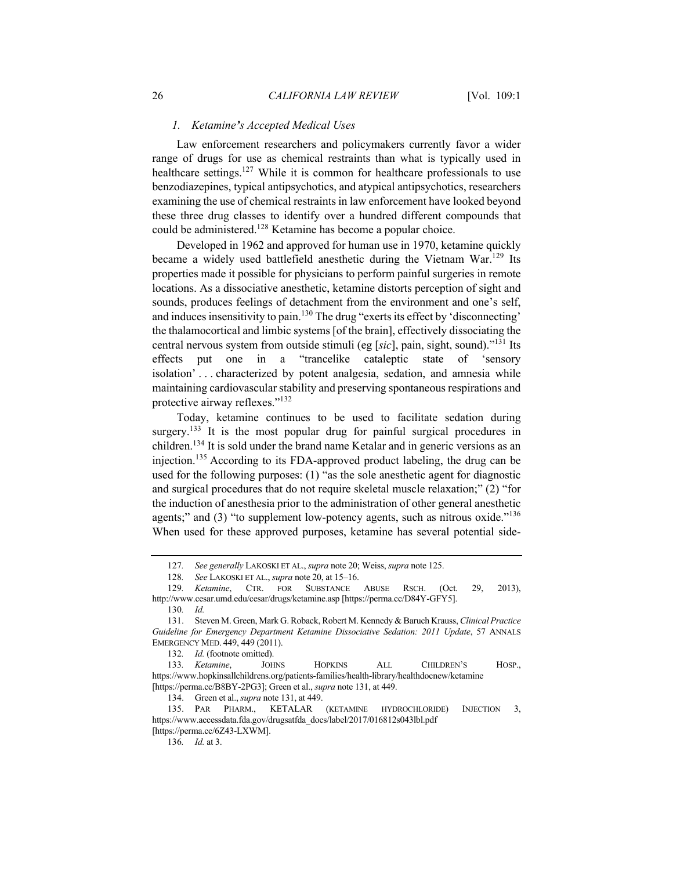## *1. Ketamine's Accepted Medical Uses*

Law enforcement researchers and policymakers currently favor a wider range of drugs for use as chemical restraints than what is typically used in healthcare settings.<sup>127</sup> While it is common for healthcare professionals to use benzodiazepines, typical antipsychotics, and atypical antipsychotics, researchers examining the use of chemical restraints in law enforcement have looked beyond these three drug classes to identify over a hundred different compounds that could be administered.<sup>128</sup> Ketamine has become a popular choice.

Developed in 1962 and approved for human use in 1970, ketamine quickly became a widely used battlefield anesthetic during the Vietnam War.<sup>129</sup> Its properties made it possible for physicians to perform painful surgeries in remote locations. As a dissociative anesthetic, ketamine distorts perception of sight and sounds, produces feelings of detachment from the environment and one's self, and induces insensitivity to pain.<sup>130</sup> The drug "exerts its effect by 'disconnecting' the thalamocortical and limbic systems [of the brain], effectively dissociating the central nervous system from outside stimuli (eg [*sic*], pain, sight, sound)."131 Its effects put one in a "trancelike cataleptic state of 'sensory isolation' . . . characterized by potent analgesia, sedation, and amnesia while maintaining cardiovascular stability and preserving spontaneous respirations and protective airway reflexes."<sup>132</sup>

Today, ketamine continues to be used to facilitate sedation during surgery.<sup>133</sup> It is the most popular drug for painful surgical procedures in children.134 It is sold under the brand name Ketalar and in generic versions as an injection.<sup>135</sup> According to its FDA-approved product labeling, the drug can be used for the following purposes: (1) "as the sole anesthetic agent for diagnostic and surgical procedures that do not require skeletal muscle relaxation;" (2) "for the induction of anesthesia prior to the administration of other general anesthetic agents;" and (3) "to supplement low-potency agents, such as nitrous oxide."<sup>136</sup> When used for these approved purposes, ketamine has several potential side-

<sup>127</sup>*. See generally* LAKOSKI ET AL., *supra* note 20; Weiss, *supra* note 125.

<sup>128</sup>*. See* LAKOSKI ET AL., *supra* note 20, at 15–16.

<sup>129</sup>*. Ketamine*, CTR. FOR SUBSTANCE ABUSE RSCH. (Oct. 29, 2013), http://www.cesar.umd.edu/cesar/drugs/ketamine.asp [https://perma.cc/D84Y-GFY5].

<sup>130</sup>*. Id.*

<sup>131.</sup> Steven M. Green, Mark G. Roback, Robert M. Kennedy & Baruch Krauss, *Clinical Practice Guideline for Emergency Department Ketamine Dissociative Sedation: 2011 Update*, 57 ANNALS EMERGENCY MED. 449, 449 (2011).

<sup>132</sup>*. Id.* (footnote omitted).

<sup>133</sup>*. Ketamine*, JOHNS HOPKINS ALL CHILDREN'S HOSP., https://www.hopkinsallchildrens.org/patients-families/health-library/healthdocnew/ketamine [https://perma.cc/B8BY-2PG3]; Green et al., *supra* note 131, at 449.

<sup>134.</sup> Green et al., *supra* note 131, at 449.

<sup>135.</sup> PAR PHARM., KETALAR (KETAMINE HYDROCHLORIDE) INJECTION 3, https://www.accessdata.fda.gov/drugsatfda\_docs/label/2017/016812s043lbl.pdf [https://perma.cc/6Z43-LXWM].

<sup>136</sup>*. Id.* at 3.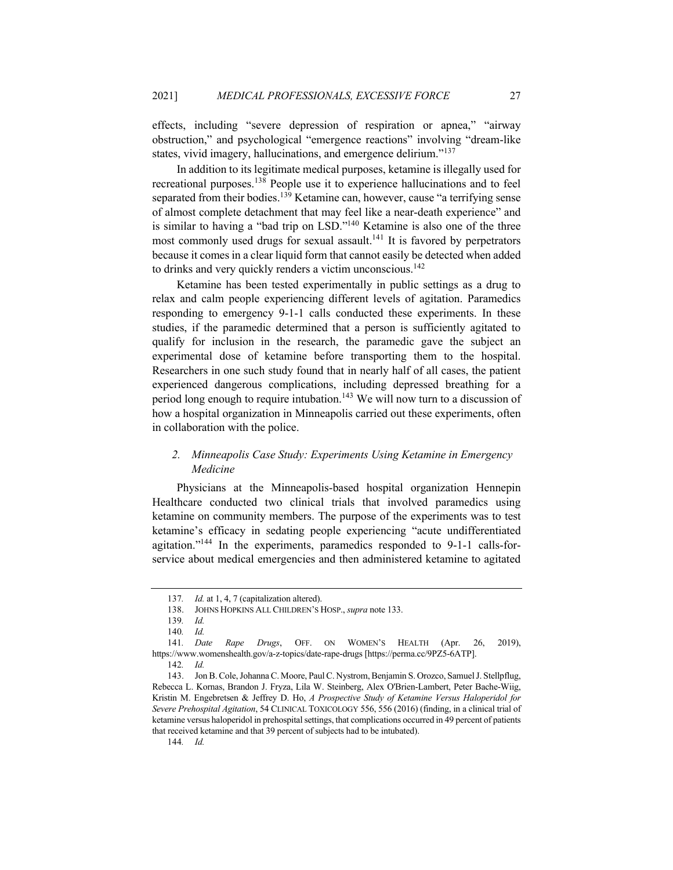effects, including "severe depression of respiration or apnea," "airway obstruction," and psychological "emergence reactions" involving "dream-like states, vivid imagery, hallucinations, and emergence delirium."<sup>137</sup>

In addition to its legitimate medical purposes, ketamine is illegally used for recreational purposes.<sup>138</sup> People use it to experience hallucinations and to feel separated from their bodies.<sup>139</sup> Ketamine can, however, cause "a terrifying sense of almost complete detachment that may feel like a near-death experience" and is similar to having a "bad trip on LSD."140 Ketamine is also one of the three most commonly used drugs for sexual assault.<sup>141</sup> It is favored by perpetrators because it comes in a clear liquid form that cannot easily be detected when added to drinks and very quickly renders a victim unconscious.<sup>142</sup>

Ketamine has been tested experimentally in public settings as a drug to relax and calm people experiencing different levels of agitation. Paramedics responding to emergency 9-1-1 calls conducted these experiments. In these studies, if the paramedic determined that a person is sufficiently agitated to qualify for inclusion in the research, the paramedic gave the subject an experimental dose of ketamine before transporting them to the hospital. Researchers in one such study found that in nearly half of all cases, the patient experienced dangerous complications, including depressed breathing for a period long enough to require intubation.<sup>143</sup> We will now turn to a discussion of how a hospital organization in Minneapolis carried out these experiments, often in collaboration with the police.

## *2. Minneapolis Case Study: Experiments Using Ketamine in Emergency Medicine*

Physicians at the Minneapolis-based hospital organization Hennepin Healthcare conducted two clinical trials that involved paramedics using ketamine on community members. The purpose of the experiments was to test ketamine's efficacy in sedating people experiencing "acute undifferentiated agitation."144 In the experiments, paramedics responded to 9-1-1 calls-forservice about medical emergencies and then administered ketamine to agitated

<sup>137</sup>*. Id.* at 1, 4, 7 (capitalization altered).

<sup>138.</sup> JOHNS HOPKINS ALL CHILDREN'S HOSP., *supra* note 133.

<sup>139</sup>*. Id.*

<sup>140</sup>*. Id.* 141*. Date Rape Drugs*, OFF. ON WOMEN'S HEALTH (Apr. 26, 2019), https://www.womenshealth.gov/a-z-topics/date-rape-drugs [https://perma.cc/9PZ5-6ATP].

<sup>142</sup>*. Id.*

<sup>143.</sup> Jon B. Cole, Johanna C. Moore, Paul C. Nystrom, Benjamin S. Orozco, Samuel J. Stellpflug, Rebecca L. Kornas, Brandon J. Fryza, Lila W. Steinberg, Alex O'Brien-Lambert, Peter Bache-Wiig, Kristin M. Engebretsen & Jeffrey D. Ho, *A Prospective Study of Ketamine Versus Haloperidol for Severe Prehospital Agitation*, 54 CLINICAL TOXICOLOGY 556, 556 (2016) (finding, in a clinical trial of ketamine versus haloperidol in prehospital settings, that complications occurred in 49 percent of patients that received ketamine and that 39 percent of subjects had to be intubated).

<sup>144</sup>*. Id.*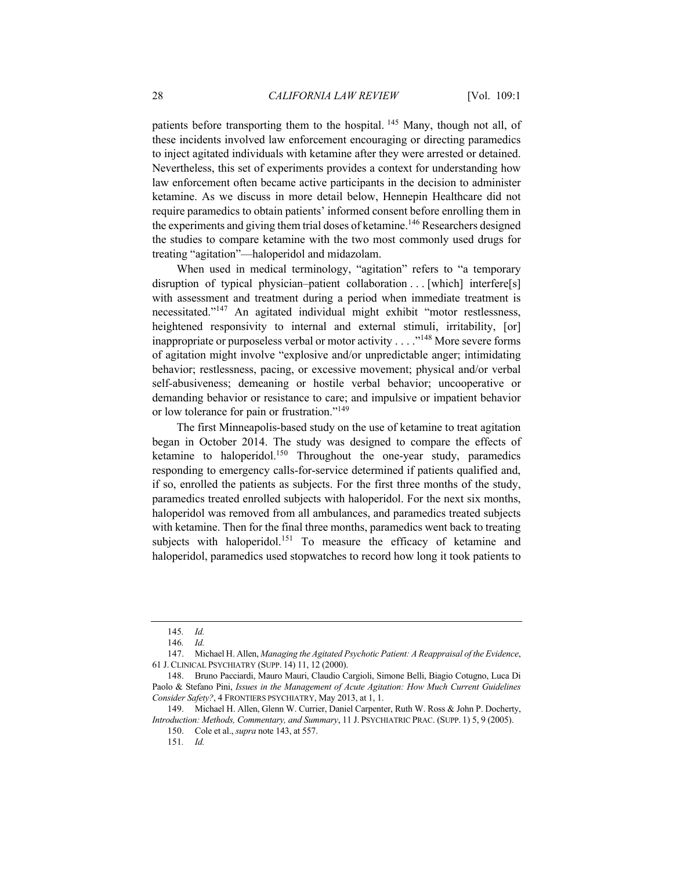patients before transporting them to the hospital. <sup>145</sup> Many, though not all, of these incidents involved law enforcement encouraging or directing paramedics to inject agitated individuals with ketamine after they were arrested or detained. Nevertheless, this set of experiments provides a context for understanding how law enforcement often became active participants in the decision to administer ketamine. As we discuss in more detail below, Hennepin Healthcare did not require paramedics to obtain patients' informed consent before enrolling them in the experiments and giving them trial doses of ketamine.<sup>146</sup> Researchers designed the studies to compare ketamine with the two most commonly used drugs for treating "agitation"—haloperidol and midazolam.

When used in medical terminology, "agitation" refers to "a temporary disruption of typical physician–patient collaboration . . . [which] interfere[s] with assessment and treatment during a period when immediate treatment is necessitated."<sup>147</sup> An agitated individual might exhibit "motor restlessness, heightened responsivity to internal and external stimuli, irritability, [or] inappropriate or purposeless verbal or motor activity  $\dots$ <sup>148</sup> More severe forms of agitation might involve "explosive and/or unpredictable anger; intimidating behavior; restlessness, pacing, or excessive movement; physical and/or verbal self-abusiveness; demeaning or hostile verbal behavior; uncooperative or demanding behavior or resistance to care; and impulsive or impatient behavior or low tolerance for pain or frustration."<sup>149</sup>

The first Minneapolis-based study on the use of ketamine to treat agitation began in October 2014. The study was designed to compare the effects of ketamine to haloperidol.<sup>150</sup> Throughout the one-year study, paramedics responding to emergency calls-for-service determined if patients qualified and, if so, enrolled the patients as subjects. For the first three months of the study, paramedics treated enrolled subjects with haloperidol. For the next six months, haloperidol was removed from all ambulances, and paramedics treated subjects with ketamine. Then for the final three months, paramedics went back to treating subjects with haloperidol.<sup>151</sup> To measure the efficacy of ketamine and haloperidol, paramedics used stopwatches to record how long it took patients to

<sup>145</sup>*. Id.*

<sup>146</sup>*. Id.*

<sup>147.</sup> Michael H. Allen, *Managing the Agitated Psychotic Patient: A Reappraisal of the Evidence*, 61 J. CLINICAL PSYCHIATRY (SUPP. 14) 11, 12 (2000).

<sup>148.</sup> Bruno Pacciardi, Mauro Mauri, Claudio Cargioli, Simone Belli, Biagio Cotugno, Luca Di Paolo & Stefano Pini, *Issues in the Management of Acute Agitation: How Much Current Guidelines Consider Safety?*, 4 FRONTIERS PSYCHIATRY, May 2013, at 1, 1.

<sup>149.</sup> Michael H. Allen, Glenn W. Currier, Daniel Carpenter, Ruth W. Ross & John P. Docherty, *Introduction: Methods, Commentary, and Summary*, 11 J. PSYCHIATRIC PRAC. (SUPP. 1) 5, 9 (2005).

<sup>150.</sup> Cole et al., *supra* note 143, at 557.

<sup>151</sup>*. Id.*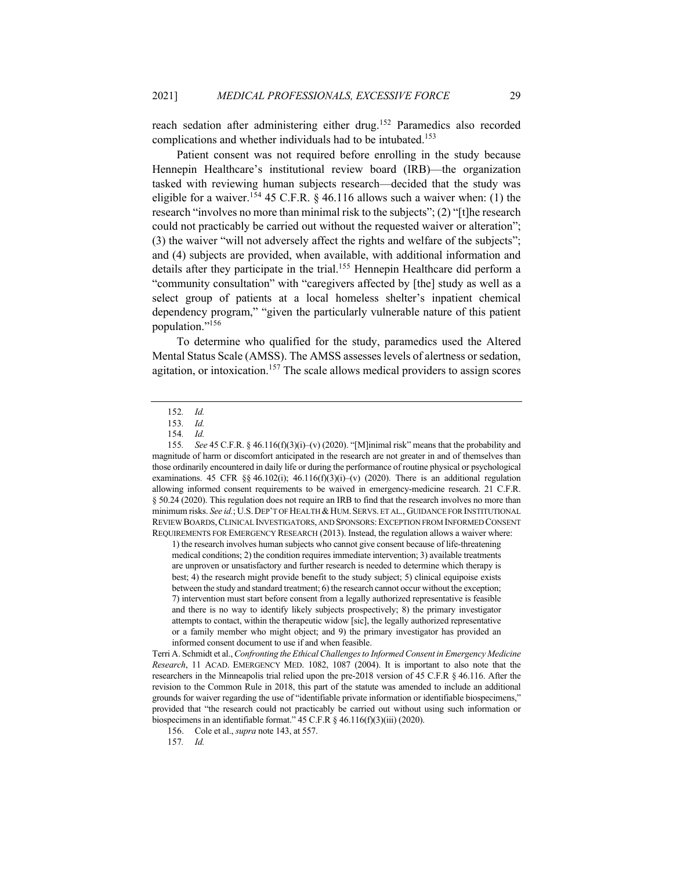reach sedation after administering either drug.<sup>152</sup> Paramedics also recorded complications and whether individuals had to be intubated.<sup>153</sup>

Patient consent was not required before enrolling in the study because Hennepin Healthcare's institutional review board (IRB)—the organization tasked with reviewing human subjects research—decided that the study was eligible for a waiver.<sup>154</sup> 45 C.F.R. § 46.116 allows such a waiver when: (1) the research "involves no more than minimal risk to the subjects"; (2) "[t]he research could not practicably be carried out without the requested waiver or alteration"; (3) the waiver "will not adversely affect the rights and welfare of the subjects"; and (4) subjects are provided, when available, with additional information and details after they participate in the trial.<sup>155</sup> Hennepin Healthcare did perform a "community consultation" with "caregivers affected by [the] study as well as a select group of patients at a local homeless shelter's inpatient chemical dependency program," "given the particularly vulnerable nature of this patient population."<sup>156</sup>

To determine who qualified for the study, paramedics used the Altered Mental Status Scale (AMSS). The AMSS assesses levels of alertness or sedation, agitation, or intoxication.<sup>157</sup> The scale allows medical providers to assign scores

152*. Id.*

153*. Id.*

1) the research involves human subjects who cannot give consent because of life-threatening medical conditions; 2) the condition requires immediate intervention; 3) available treatments are unproven or unsatisfactory and further research is needed to determine which therapy is best; 4) the research might provide benefit to the study subject; 5) clinical equipoise exists between the study and standard treatment; 6) the research cannot occur without the exception; 7) intervention must start before consent from a legally authorized representative is feasible and there is no way to identify likely subjects prospectively; 8) the primary investigator attempts to contact, within the therapeutic widow [sic], the legally authorized representative or a family member who might object; and 9) the primary investigator has provided an informed consent document to use if and when feasible.

Terri A. Schmidt et al., *Confronting the Ethical Challenges to Informed Consent in Emergency Medicine Research*, 11 ACAD. EMERGENCY MED. 1082, 1087 (2004). It is important to also note that the researchers in the Minneapolis trial relied upon the pre-2018 version of 45 C.F.R § 46.116. After the revision to the Common Rule in 2018, this part of the statute was amended to include an additional grounds for waiver regarding the use of "identifiable private information or identifiable biospecimens," provided that "the research could not practicably be carried out without using such information or biospecimens in an identifiable format." 45 C.F.R § 46.116(f)(3)(iii) (2020).

156. Cole et al., *supra* note 143, at 557.

157*. Id.*

<sup>154</sup>*. Id.*

<sup>155</sup>*. See* 45 C.F.R. § 46.116(f)(3)(i)–(v) (2020). "[M]inimal risk" means that the probability and magnitude of harm or discomfort anticipated in the research are not greater in and of themselves than those ordinarily encountered in daily life or during the performance of routine physical or psychological examinations. 45 CFR §§ 46.102(i); 46.116(f)(3)(i)–(v) (2020). There is an additional regulation allowing informed consent requirements to be waived in emergency-medicine research. 21 C.F.R. § 50.24 (2020). This regulation does not require an IRB to find that the research involves no more than minimum risks. *See id.*; U.S. DEP'T OF HEALTH & HUM. SERVS. ET AL., GUIDANCE FOR INSTITUTIONAL REVIEW BOARDS,CLINICAL INVESTIGATORS, AND SPONSORS:EXCEPTION FROM INFORMED CONSENT REQUIREMENTS FOR EMERGENCY RESEARCH (2013). Instead, the regulation allows a waiver where: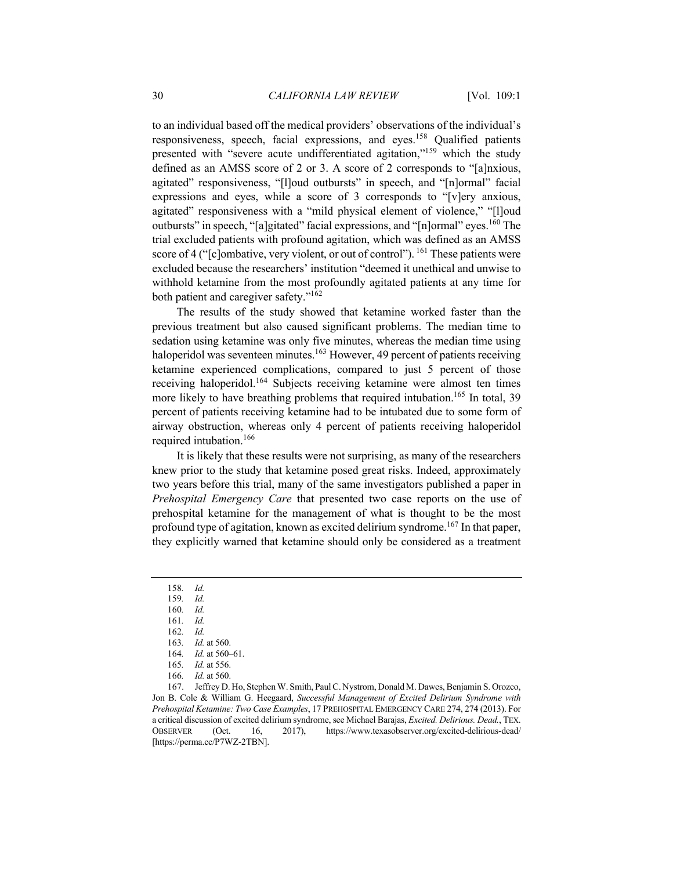to an individual based off the medical providers' observations of the individual's responsiveness, speech, facial expressions, and eyes.<sup>158</sup> Qualified patients presented with "severe acute undifferentiated agitation,"<sup>159</sup> which the study defined as an AMSS score of 2 or 3. A score of 2 corresponds to "[a]nxious, agitated" responsiveness, "[l]oud outbursts" in speech, and "[n]ormal" facial expressions and eyes, while a score of 3 corresponds to "[v]ery anxious, agitated" responsiveness with a "mild physical element of violence," "[l]oud outbursts" in speech, "[a]gitated" facial expressions, and "[n]ormal" eyes.<sup>160</sup> The trial excluded patients with profound agitation, which was defined as an AMSS score of 4 (" $[c]$ ombative, very violent, or out of control"). <sup>161</sup> These patients were excluded because the researchers' institution "deemed it unethical and unwise to withhold ketamine from the most profoundly agitated patients at any time for both patient and caregiver safety."<sup>162</sup>

The results of the study showed that ketamine worked faster than the previous treatment but also caused significant problems. The median time to sedation using ketamine was only five minutes, whereas the median time using haloperidol was seventeen minutes.<sup>163</sup> However, 49 percent of patients receiving ketamine experienced complications, compared to just 5 percent of those receiving haloperidol.<sup>164</sup> Subjects receiving ketamine were almost ten times more likely to have breathing problems that required intubation.<sup>165</sup> In total, 39 percent of patients receiving ketamine had to be intubated due to some form of airway obstruction, whereas only 4 percent of patients receiving haloperidol required intubation.166

It is likely that these results were not surprising, as many of the researchers knew prior to the study that ketamine posed great risks. Indeed, approximately two years before this trial, many of the same investigators published a paper in *Prehospital Emergency Care* that presented two case reports on the use of prehospital ketamine for the management of what is thought to be the most profound type of agitation, known as excited delirium syndrome.<sup>167</sup> In that paper, they explicitly warned that ketamine should only be considered as a treatment

<sup>158</sup>*. Id.*

<sup>159</sup>*. Id.*

<sup>160</sup>*. Id.*

<sup>161</sup>*. Id.*

<sup>162</sup>*. Id.*

<sup>163</sup>*. Id.* at 560.

<sup>164</sup>*. Id.* at 560–61.

<sup>165</sup>*. Id.* at 556.

<sup>166</sup>*. Id.* at 560.

<sup>167.</sup> Jeffrey D. Ho, Stephen W. Smith, Paul C. Nystrom, Donald M. Dawes, Benjamin S. Orozco, Jon B. Cole & William G. Heegaard, *Successful Management of Excited Delirium Syndrome with Prehospital Ketamine: Two Case Examples*, 17 PREHOSPITAL EMERGENCY CARE 274, 274 (2013). For a critical discussion of excited delirium syndrome, see Michael Barajas, *Excited. Delirious. Dead.*, TEX. OBSERVER (Oct. 16, 2017), https://www.texasobserver.org/excited-delirious-dead/ [https://perma.cc/P7WZ-2TBN].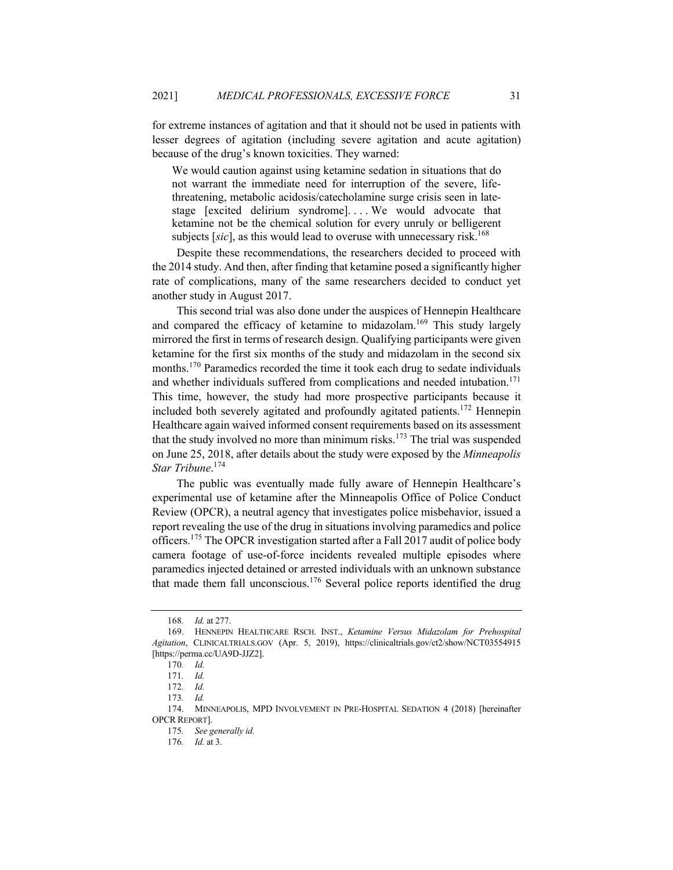for extreme instances of agitation and that it should not be used in patients with lesser degrees of agitation (including severe agitation and acute agitation) because of the drug's known toxicities. They warned:

We would caution against using ketamine sedation in situations that do not warrant the immediate need for interruption of the severe, lifethreatening, metabolic acidosis/catecholamine surge crisis seen in latestage [excited delirium syndrome]. . . . We would advocate that ketamine not be the chemical solution for every unruly or belligerent subjects [sic], as this would lead to overuse with unnecessary risk.<sup>168</sup>

Despite these recommendations, the researchers decided to proceed with the 2014 study. And then, after finding that ketamine posed a significantly higher rate of complications, many of the same researchers decided to conduct yet another study in August 2017.

This second trial was also done under the auspices of Hennepin Healthcare and compared the efficacy of ketamine to midazolam.<sup>169</sup> This study largely mirrored the first in terms of research design. Qualifying participants were given ketamine for the first six months of the study and midazolam in the second six months.<sup>170</sup> Paramedics recorded the time it took each drug to sedate individuals and whether individuals suffered from complications and needed intubation.<sup>171</sup> This time, however, the study had more prospective participants because it included both severely agitated and profoundly agitated patients.<sup>172</sup> Hennepin Healthcare again waived informed consent requirements based on its assessment that the study involved no more than minimum risks.<sup>173</sup> The trial was suspended on June 25, 2018, after details about the study were exposed by the *Minneapolis Star Tribune*. 174

The public was eventually made fully aware of Hennepin Healthcare's experimental use of ketamine after the Minneapolis Office of Police Conduct Review (OPCR), a neutral agency that investigates police misbehavior, issued a report revealing the use of the drug in situations involving paramedics and police officers.<sup>175</sup> The OPCR investigation started after a Fall 2017 audit of police body camera footage of use-of-force incidents revealed multiple episodes where paramedics injected detained or arrested individuals with an unknown substance that made them fall unconscious.<sup>176</sup> Several police reports identified the drug

<sup>168</sup>*. Id.* at 277.

<sup>169.</sup> HENNEPIN HEALTHCARE RSCH. INST., *Ketamine Versus Midazolam for Prehospital Agitation*, CLINICALTRIALS.GOV (Apr. 5, 2019), https://clinicaltrials.gov/ct2/show/NCT03554915 [https://perma.cc/UA9D-JJZ2].

<sup>170</sup>*. Id.*

<sup>171</sup>*. Id.*

<sup>172</sup>*. Id.*

<sup>173</sup>*. Id.*

<sup>174.</sup> MINNEAPOLIS, MPD INVOLVEMENT IN PRE-HOSPITAL SEDATION 4 (2018) [hereinafter OPCR REPORT].

<sup>175</sup>*. See generally id.*

<sup>176</sup>*. Id.* at 3.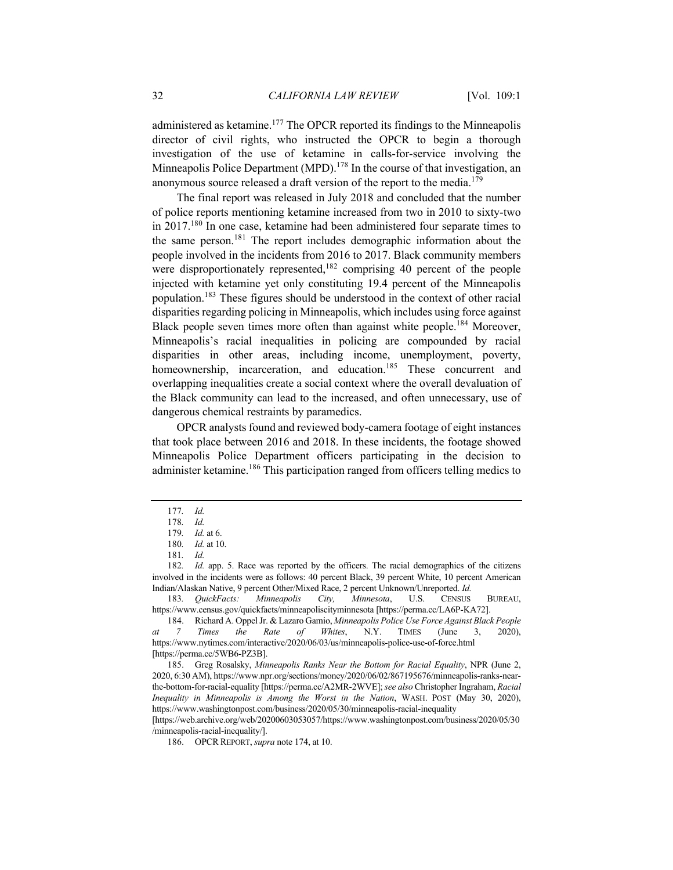administered as ketamine.<sup>177</sup> The OPCR reported its findings to the Minneapolis director of civil rights, who instructed the OPCR to begin a thorough investigation of the use of ketamine in calls-for-service involving the Minneapolis Police Department (MPD).<sup>178</sup> In the course of that investigation, an anonymous source released a draft version of the report to the media.<sup>179</sup>

The final report was released in July 2018 and concluded that the number of police reports mentioning ketamine increased from two in 2010 to sixty-two in 2017.<sup>180</sup> In one case, ketamine had been administered four separate times to the same person.<sup>181</sup> The report includes demographic information about the people involved in the incidents from 2016 to 2017. Black community members were disproportionately represented,  $182$  comprising 40 percent of the people injected with ketamine yet only constituting 19.4 percent of the Minneapolis population.<sup>183</sup> These figures should be understood in the context of other racial disparities regarding policing in Minneapolis, which includes using force against Black people seven times more often than against white people.<sup>184</sup> Moreover, Minneapolis's racial inequalities in policing are compounded by racial disparities in other areas, including income, unemployment, poverty, homeownership, incarceration, and education.<sup>185</sup> These concurrent and overlapping inequalities create a social context where the overall devaluation of the Black community can lead to the increased, and often unnecessary, use of dangerous chemical restraints by paramedics.

OPCR analysts found and reviewed body-camera footage of eight instances that took place between 2016 and 2018. In these incidents, the footage showed Minneapolis Police Department officers participating in the decision to administer ketamine.<sup>186</sup> This participation ranged from officers telling medics to

182*. Id.* app. 5. Race was reported by the officers. The racial demographics of the citizens involved in the incidents were as follows: 40 percent Black, 39 percent White, 10 percent American Indian/Alaskan Native, 9 percent Other/Mixed Race, 2 percent Unknown/Unreported. *Id.*

183*. QuickFacts: Minneapolis City, Minnesota*, U.S. CENSUS BUREAU, https://www.census.gov/quickfacts/minneapoliscityminnesota [https://perma.cc/LA6P-KA72].

185. Greg Rosalsky, *Minneapolis Ranks Near the Bottom for Racial Equality*, NPR (June 2, 2020, 6:30 AM), https://www.npr.org/sections/money/2020/06/02/867195676/minneapolis-ranks-nearthe-bottom-for-racial-equality [https://perma.cc/A2MR-2WVE]; *see also* Christopher Ingraham, *Racial Inequality in Minneapolis is Among the Worst in the Nation*, WASH. POST (May 30, 2020), https://www.washingtonpost.com/business/2020/05/30/minneapolis-racial-inequality

[https://web.archive.org/web/20200603053057/https://www.washingtonpost.com/business/2020/05/30 /minneapolis-racial-inequality/].

<sup>177</sup>*. Id.*

<sup>178</sup>*. Id.*

<sup>179</sup>*. Id.* at 6.

<sup>180</sup>*. Id.* at 10.

<sup>181</sup>*. Id.*

<sup>184.</sup> Richard A. Oppel Jr. & Lazaro Gamio, *Minneapolis Police Use Force Against Black People at 7 Times the Rate of Whites*, N.Y. TIMES (June 3, 2020), https://www.nytimes.com/interactive/2020/06/03/us/minneapolis-police-use-of-force.html [https://perma.cc/5WB6-PZ3B].

<sup>186.</sup> OPCR REPORT, *supra* note 174, at 10.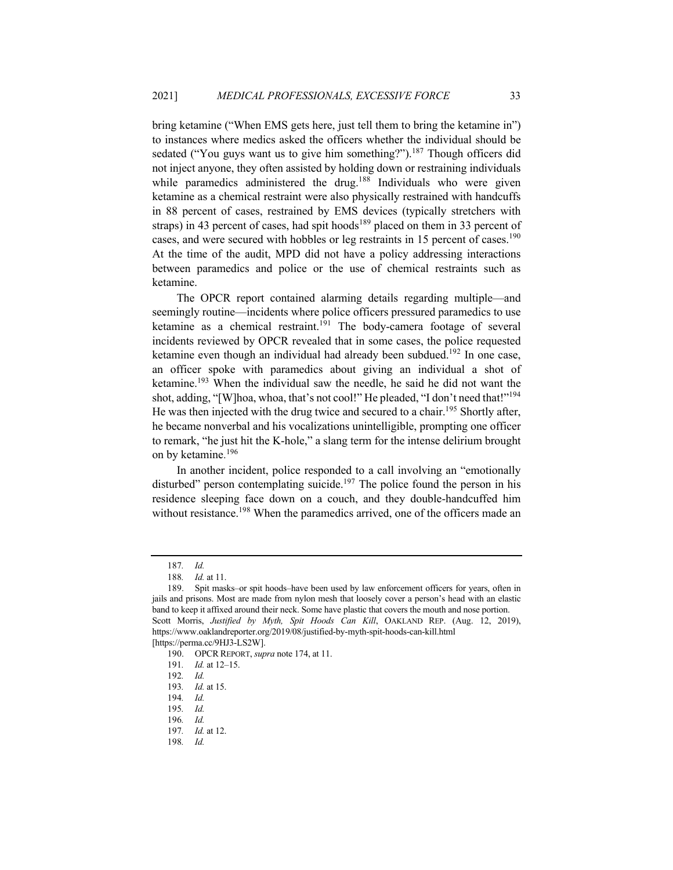bring ketamine ("When EMS gets here, just tell them to bring the ketamine in") to instances where medics asked the officers whether the individual should be sedated ("You guys want us to give him something?").<sup>187</sup> Though officers did not inject anyone, they often assisted by holding down or restraining individuals while paramedics administered the drug.<sup>188</sup> Individuals who were given ketamine as a chemical restraint were also physically restrained with handcuffs in 88 percent of cases, restrained by EMS devices (typically stretchers with straps) in 43 percent of cases, had spit hoods<sup>189</sup> placed on them in 33 percent of cases, and were secured with hobbles or leg restraints in 15 percent of cases.<sup>190</sup> At the time of the audit, MPD did not have a policy addressing interactions between paramedics and police or the use of chemical restraints such as ketamine.

The OPCR report contained alarming details regarding multiple—and seemingly routine—incidents where police officers pressured paramedics to use ketamine as a chemical restraint.<sup>191</sup> The body-camera footage of several incidents reviewed by OPCR revealed that in some cases, the police requested ketamine even though an individual had already been subdued.<sup>192</sup> In one case, an officer spoke with paramedics about giving an individual a shot of ketamine.<sup>193</sup> When the individual saw the needle, he said he did not want the shot, adding, "[W]hoa, whoa, that's not cool!" He pleaded, "I don't need that!"<sup>194</sup> He was then injected with the drug twice and secured to a chair.<sup>195</sup> Shortly after, he became nonverbal and his vocalizations unintelligible, prompting one officer to remark, "he just hit the K-hole," a slang term for the intense delirium brought on by ketamine. 196

In another incident, police responded to a call involving an "emotionally disturbed" person contemplating suicide.<sup>197</sup> The police found the person in his residence sleeping face down on a couch, and they double-handcuffed him without resistance.<sup>198</sup> When the paramedics arrived, one of the officers made an

<sup>187</sup>*. Id.*

<sup>188</sup>*. Id.* at 11.

<sup>189.</sup> Spit masks–or spit hoods–have been used by law enforcement officers for years, often in jails and prisons. Most are made from nylon mesh that loosely cover a person's head with an elastic band to keep it affixed around their neck. Some have plastic that covers the mouth and nose portion. Scott Morris, *Justified by Myth, Spit Hoods Can Kill*, OAKLAND REP. (Aug. 12, 2019), https://www.oaklandreporter.org/2019/08/justified-by-myth-spit-hoods-can-kill.html [https://perma.cc/9HJ3-LS2W].

<sup>190.</sup> OPCR REPORT, *supra* note 174, at 11.

<sup>191</sup>*. Id.* at 12–15.

<sup>192</sup>*. Id.*

<sup>193</sup>*. Id.* at 15.

<sup>194</sup>*. Id.*

<sup>195</sup>*. Id.*

<sup>196</sup>*. Id.*

<sup>197</sup>*. Id.* at 12.

<sup>198</sup>*. Id.*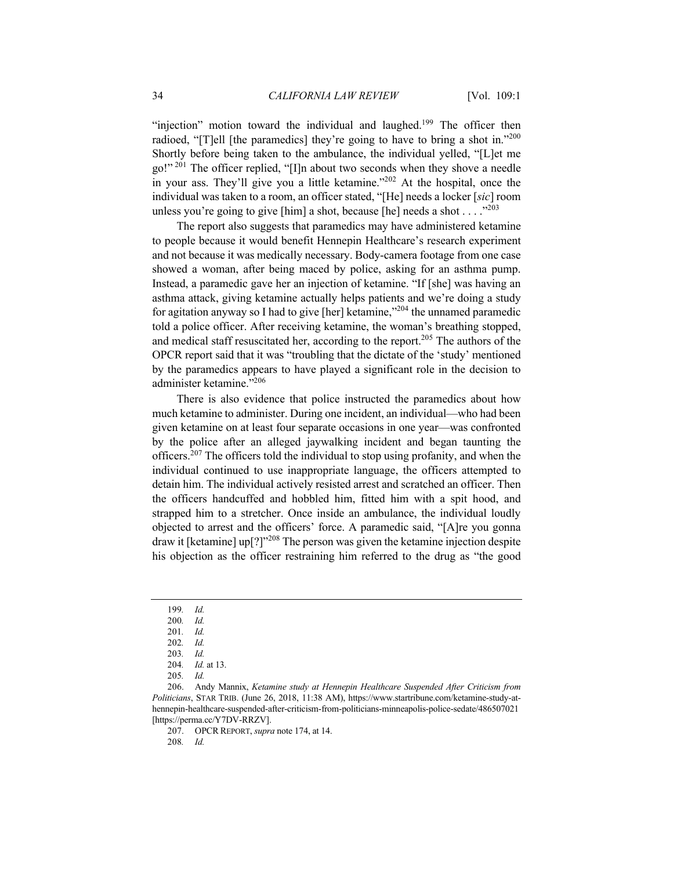"injection" motion toward the individual and laughed.<sup>199</sup> The officer then radioed, "[T]ell [the paramedics] they're going to have to bring a shot in."200 Shortly before being taken to the ambulance, the individual yelled, "[L]et me go!"<sup>201</sup> The officer replied, "[I]n about two seconds when they shove a needle in your ass. They'll give you a little ketamine."202 At the hospital, once the individual was taken to a room, an officer stated, "[He] needs a locker [*sic*] room unless you're going to give [him] a shot, because [he] needs a shot  $\dots$ ."203

The report also suggests that paramedics may have administered ketamine to people because it would benefit Hennepin Healthcare's research experiment and not because it was medically necessary. Body-camera footage from one case showed a woman, after being maced by police, asking for an asthma pump. Instead, a paramedic gave her an injection of ketamine. "If [she] was having an asthma attack, giving ketamine actually helps patients and we're doing a study for agitation anyway so I had to give [her] ketamine, $\frac{1}{204}$  the unnamed paramedic told a police officer. After receiving ketamine, the woman's breathing stopped, and medical staff resuscitated her, according to the report.<sup>205</sup> The authors of the OPCR report said that it was "troubling that the dictate of the 'study' mentioned by the paramedics appears to have played a significant role in the decision to administer ketamine."<sup>206</sup>

There is also evidence that police instructed the paramedics about how much ketamine to administer. During one incident, an individual—who had been given ketamine on at least four separate occasions in one year—was confronted by the police after an alleged jaywalking incident and began taunting the officers.<sup>207</sup> The officers told the individual to stop using profanity, and when the individual continued to use inappropriate language, the officers attempted to detain him. The individual actively resisted arrest and scratched an officer. Then the officers handcuffed and hobbled him, fitted him with a spit hood, and strapped him to a stretcher. Once inside an ambulance, the individual loudly objected to arrest and the officers' force. A paramedic said, "[A]re you gonna draw it [ketamine] up[?]"208 The person was given the ketamine injection despite his objection as the officer restraining him referred to the drug as "the good

<sup>199</sup>*. Id.*

<sup>200</sup>*. Id.*

<sup>201</sup>*. Id.*

<sup>202</sup>*. Id.*

<sup>203</sup>*. Id.*

<sup>204</sup>*. Id.* at 13.

<sup>205</sup>*. Id.*

<sup>206.</sup> Andy Mannix, *Ketamine study at Hennepin Healthcare Suspended After Criticism from Politicians*, STAR TRIB. (June 26, 2018, 11:38 AM), https://www.startribune.com/ketamine-study-athennepin-healthcare-suspended-after-criticism-from-politicians-minneapolis-police-sedate/486507021 [https://perma.cc/Y7DV-RRZV].

<sup>207.</sup> OPCR REPORT, *supra* note 174, at 14.

<sup>208</sup>*. Id.*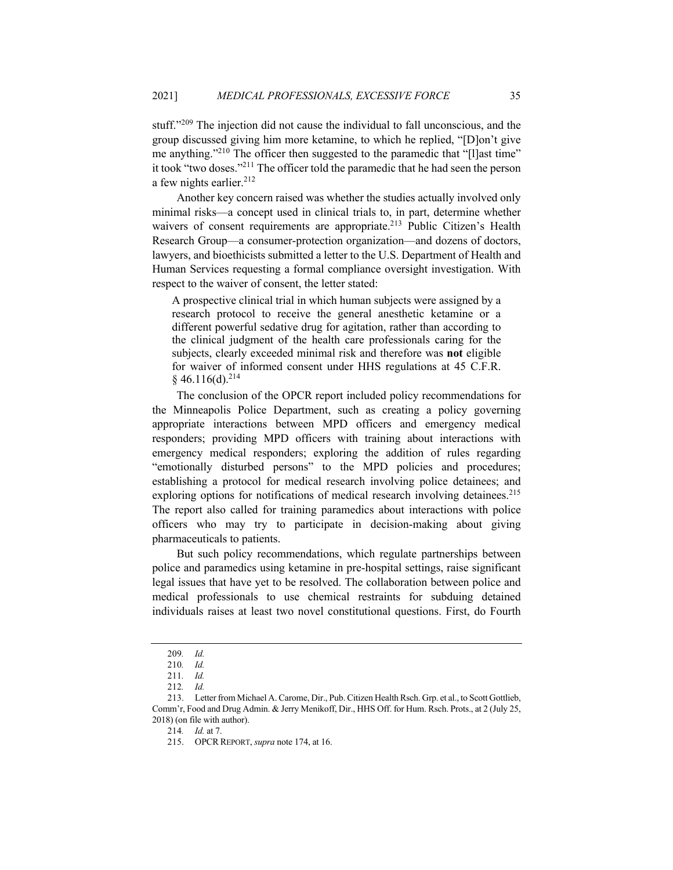stuff."<sup>209</sup> The injection did not cause the individual to fall unconscious, and the group discussed giving him more ketamine, to which he replied, "[D]on't give me anything."<sup>210</sup> The officer then suggested to the paramedic that "[l]ast time" it took "two doses."211 The officer told the paramedic that he had seen the person a few nights earlier.<sup>212</sup>

Another key concern raised was whether the studies actually involved only minimal risks—a concept used in clinical trials to, in part, determine whether waivers of consent requirements are appropriate.<sup>213</sup> Public Citizen's Health Research Group—a consumer-protection organization—and dozens of doctors, lawyers, and bioethicists submitted a letter to the U.S. Department of Health and Human Services requesting a formal compliance oversight investigation. With respect to the waiver of consent, the letter stated:

A prospective clinical trial in which human subjects were assigned by a research protocol to receive the general anesthetic ketamine or a different powerful sedative drug for agitation, rather than according to the clinical judgment of the health care professionals caring for the subjects, clearly exceeded minimal risk and therefore was **not** eligible for waiver of informed consent under HHS regulations at 45 C.F.R.  $§$  46.116(d).<sup>214</sup>

The conclusion of the OPCR report included policy recommendations for the Minneapolis Police Department, such as creating a policy governing appropriate interactions between MPD officers and emergency medical responders; providing MPD officers with training about interactions with emergency medical responders; exploring the addition of rules regarding "emotionally disturbed persons" to the MPD policies and procedures; establishing a protocol for medical research involving police detainees; and exploring options for notifications of medical research involving detainees.<sup>215</sup> The report also called for training paramedics about interactions with police officers who may try to participate in decision-making about giving pharmaceuticals to patients.

But such policy recommendations, which regulate partnerships between police and paramedics using ketamine in pre-hospital settings, raise significant legal issues that have yet to be resolved. The collaboration between police and medical professionals to use chemical restraints for subduing detained individuals raises at least two novel constitutional questions. First, do Fourth

<sup>209</sup>*. Id.*

<sup>210</sup>*. Id.*

<sup>211</sup>*. Id.*

<sup>212</sup>*. Id.*

<sup>213.</sup> Letter from Michael A. Carome, Dir., Pub. Citizen Health Rsch. Grp. et al., to Scott Gottlieb, Comm'r, Food and Drug Admin. & Jerry Menikoff, Dir., HHS Off. for Hum. Rsch. Prots., at 2 (July 25, 2018) (on file with author).

<sup>214</sup>*. Id.* at 7.

<sup>215.</sup> OPCR REPORT, *supra* note 174, at 16.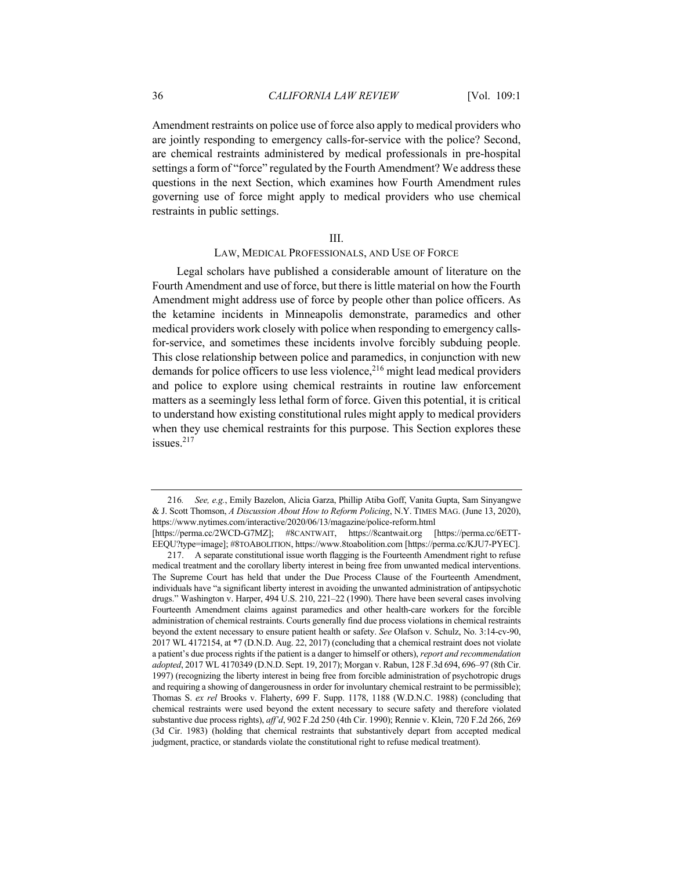Amendment restraints on police use of force also apply to medical providers who are jointly responding to emergency calls-for-service with the police? Second, are chemical restraints administered by medical professionals in pre-hospital settings a form of "force" regulated by the Fourth Amendment? We address these questions in the next Section, which examines how Fourth Amendment rules governing use of force might apply to medical providers who use chemical restraints in public settings.

#### III.

## LAW, MEDICAL PROFESSIONALS, AND USE OF FORCE

Legal scholars have published a considerable amount of literature on the Fourth Amendment and use of force, but there is little material on how the Fourth Amendment might address use of force by people other than police officers. As the ketamine incidents in Minneapolis demonstrate, paramedics and other medical providers work closely with police when responding to emergency callsfor-service, and sometimes these incidents involve forcibly subduing people. This close relationship between police and paramedics, in conjunction with new demands for police officers to use less violence,  $216$  might lead medical providers and police to explore using chemical restraints in routine law enforcement matters as a seemingly less lethal form of force. Given this potential, it is critical to understand how existing constitutional rules might apply to medical providers when they use chemical restraints for this purpose. This Section explores these issues.<sup>217</sup>

<sup>216</sup>*. See, e.g.*, Emily Bazelon, Alicia Garza, Phillip Atiba Goff, Vanita Gupta, Sam Sinyangwe & J. Scott Thomson, *A Discussion About How to Reform Policing*, N.Y. TIMES MAG. (June 13, 2020), https://www.nytimes.com/interactive/2020/06/13/magazine/police-reform.html [https://perma.cc/2WCD-G7MZ]; #8CANTWAIT, https://8cantwait.org [https://perma.cc/6ETT-

EEQU?type=image]; #8TOABOLITION, https://www.8toabolition.com [https://perma.cc/KJU7-PYEC].

<sup>217.</sup> A separate constitutional issue worth flagging is the Fourteenth Amendment right to refuse medical treatment and the corollary liberty interest in being free from unwanted medical interventions. The Supreme Court has held that under the Due Process Clause of the Fourteenth Amendment, individuals have "a significant liberty interest in avoiding the unwanted administration of antipsychotic drugs." Washington v. Harper, 494 U.S. 210, 221–22 (1990). There have been several cases involving Fourteenth Amendment claims against paramedics and other health-care workers for the forcible administration of chemical restraints. Courts generally find due process violations in chemical restraints beyond the extent necessary to ensure patient health or safety. *See* Olafson v. Schulz, No. 3:14-cv-90, 2017 WL 4172154, at \*7 (D.N.D. Aug. 22, 2017) (concluding that a chemical restraint does not violate a patient's due process rights if the patient is a danger to himself or others), *report and recommendation adopted*, 2017 WL 4170349 (D.N.D. Sept. 19, 2017); Morgan v. Rabun, 128 F.3d 694, 696–97 (8th Cir. 1997) (recognizing the liberty interest in being free from forcible administration of psychotropic drugs and requiring a showing of dangerousness in order for involuntary chemical restraint to be permissible); Thomas S. *ex rel* Brooks v. Flaherty, 699 F. Supp. 1178, 1188 (W.D.N.C. 1988) (concluding that chemical restraints were used beyond the extent necessary to secure safety and therefore violated substantive due process rights), *aff'd*, 902 F.2d 250 (4th Cir. 1990); Rennie v. Klein, 720 F.2d 266, 269 (3d Cir. 1983) (holding that chemical restraints that substantively depart from accepted medical judgment, practice, or standards violate the constitutional right to refuse medical treatment).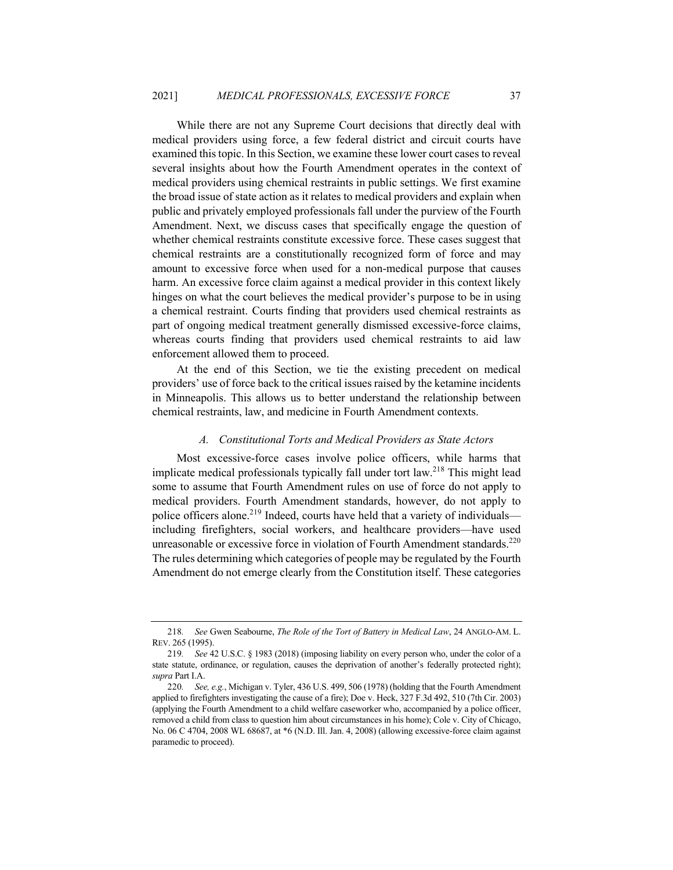While there are not any Supreme Court decisions that directly deal with medical providers using force, a few federal district and circuit courts have examined this topic. In this Section, we examine these lower court cases to reveal several insights about how the Fourth Amendment operates in the context of medical providers using chemical restraints in public settings. We first examine the broad issue of state action as it relates to medical providers and explain when public and privately employed professionals fall under the purview of the Fourth Amendment. Next, we discuss cases that specifically engage the question of whether chemical restraints constitute excessive force. These cases suggest that chemical restraints are a constitutionally recognized form of force and may amount to excessive force when used for a non-medical purpose that causes harm. An excessive force claim against a medical provider in this context likely hinges on what the court believes the medical provider's purpose to be in using a chemical restraint. Courts finding that providers used chemical restraints as part of ongoing medical treatment generally dismissed excessive-force claims, whereas courts finding that providers used chemical restraints to aid law enforcement allowed them to proceed.

At the end of this Section, we tie the existing precedent on medical providers' use of force back to the critical issues raised by the ketamine incidents in Minneapolis. This allows us to better understand the relationship between chemical restraints, law, and medicine in Fourth Amendment contexts.

## *A. Constitutional Torts and Medical Providers as State Actors*

Most excessive-force cases involve police officers, while harms that implicate medical professionals typically fall under tort law.<sup>218</sup> This might lead some to assume that Fourth Amendment rules on use of force do not apply to medical providers. Fourth Amendment standards, however, do not apply to police officers alone.<sup>219</sup> Indeed, courts have held that a variety of individuals including firefighters, social workers, and healthcare providers—have used unreasonable or excessive force in violation of Fourth Amendment standards.<sup>220</sup> The rules determining which categories of people may be regulated by the Fourth Amendment do not emerge clearly from the Constitution itself. These categories

<sup>218</sup>*. See* Gwen Seabourne, *The Role of the Tort of Battery in Medical Law*, 24 ANGLO-AM. L. REV. 265 (1995).

<sup>219</sup>*. See* 42 U.S.C. § 1983 (2018) (imposing liability on every person who, under the color of a state statute, ordinance, or regulation, causes the deprivation of another's federally protected right); *supra* Part I.A.

<sup>220</sup>*. See, e.g.*, Michigan v. Tyler, 436 U.S. 499, 506 (1978) (holding that the Fourth Amendment applied to firefighters investigating the cause of a fire); Doe v. Heck, 327 F.3d 492, 510 (7th Cir. 2003) (applying the Fourth Amendment to a child welfare caseworker who, accompanied by a police officer, removed a child from class to question him about circumstances in his home); Cole v. City of Chicago, No. 06 C 4704, 2008 WL 68687, at \*6 (N.D. Ill. Jan. 4, 2008) (allowing excessive-force claim against paramedic to proceed).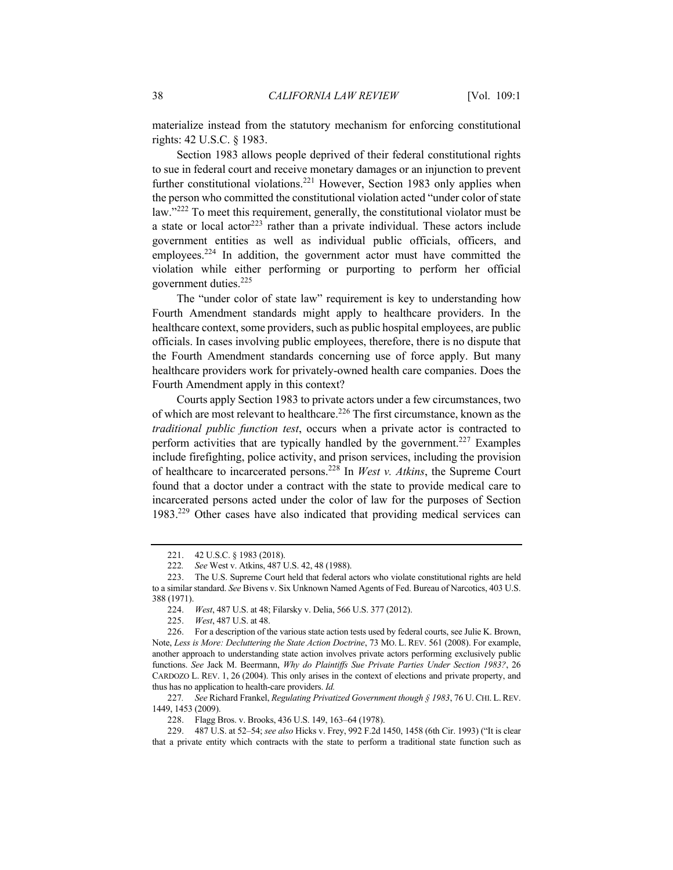materialize instead from the statutory mechanism for enforcing constitutional rights: 42 U.S.C. § 1983.

Section 1983 allows people deprived of their federal constitutional rights to sue in federal court and receive monetary damages or an injunction to prevent further constitutional violations.<sup>221</sup> However, Section 1983 only applies when the person who committed the constitutional violation acted "under color of state law."<sup>222</sup> To meet this requirement, generally, the constitutional violator must be a state or local actor<sup>223</sup> rather than a private individual. These actors include government entities as well as individual public officials, officers, and employees.<sup>224</sup> In addition, the government actor must have committed the violation while either performing or purporting to perform her official government duties.<sup>225</sup>

The "under color of state law" requirement is key to understanding how Fourth Amendment standards might apply to healthcare providers. In the healthcare context, some providers, such as public hospital employees, are public officials. In cases involving public employees, therefore, there is no dispute that the Fourth Amendment standards concerning use of force apply. But many healthcare providers work for privately-owned health care companies. Does the Fourth Amendment apply in this context?

Courts apply Section 1983 to private actors under a few circumstances, two of which are most relevant to healthcare.<sup>226</sup> The first circumstance, known as the *traditional public function test*, occurs when a private actor is contracted to perform activities that are typically handled by the government.<sup>227</sup> Examples include firefighting, police activity, and prison services, including the provision of healthcare to incarcerated persons.228 In *West v. Atkins*, the Supreme Court found that a doctor under a contract with the state to provide medical care to incarcerated persons acted under the color of law for the purposes of Section 1983.229 Other cases have also indicated that providing medical services can

227*. See* Richard Frankel, *Regulating Privatized Government though § 1983*, 76 U.CHI. L.REV. 1449, 1453 (2009).

<sup>221.</sup> 42 U.S.C. § 1983 (2018).

<sup>222</sup>*. See* West v. Atkins, 487 U.S. 42, 48 (1988).

<sup>223.</sup> The U.S. Supreme Court held that federal actors who violate constitutional rights are held to a similar standard. *See* Bivens v. Six Unknown Named Agents of Fed. Bureau of Narcotics, 403 U.S. 388 (1971).

<sup>224.</sup> *West*, 487 U.S. at 48; Filarsky v. Delia, 566 U.S. 377 (2012).

<sup>225.</sup> *West*, 487 U.S. at 48.

<sup>226.</sup> For a description of the various state action tests used by federal courts, see Julie K. Brown, Note, *Less is More: Decluttering the State Action Doctrine*, 73 MO. L. REV. 561 (2008). For example, another approach to understanding state action involves private actors performing exclusively public functions. *See* Jack M. Beermann, *Why do Plaintiffs Sue Private Parties Under Section 1983?*, 26 CARDOZO L. REV. 1, 26 (2004). This only arises in the context of elections and private property, and thus has no application to health-care providers. *Id.*

<sup>228.</sup> Flagg Bros. v. Brooks, 436 U.S. 149, 163–64 (1978).

<sup>229.</sup> 487 U.S. at 52–54; *see also* Hicks v. Frey, 992 F.2d 1450, 1458 (6th Cir. 1993) ("It is clear that a private entity which contracts with the state to perform a traditional state function such as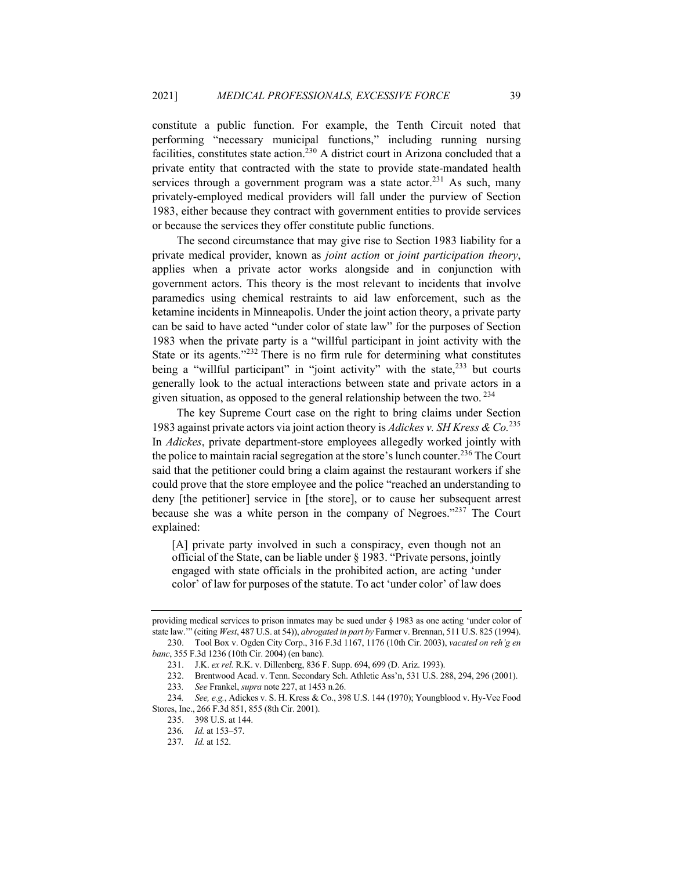constitute a public function. For example, the Tenth Circuit noted that performing "necessary municipal functions," including running nursing facilities, constitutes state action.<sup>230</sup> A district court in Arizona concluded that a private entity that contracted with the state to provide state-mandated health services through a government program was a state actor.<sup>231</sup> As such, many privately-employed medical providers will fall under the purview of Section 1983, either because they contract with government entities to provide services or because the services they offer constitute public functions.

The second circumstance that may give rise to Section 1983 liability for a private medical provider, known as *joint action* or *joint participation theory*, applies when a private actor works alongside and in conjunction with government actors. This theory is the most relevant to incidents that involve paramedics using chemical restraints to aid law enforcement, such as the ketamine incidents in Minneapolis. Under the joint action theory, a private party can be said to have acted "under color of state law" for the purposes of Section 1983 when the private party is a "willful participant in joint activity with the State or its agents. $1232$  There is no firm rule for determining what constitutes being a "willful participant" in "joint activity" with the state, $233$  but courts generally look to the actual interactions between state and private actors in a given situation, as opposed to the general relationship between the two.  $234$ 

The key Supreme Court case on the right to bring claims under Section 1983 against private actors via joint action theory is *Adickes v. SH Kress & Co.*<sup>235</sup> In *Adickes*, private department-store employees allegedly worked jointly with the police to maintain racial segregation at the store's lunch counter.<sup>236</sup> The Court said that the petitioner could bring a claim against the restaurant workers if she could prove that the store employee and the police "reached an understanding to deny [the petitioner] service in [the store], or to cause her subsequent arrest because she was a white person in the company of Negroes."<sup>237</sup> The Court explained:

[A] private party involved in such a conspiracy, even though not an official of the State, can be liable under § 1983. "Private persons, jointly engaged with state officials in the prohibited action, are acting 'under color' of law for purposes of the statute. To act 'under color' of law does

providing medical services to prison inmates may be sued under § 1983 as one acting 'under color of state law.'" (citing *West*, 487 U.S. at 54)), *abrogated in part by* Farmer v. Brennan, 511 U.S. 825 (1994).

<sup>230.</sup> Tool Box v. Ogden City Corp., 316 F.3d 1167, 1176 (10th Cir. 2003), *vacated on reh'g en banc*, 355 F.3d 1236 (10th Cir. 2004) (en banc).

<sup>231.</sup> J.K. *ex rel.* R.K. v. Dillenberg, 836 F. Supp. 694, 699 (D. Ariz. 1993).

<sup>232.</sup> Brentwood Acad. v. Tenn. Secondary Sch. Athletic Ass'n, 531 U.S. 288, 294, 296 (2001).

<sup>233</sup>*. See* Frankel, *supra* note 227, at 1453 n.26.

<sup>234</sup>*. See, e.g.*, Adickes v. S. H. Kress & Co., 398 U.S. 144 (1970); Youngblood v. Hy-Vee Food Stores, Inc., 266 F.3d 851, 855 (8th Cir. 2001).

<sup>235.</sup> 398 U.S. at 144.

<sup>236</sup>*. Id.* at 153–57.

<sup>237</sup>*. Id.* at 152.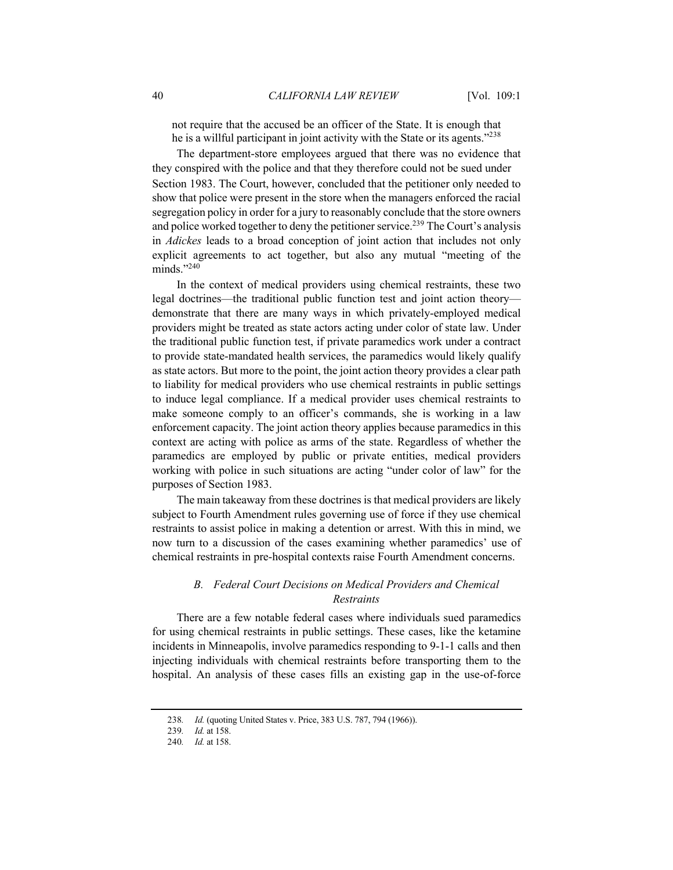not require that the accused be an officer of the State. It is enough that he is a willful participant in joint activity with the State or its agents."<sup>238</sup>

The department-store employees argued that there was no evidence that they conspired with the police and that they therefore could not be sued under Section 1983. The Court, however, concluded that the petitioner only needed to show that police were present in the store when the managers enforced the racial segregation policy in order for a jury to reasonably conclude that the store owners and police worked together to deny the petitioner service.<sup>239</sup> The Court's analysis in *Adickes* leads to a broad conception of joint action that includes not only explicit agreements to act together, but also any mutual "meeting of the minds."<sup>240</sup>

In the context of medical providers using chemical restraints, these two legal doctrines—the traditional public function test and joint action theory demonstrate that there are many ways in which privately-employed medical providers might be treated as state actors acting under color of state law. Under the traditional public function test, if private paramedics work under a contract to provide state-mandated health services, the paramedics would likely qualify as state actors. But more to the point, the joint action theory provides a clear path to liability for medical providers who use chemical restraints in public settings to induce legal compliance. If a medical provider uses chemical restraints to make someone comply to an officer's commands, she is working in a law enforcement capacity. The joint action theory applies because paramedics in this context are acting with police as arms of the state. Regardless of whether the paramedics are employed by public or private entities, medical providers working with police in such situations are acting "under color of law" for the purposes of Section 1983.

The main takeaway from these doctrines is that medical providers are likely subject to Fourth Amendment rules governing use of force if they use chemical restraints to assist police in making a detention or arrest. With this in mind, we now turn to a discussion of the cases examining whether paramedics' use of chemical restraints in pre-hospital contexts raise Fourth Amendment concerns.

# *B. Federal Court Decisions on Medical Providers and Chemical Restraints*

There are a few notable federal cases where individuals sued paramedics for using chemical restraints in public settings. These cases, like the ketamine incidents in Minneapolis, involve paramedics responding to 9-1-1 calls and then injecting individuals with chemical restraints before transporting them to the hospital. An analysis of these cases fills an existing gap in the use-of-force

<sup>238</sup>*. Id.* (quoting United States v. Price, 383 U.S. 787, 794 (1966)).

<sup>239</sup>*. Id.* at 158.

<sup>240</sup>*. Id.* at 158.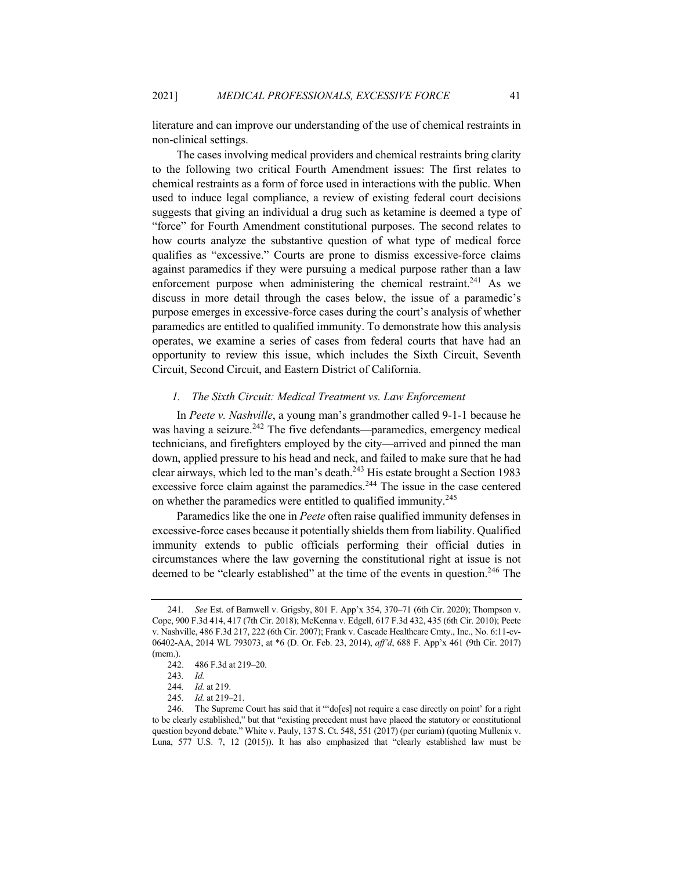literature and can improve our understanding of the use of chemical restraints in non-clinical settings.

The cases involving medical providers and chemical restraints bring clarity to the following two critical Fourth Amendment issues: The first relates to chemical restraints as a form of force used in interactions with the public. When used to induce legal compliance, a review of existing federal court decisions suggests that giving an individual a drug such as ketamine is deemed a type of "force" for Fourth Amendment constitutional purposes. The second relates to how courts analyze the substantive question of what type of medical force qualifies as "excessive." Courts are prone to dismiss excessive-force claims against paramedics if they were pursuing a medical purpose rather than a law enforcement purpose when administering the chemical restraint.<sup>241</sup> As we discuss in more detail through the cases below, the issue of a paramedic's purpose emerges in excessive-force cases during the court's analysis of whether paramedics are entitled to qualified immunity. To demonstrate how this analysis operates, we examine a series of cases from federal courts that have had an opportunity to review this issue, which includes the Sixth Circuit, Seventh Circuit, Second Circuit, and Eastern District of California.

#### *1. The Sixth Circuit: Medical Treatment vs. Law Enforcement*

In *Peete v. Nashville*, a young man's grandmother called 9-1-1 because he was having a seizure.<sup>242</sup> The five defendants—paramedics, emergency medical technicians, and firefighters employed by the city—arrived and pinned the man down, applied pressure to his head and neck, and failed to make sure that he had clear airways, which led to the man's death.<sup>243</sup> His estate brought a Section 1983 excessive force claim against the paramedics.<sup>244</sup> The issue in the case centered on whether the paramedics were entitled to qualified immunity.<sup>245</sup>

Paramedics like the one in *Peete* often raise qualified immunity defenses in excessive-force cases because it potentially shields them from liability. Qualified immunity extends to public officials performing their official duties in circumstances where the law governing the constitutional right at issue is not deemed to be "clearly established" at the time of the events in question.<sup>246</sup> The

<sup>241</sup>*. See* Est. of Barnwell v. Grigsby, 801 F. App'x 354, 370–71 (6th Cir. 2020); Thompson v. Cope, 900 F.3d 414, 417 (7th Cir. 2018); McKenna v. Edgell, 617 F.3d 432, 435 (6th Cir. 2010); Peete v. Nashville, 486 F.3d 217, 222 (6th Cir. 2007); Frank v. Cascade Healthcare Cmty., Inc., No. 6:11-cv-06402-AA, 2014 WL 793073, at \*6 (D. Or. Feb. 23, 2014), *aff'd*, 688 F. App'x 461 (9th Cir. 2017) (mem.).

<sup>242.</sup> 486 F.3d at 219–20.

<sup>243</sup>*. Id.*

<sup>244</sup>*. Id.* at 219.

<sup>245</sup>*. Id.* at 219–21.

<sup>246.</sup> The Supreme Court has said that it "'do[es] not require a case directly on point' for a right to be clearly established," but that "existing precedent must have placed the statutory or constitutional question beyond debate." White v. Pauly, 137 S. Ct. 548, 551 (2017) (per curiam) (quoting Mullenix v. Luna, 577 U.S. 7, 12 (2015)). It has also emphasized that "clearly established law must be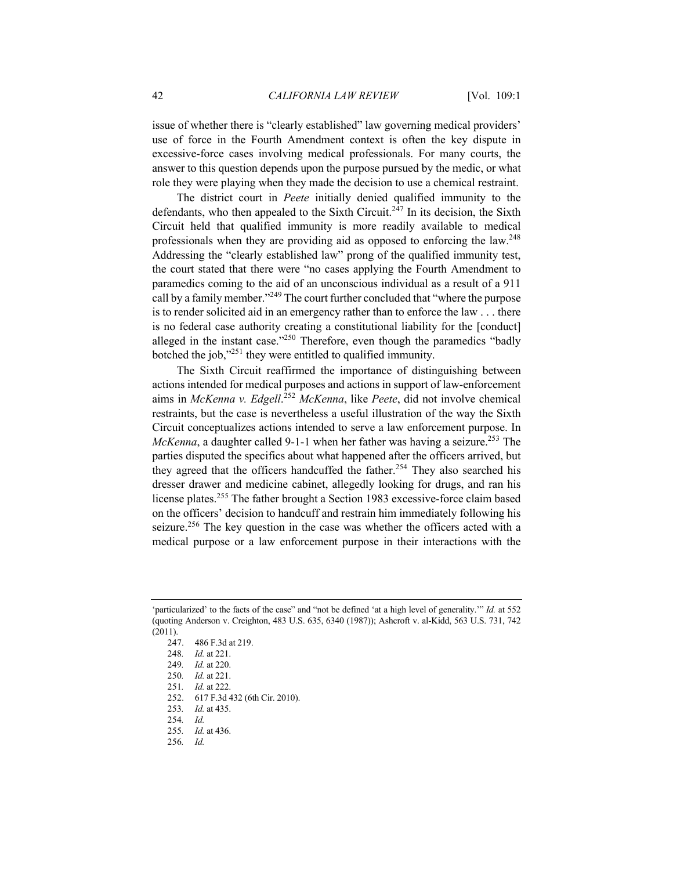issue of whether there is "clearly established" law governing medical providers' use of force in the Fourth Amendment context is often the key dispute in excessive-force cases involving medical professionals. For many courts, the answer to this question depends upon the purpose pursued by the medic, or what role they were playing when they made the decision to use a chemical restraint.

The district court in *Peete* initially denied qualified immunity to the defendants, who then appealed to the Sixth Circuit.<sup>247</sup> In its decision, the Sixth Circuit held that qualified immunity is more readily available to medical professionals when they are providing aid as opposed to enforcing the law.248 Addressing the "clearly established law" prong of the qualified immunity test, the court stated that there were "no cases applying the Fourth Amendment to paramedics coming to the aid of an unconscious individual as a result of a 911 call by a family member."<sup>249</sup> The court further concluded that "where the purpose is to render solicited aid in an emergency rather than to enforce the law . . . there is no federal case authority creating a constitutional liability for the [conduct] alleged in the instant case."<sup>250</sup> Therefore, even though the paramedics "badly botched the job,"251 they were entitled to qualified immunity.

The Sixth Circuit reaffirmed the importance of distinguishing between actions intended for medical purposes and actions in support of law-enforcement aims in *McKenna v. Edgell*. <sup>252</sup> *McKenna*, like *Peete*, did not involve chemical restraints, but the case is nevertheless a useful illustration of the way the Sixth Circuit conceptualizes actions intended to serve a law enforcement purpose. In *McKenna*, a daughter called 9-1-1 when her father was having a seizure.<sup>253</sup> The parties disputed the specifics about what happened after the officers arrived, but they agreed that the officers handcuffed the father.<sup>254</sup> They also searched his dresser drawer and medicine cabinet, allegedly looking for drugs, and ran his license plates.<sup>255</sup> The father brought a Section 1983 excessive-force claim based on the officers' decision to handcuff and restrain him immediately following his seizure.<sup>256</sup> The key question in the case was whether the officers acted with a medical purpose or a law enforcement purpose in their interactions with the

252. 617 F.3d 432 (6th Cir. 2010).

256*. Id.*

<sup>&#</sup>x27;particularized' to the facts of the case" and "not be defined 'at a high level of generality.'" *Id.* at 552 (quoting Anderson v. Creighton, 483 U.S. 635, 6340 (1987)); Ashcroft v. al-Kidd, 563 U.S. 731, 742 (2011).

<sup>247.</sup> 486 F.3d at 219.

<sup>248</sup>*. Id.* at 221.

<sup>249</sup>*. Id.* at 220.

<sup>250</sup>*. Id.* at 221.

<sup>251</sup>*. Id.* at 222.

<sup>253</sup>*. Id.* at 435.

<sup>254</sup>*. Id.*

<sup>255</sup>*. Id.* at 436.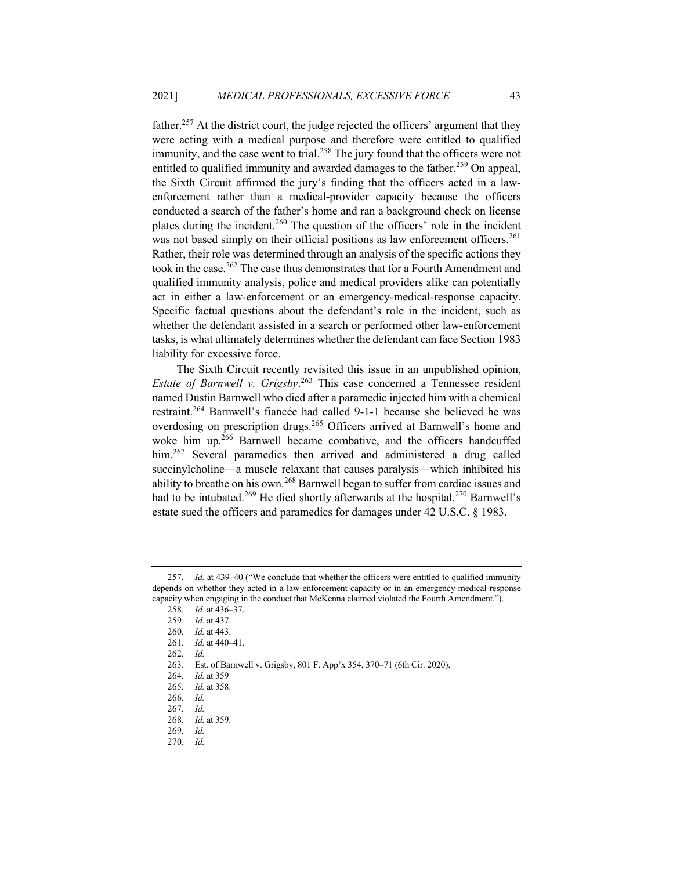father.<sup>257</sup> At the district court, the judge rejected the officers' argument that they were acting with a medical purpose and therefore were entitled to qualified immunity, and the case went to trial.<sup>258</sup> The jury found that the officers were not entitled to qualified immunity and awarded damages to the father.<sup>259</sup> On appeal, the Sixth Circuit affirmed the jury's finding that the officers acted in a lawenforcement rather than a medical-provider capacity because the officers conducted a search of the father's home and ran a background check on license plates during the incident.<sup>260</sup> The question of the officers' role in the incident was not based simply on their official positions as law enforcement officers.<sup>261</sup> Rather, their role was determined through an analysis of the specific actions they took in the case.<sup>262</sup> The case thus demonstrates that for a Fourth Amendment and qualified immunity analysis, police and medical providers alike can potentially act in either a law-enforcement or an emergency-medical-response capacity. Specific factual questions about the defendant's role in the incident, such as whether the defendant assisted in a search or performed other law-enforcement tasks, is what ultimately determines whether the defendant can face Section 1983 liability for excessive force.

The Sixth Circuit recently revisited this issue in an unpublished opinion, *Estate of Barnwell v. Grigsby*. <sup>263</sup> This case concerned a Tennessee resident named Dustin Barnwell who died after a paramedic injected him with a chemical restraint.264 Barnwell's fiancée had called 9-1-1 because she believed he was overdosing on prescription drugs.<sup>265</sup> Officers arrived at Barnwell's home and woke him up.<sup>266</sup> Barnwell became combative, and the officers handcuffed him.<sup>267</sup> Several paramedics then arrived and administered a drug called succinylcholine—a muscle relaxant that causes paralysis—which inhibited his ability to breathe on his own.<sup>268</sup> Barnwell began to suffer from cardiac issues and had to be intubated.<sup>269</sup> He died shortly afterwards at the hospital.<sup>270</sup> Barnwell's estate sued the officers and paramedics for damages under 42 U.S.C. § 1983.

<sup>257</sup>*. Id.* at 439–40 ("We conclude that whether the officers were entitled to qualified immunity depends on whether they acted in a law-enforcement capacity or in an emergency-medical-response capacity when engaging in the conduct that McKenna claimed violated the Fourth Amendment.").

<sup>258</sup>*. Id.* at 436–37.

<sup>259</sup>*. Id.* at 437.

<sup>260</sup>*. Id.* at 443.

<sup>261</sup>*. Id.* at 440–41.

<sup>262</sup>*. Id.*

<sup>263.</sup> Est. of Barnwell v. Grigsby, 801 F. App'x 354, 370–71 (6th Cir. 2020).

<sup>264</sup>*. Id.* at 359

<sup>265</sup>*. Id.* at 358.

<sup>266</sup>*. Id.*

<sup>267</sup>*. Id.*

<sup>268</sup>*. Id.* at 359.

<sup>269</sup>*. Id.*

<sup>270</sup>*. Id.*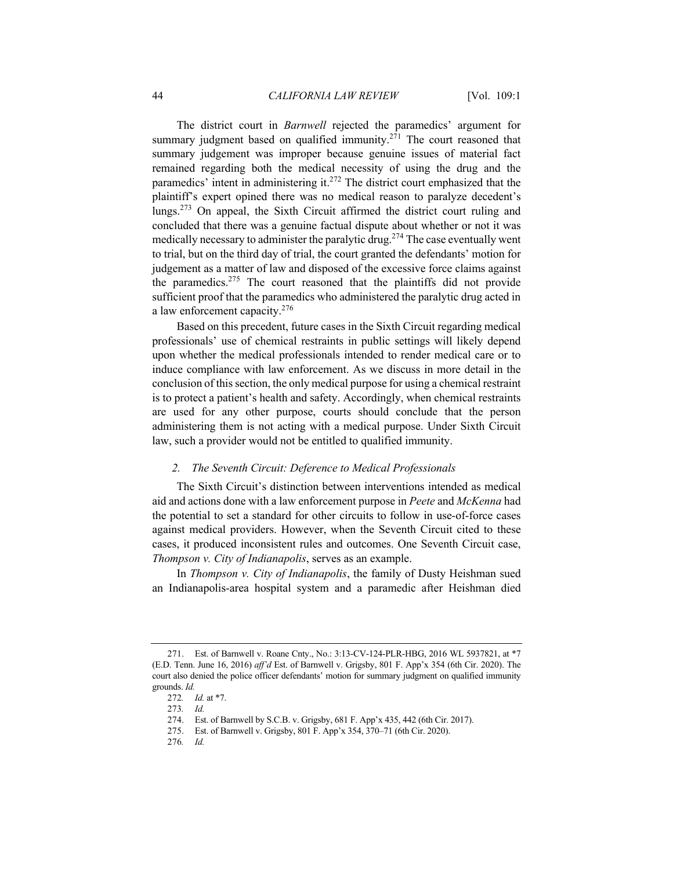The district court in *Barnwell* rejected the paramedics' argument for summary judgment based on qualified immunity.<sup>271</sup> The court reasoned that summary judgement was improper because genuine issues of material fact remained regarding both the medical necessity of using the drug and the paramedics' intent in administering it.<sup>272</sup> The district court emphasized that the plaintiff's expert opined there was no medical reason to paralyze decedent's lungs.<sup>273</sup> On appeal, the Sixth Circuit affirmed the district court ruling and concluded that there was a genuine factual dispute about whether or not it was medically necessary to administer the paralytic drug.<sup>274</sup> The case eventually went to trial, but on the third day of trial, the court granted the defendants' motion for judgement as a matter of law and disposed of the excessive force claims against the paramedics.<sup>275</sup> The court reasoned that the plaintiffs did not provide sufficient proof that the paramedics who administered the paralytic drug acted in a law enforcement capacity.<sup>276</sup>

Based on this precedent, future cases in the Sixth Circuit regarding medical professionals' use of chemical restraints in public settings will likely depend upon whether the medical professionals intended to render medical care or to induce compliance with law enforcement. As we discuss in more detail in the conclusion of this section, the only medical purpose for using a chemical restraint is to protect a patient's health and safety. Accordingly, when chemical restraints are used for any other purpose, courts should conclude that the person administering them is not acting with a medical purpose. Under Sixth Circuit law, such a provider would not be entitled to qualified immunity.

### *2. The Seventh Circuit: Deference to Medical Professionals*

The Sixth Circuit's distinction between interventions intended as medical aid and actions done with a law enforcement purpose in *Peete* and *McKenna* had the potential to set a standard for other circuits to follow in use-of-force cases against medical providers. However, when the Seventh Circuit cited to these cases, it produced inconsistent rules and outcomes. One Seventh Circuit case, *Thompson v. City of Indianapolis*, serves as an example.

In *Thompson v. City of Indianapolis*, the family of Dusty Heishman sued an Indianapolis-area hospital system and a paramedic after Heishman died

<sup>271.</sup> Est. of Barnwell v. Roane Cnty., No.: 3:13-CV-124-PLR-HBG, 2016 WL 5937821, at \*7 (E.D. Tenn. June 16, 2016) *aff'd* Est. of Barnwell v. Grigsby, 801 F. App'x 354 (6th Cir. 2020). The court also denied the police officer defendants' motion for summary judgment on qualified immunity grounds. *Id.*

<sup>272</sup>*. Id.* at \*7.

<sup>273</sup>*. Id.*

<sup>274.</sup> Est. of Barnwell by S.C.B. v. Grigsby, 681 F. App'x 435, 442 (6th Cir. 2017).

<sup>275.</sup> Est. of Barnwell v. Grigsby, 801 F. App'x 354, 370–71 (6th Cir. 2020).

<sup>276</sup>*. Id.*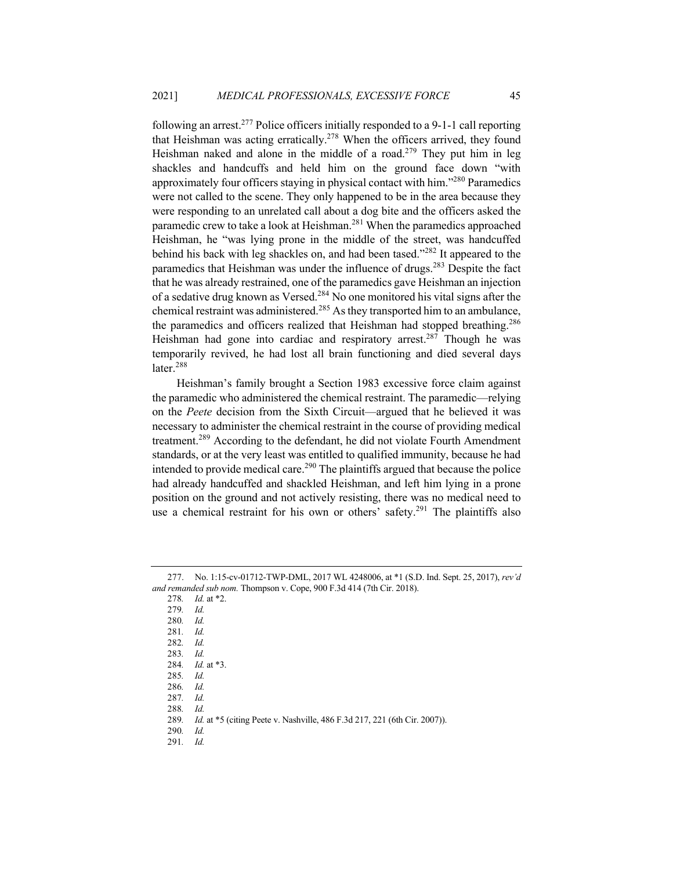following an arrest.<sup>277</sup> Police officers initially responded to a 9-1-1 call reporting that Heishman was acting erratically.<sup>278</sup> When the officers arrived, they found Heishman naked and alone in the middle of a road.<sup>279</sup> They put him in leg shackles and handcuffs and held him on the ground face down "with approximately four officers staying in physical contact with him."<sup>280</sup> Paramedics were not called to the scene. They only happened to be in the area because they were responding to an unrelated call about a dog bite and the officers asked the paramedic crew to take a look at Heishman.<sup>281</sup> When the paramedics approached Heishman, he "was lying prone in the middle of the street, was handcuffed behind his back with leg shackles on, and had been tased."<sup>282</sup> It appeared to the paramedics that Heishman was under the influence of drugs.<sup>283</sup> Despite the fact that he was already restrained, one of the paramedics gave Heishman an injection of a sedative drug known as Versed.<sup>284</sup> No one monitored his vital signs after the chemical restraint was administered.<sup>285</sup> As they transported him to an ambulance, the paramedics and officers realized that Heishman had stopped breathing.<sup>286</sup> Heishman had gone into cardiac and respiratory arrest.<sup>287</sup> Though he was temporarily revived, he had lost all brain functioning and died several days later.<sup>288</sup>

Heishman's family brought a Section 1983 excessive force claim against the paramedic who administered the chemical restraint. The paramedic—relying on the *Peete* decision from the Sixth Circuit—argued that he believed it was necessary to administer the chemical restraint in the course of providing medical treatment.<sup>289</sup> According to the defendant, he did not violate Fourth Amendment standards, or at the very least was entitled to qualified immunity, because he had intended to provide medical care.<sup>290</sup> The plaintiffs argued that because the police had already handcuffed and shackled Heishman, and left him lying in a prone position on the ground and not actively resisting, there was no medical need to use a chemical restraint for his own or others' safety.<sup>291</sup> The plaintiffs also

- 278*. Id.* at \*2.
- 279*. Id.*
- 280*. Id.*
- 281*. Id.*
- 282*. Id.*

291*. Id.*

<sup>277.</sup> No. 1:15-cv-01712-TWP-DML, 2017 WL 4248006, at \*1 (S.D. Ind. Sept. 25, 2017), *rev'd and remanded sub nom.* Thompson v. Cope, 900 F.3d 414 (7th Cir. 2018).

<sup>283</sup>*. Id.*

<sup>284</sup>*. Id.* at \*3.

<sup>285</sup>*. Id.*

<sup>286</sup>*. Id.*

<sup>287</sup>*. Id.*

<sup>288</sup>*. Id.*

<sup>289</sup>*. Id.* at \*5 (citing Peete v. Nashville, 486 F.3d 217, 221 (6th Cir. 2007)).

<sup>290</sup>*. Id.*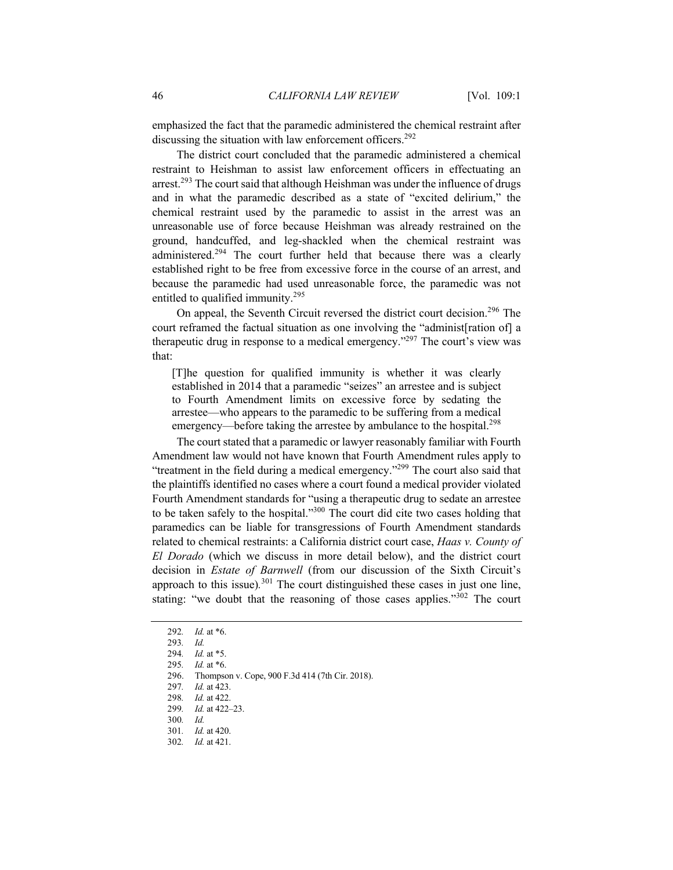emphasized the fact that the paramedic administered the chemical restraint after discussing the situation with law enforcement officers.<sup>292</sup>

The district court concluded that the paramedic administered a chemical restraint to Heishman to assist law enforcement officers in effectuating an arrest.<sup>293</sup> The court said that although Heishman was under the influence of drugs and in what the paramedic described as a state of "excited delirium," the chemical restraint used by the paramedic to assist in the arrest was an unreasonable use of force because Heishman was already restrained on the ground, handcuffed, and leg-shackled when the chemical restraint was administered.<sup>294</sup> The court further held that because there was a clearly established right to be free from excessive force in the course of an arrest, and because the paramedic had used unreasonable force, the paramedic was not entitled to qualified immunity.<sup>295</sup>

On appeal, the Seventh Circuit reversed the district court decision.<sup>296</sup> The court reframed the factual situation as one involving the "administ[ration of] a therapeutic drug in response to a medical emergency."<sup>297</sup> The court's view was that:

[T]he question for qualified immunity is whether it was clearly established in 2014 that a paramedic "seizes" an arrestee and is subject to Fourth Amendment limits on excessive force by sedating the arrestee—who appears to the paramedic to be suffering from a medical emergency—before taking the arrestee by ambulance to the hospital.<sup>298</sup>

The court stated that a paramedic or lawyer reasonably familiar with Fourth Amendment law would not have known that Fourth Amendment rules apply to "treatment in the field during a medical emergency."<sup>299</sup> The court also said that the plaintiffs identified no cases where a court found a medical provider violated Fourth Amendment standards for "using a therapeutic drug to sedate an arrestee to be taken safely to the hospital."300 The court did cite two cases holding that paramedics can be liable for transgressions of Fourth Amendment standards related to chemical restraints: a California district court case, *Haas v. County of El Dorado* (which we discuss in more detail below), and the district court decision in *Estate of Barnwell* (from our discussion of the Sixth Circuit's approach to this issue)*.* <sup>301</sup> The court distinguished these cases in just one line, stating: "we doubt that the reasoning of those cases applies." $302$  The court

<sup>292</sup>*. Id.* at \*6.

<sup>293</sup>*. Id.*

<sup>294</sup>*. Id.* at \*5.

<sup>295</sup>*. Id.* at \*6.

<sup>296.</sup> Thompson v. Cope, 900 F.3d 414 (7th Cir. 2018).

<sup>297</sup>*. Id.* at 423.

<sup>298</sup>*. Id.* at 422.

<sup>299</sup>*. Id.* at 422–23. 300*. Id.*

<sup>301</sup>*. Id.* at 420. 302*. Id.* at 421.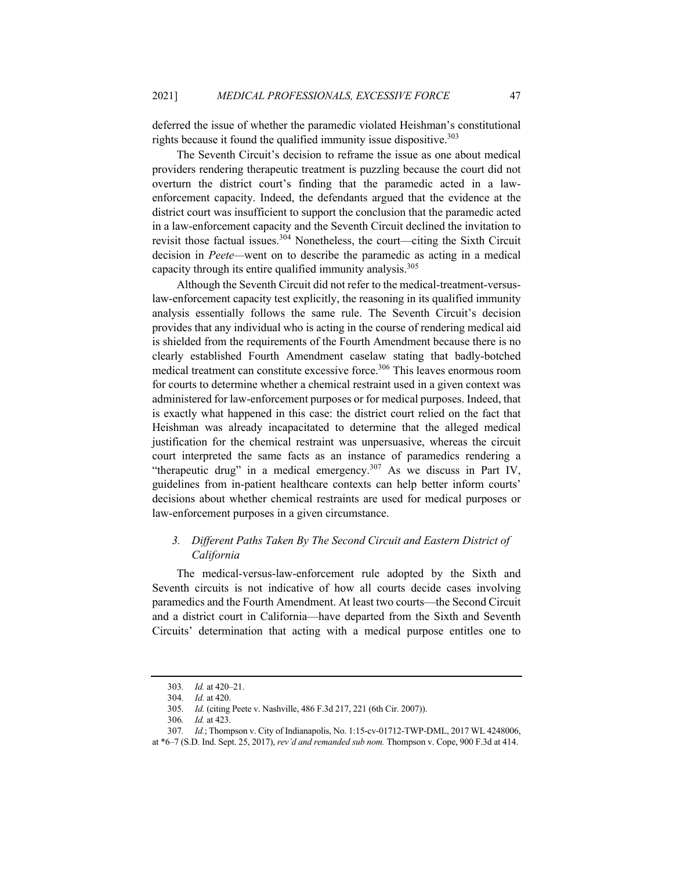deferred the issue of whether the paramedic violated Heishman's constitutional rights because it found the qualified immunity issue dispositive.<sup>303</sup>

The Seventh Circuit's decision to reframe the issue as one about medical providers rendering therapeutic treatment is puzzling because the court did not overturn the district court's finding that the paramedic acted in a lawenforcement capacity. Indeed, the defendants argued that the evidence at the district court was insufficient to support the conclusion that the paramedic acted in a law-enforcement capacity and the Seventh Circuit declined the invitation to revisit those factual issues.<sup>304</sup> Nonetheless, the court—citing the Sixth Circuit decision in *Peete—*went on to describe the paramedic as acting in a medical capacity through its entire qualified immunity analysis.<sup>305</sup>

Although the Seventh Circuit did not refer to the medical-treatment-versuslaw-enforcement capacity test explicitly, the reasoning in its qualified immunity analysis essentially follows the same rule. The Seventh Circuit's decision provides that any individual who is acting in the course of rendering medical aid is shielded from the requirements of the Fourth Amendment because there is no clearly established Fourth Amendment caselaw stating that badly-botched medical treatment can constitute excessive force.<sup>306</sup> This leaves enormous room for courts to determine whether a chemical restraint used in a given context was administered for law-enforcement purposes or for medical purposes. Indeed, that is exactly what happened in this case: the district court relied on the fact that Heishman was already incapacitated to determine that the alleged medical justification for the chemical restraint was unpersuasive, whereas the circuit court interpreted the same facts as an instance of paramedics rendering a "therapeutic drug" in a medical emergency.<sup>307</sup> As we discuss in Part IV, guidelines from in-patient healthcare contexts can help better inform courts' decisions about whether chemical restraints are used for medical purposes or law-enforcement purposes in a given circumstance.

## *3. Different Paths Taken By The Second Circuit and Eastern District of California*

The medical-versus-law-enforcement rule adopted by the Sixth and Seventh circuits is not indicative of how all courts decide cases involving paramedics and the Fourth Amendment. At least two courts—the Second Circuit and a district court in California—have departed from the Sixth and Seventh Circuits' determination that acting with a medical purpose entitles one to

<sup>303</sup>*. Id.* at 420–21.

<sup>304</sup>*. Id.* at 420.

<sup>305</sup>*. Id.* (citing Peete v. Nashville, 486 F.3d 217, 221 (6th Cir. 2007)).

<sup>306</sup>*. Id.* at 423.

<sup>307</sup>*. Id.*; Thompson v. City of Indianapolis, No. 1:15-cv-01712-TWP-DML, 2017 WL 4248006,

at \*6–7 (S.D. Ind. Sept. 25, 2017), *rev'd and remanded sub nom.* Thompson v. Cope, 900 F.3d at 414.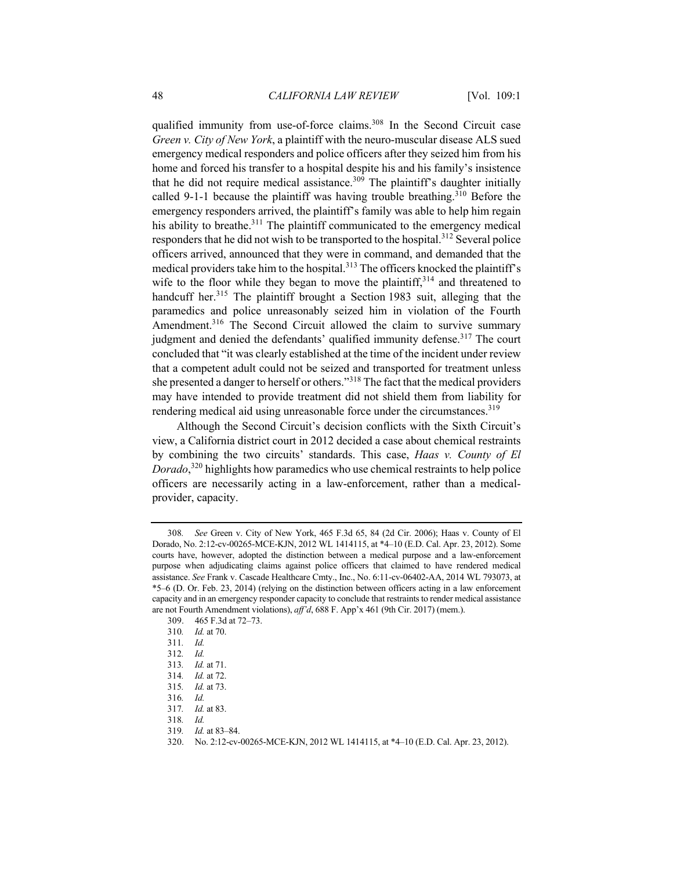qualified immunity from use-of-force claims.<sup>308</sup> In the Second Circuit case *Green v. City of New York*, a plaintiff with the neuro-muscular disease ALS sued emergency medical responders and police officers after they seized him from his home and forced his transfer to a hospital despite his and his family's insistence that he did not require medical assistance.<sup>309</sup> The plaintiff's daughter initially called 9-1-1 because the plaintiff was having trouble breathing.<sup>310</sup> Before the emergency responders arrived, the plaintiff's family was able to help him regain his ability to breathe.<sup>311</sup> The plaintiff communicated to the emergency medical responders that he did not wish to be transported to the hospital.<sup>312</sup> Several police officers arrived, announced that they were in command, and demanded that the medical providers take him to the hospital.<sup>313</sup> The officers knocked the plaintiff's wife to the floor while they began to move the plaintiff,  $3^{14}$  and threatened to handcuff her.<sup>315</sup> The plaintiff brought a Section 1983 suit, alleging that the paramedics and police unreasonably seized him in violation of the Fourth Amendment.<sup>316</sup> The Second Circuit allowed the claim to survive summary judgment and denied the defendants' qualified immunity defense.<sup>317</sup> The court concluded that "it was clearly established at the time of the incident under review that a competent adult could not be seized and transported for treatment unless she presented a danger to herself or others."<sup>318</sup> The fact that the medical providers may have intended to provide treatment did not shield them from liability for rendering medical aid using unreasonable force under the circumstances.<sup>319</sup>

Although the Second Circuit's decision conflicts with the Sixth Circuit's view, a California district court in 2012 decided a case about chemical restraints by combining the two circuits' standards. This case, *Haas v. County of El Dorado*, <sup>320</sup> highlights how paramedics who use chemical restraints to help police officers are necessarily acting in a law-enforcement, rather than a medicalprovider, capacity.

<sup>308</sup>*. See* Green v. City of New York, 465 F.3d 65, 84 (2d Cir. 2006); Haas v. County of El Dorado, No. 2:12-cv-00265-MCE-KJN, 2012 WL 1414115, at \*4–10 (E.D. Cal. Apr. 23, 2012). Some courts have, however, adopted the distinction between a medical purpose and a law-enforcement purpose when adjudicating claims against police officers that claimed to have rendered medical assistance. *See* Frank v. Cascade Healthcare Cmty., Inc., No. 6:11-cv-06402-AA, 2014 WL 793073, at \*5–6 (D. Or. Feb. 23, 2014) (relying on the distinction between officers acting in a law enforcement capacity and in an emergency responder capacity to conclude that restraints to render medical assistance are not Fourth Amendment violations), *aff'd*, 688 F. App'x 461 (9th Cir. 2017) (mem.).

<sup>309.</sup> 465 F.3d at 72–73.

<sup>310</sup>*. Id.* at 70.

<sup>311</sup>*. Id.*

<sup>312</sup>*. Id.*

<sup>313</sup>*. Id.* at 71.

<sup>314</sup>*. Id.* at 72.

<sup>315</sup>*. Id.* at 73.

<sup>316</sup>*. Id.*

<sup>317</sup>*. Id.* at 83.

<sup>318</sup>*. Id.*

<sup>319</sup>*. Id.* at 83–84.

<sup>320.</sup> No. 2:12-cv-00265-MCE-KJN, 2012 WL 1414115, at \*4–10 (E.D. Cal. Apr. 23, 2012).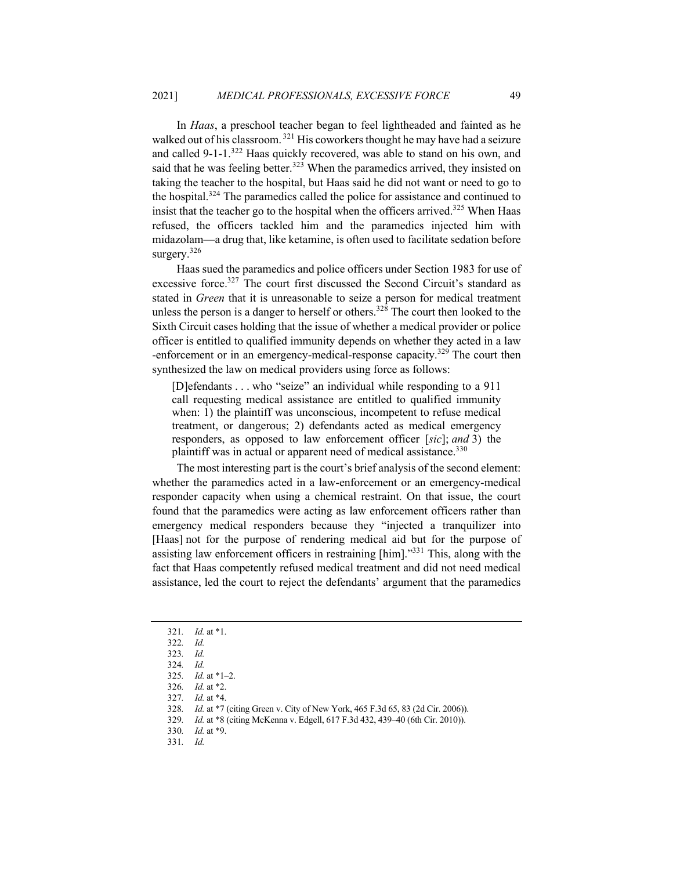In *Haas*, a preschool teacher began to feel lightheaded and fainted as he walked out of his classroom.<sup>321</sup> His coworkers thought he may have had a seizure and called 9-1-1.<sup>322</sup> Haas quickly recovered, was able to stand on his own, and said that he was feeling better.<sup>323</sup> When the paramedics arrived, they insisted on taking the teacher to the hospital, but Haas said he did not want or need to go to the hospital.<sup>324</sup> The paramedics called the police for assistance and continued to insist that the teacher go to the hospital when the officers arrived.<sup>325</sup> When Haas refused, the officers tackled him and the paramedics injected him with midazolam—a drug that, like ketamine, is often used to facilitate sedation before surgery.<sup>326</sup>

Haas sued the paramedics and police officers under Section 1983 for use of excessive force.<sup>327</sup> The court first discussed the Second Circuit's standard as stated in *Green* that it is unreasonable to seize a person for medical treatment unless the person is a danger to herself or others.<sup>328</sup> The court then looked to the Sixth Circuit cases holding that the issue of whether a medical provider or police officer is entitled to qualified immunity depends on whether they acted in a law -enforcement or in an emergency-medical-response capacity.<sup>329</sup> The court then synthesized the law on medical providers using force as follows:

[D]efendants . . . who "seize" an individual while responding to a 911 call requesting medical assistance are entitled to qualified immunity when: 1) the plaintiff was unconscious, incompetent to refuse medical treatment, or dangerous; 2) defendants acted as medical emergency responders, as opposed to law enforcement officer [*sic*]; *and* 3) the plaintiff was in actual or apparent need of medical assistance.<sup>330</sup>

The most interesting part is the court's brief analysis of the second element: whether the paramedics acted in a law-enforcement or an emergency-medical responder capacity when using a chemical restraint. On that issue, the court found that the paramedics were acting as law enforcement officers rather than emergency medical responders because they "injected a tranquilizer into [Haas] not for the purpose of rendering medical aid but for the purpose of assisting law enforcement officers in restraining [him]."331 This, along with the fact that Haas competently refused medical treatment and did not need medical assistance, led the court to reject the defendants' argument that the paramedics

331*. Id.*

<sup>321</sup>*. Id.* at \*1.

<sup>322</sup>*. Id.*

<sup>323</sup>*. Id.*

<sup>324</sup>*. Id.*

<sup>325</sup>*. Id.* at \*1–2.

<sup>326</sup>*. Id.* at \*2.

<sup>327</sup>*. Id.* at \*4.

<sup>328</sup>*. Id.* at \*7 (citing Green v. City of New York, 465 F.3d 65, 83 (2d Cir. 2006)).

<sup>329</sup>*. Id.* at \*8 (citing McKenna v. Edgell, 617 F.3d 432, 439–40 (6th Cir. 2010)).

<sup>330</sup>*. Id.* at \*9.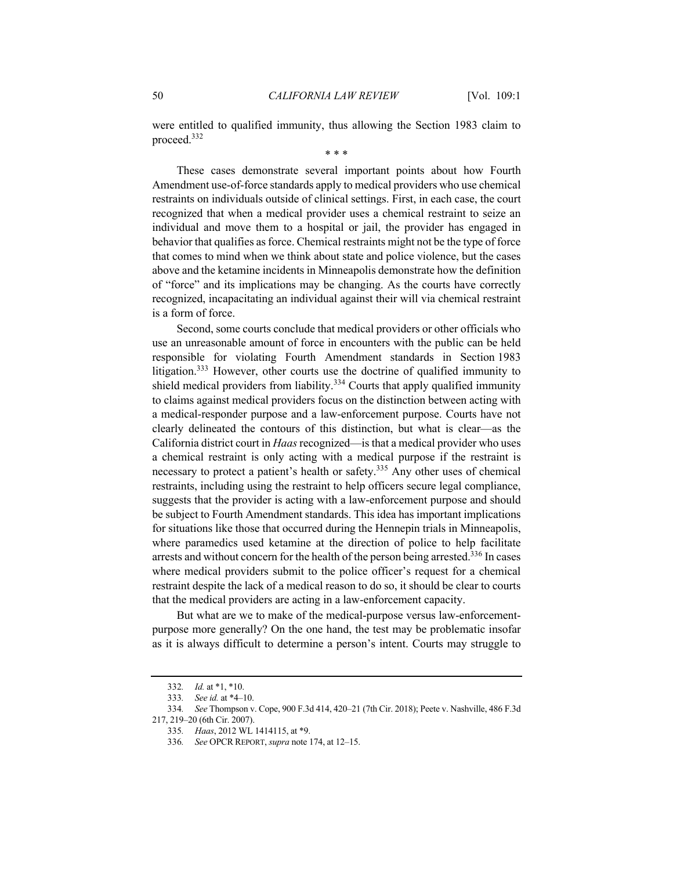were entitled to qualified immunity, thus allowing the Section 1983 claim to proceed.332

\* \* \*

These cases demonstrate several important points about how Fourth Amendment use-of-force standards apply to medical providers who use chemical restraints on individuals outside of clinical settings. First, in each case, the court recognized that when a medical provider uses a chemical restraint to seize an individual and move them to a hospital or jail, the provider has engaged in behavior that qualifies as force. Chemical restraints might not be the type of force that comes to mind when we think about state and police violence, but the cases above and the ketamine incidents in Minneapolis demonstrate how the definition of "force" and its implications may be changing. As the courts have correctly recognized, incapacitating an individual against their will via chemical restraint is a form of force.

Second, some courts conclude that medical providers or other officials who use an unreasonable amount of force in encounters with the public can be held responsible for violating Fourth Amendment standards in Section 1983 litigation.<sup>333</sup> However, other courts use the doctrine of qualified immunity to shield medical providers from liability.<sup>334</sup> Courts that apply qualified immunity to claims against medical providers focus on the distinction between acting with a medical-responder purpose and a law-enforcement purpose. Courts have not clearly delineated the contours of this distinction, but what is clear—as the California district court in *Haas* recognized—is that a medical provider who uses a chemical restraint is only acting with a medical purpose if the restraint is necessary to protect a patient's health or safety.<sup>335</sup> Any other uses of chemical restraints, including using the restraint to help officers secure legal compliance, suggests that the provider is acting with a law-enforcement purpose and should be subject to Fourth Amendment standards. This idea has important implications for situations like those that occurred during the Hennepin trials in Minneapolis, where paramedics used ketamine at the direction of police to help facilitate arrests and without concern for the health of the person being arrested.<sup>336</sup> In cases where medical providers submit to the police officer's request for a chemical restraint despite the lack of a medical reason to do so, it should be clear to courts that the medical providers are acting in a law-enforcement capacity.

But what are we to make of the medical-purpose versus law-enforcementpurpose more generally? On the one hand, the test may be problematic insofar as it is always difficult to determine a person's intent. Courts may struggle to

<sup>332</sup>*. Id.* at \*1, \*10.

<sup>333</sup>*. See id.* at \*4–10.

<sup>334</sup>*. See* Thompson v. Cope, 900 F.3d 414, 420–21 (7th Cir. 2018); Peete v. Nashville, 486 F.3d 217, 219–20 (6th Cir. 2007).

<sup>335</sup>*. Haas*, 2012 WL 1414115, at \*9.

<sup>336</sup>*. See* OPCR REPORT, *supra* note 174, at 12–15.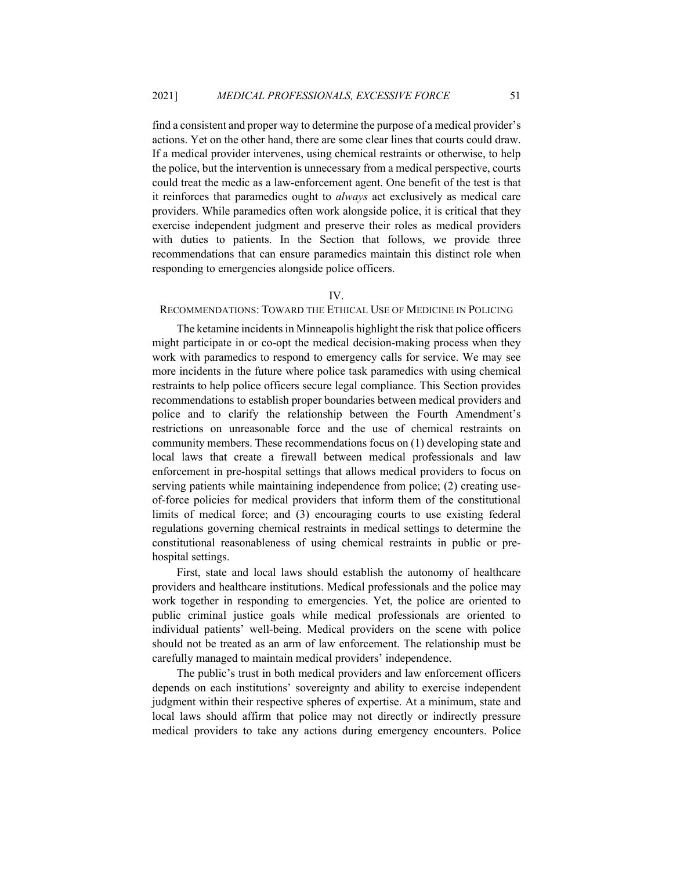find a consistent and proper way to determine the purpose of a medical provider's actions. Yet on the other hand, there are some clear lines that courts could draw. If a medical provider intervenes, using chemical restraints or otherwise, to help the police, but the intervention is unnecessary from a medical perspective, courts could treat the medic as a law-enforcement agent. One benefit of the test is that it reinforces that paramedics ought to *always* act exclusively as medical care providers. While paramedics often work alongside police, it is critical that they exercise independent judgment and preserve their roles as medical providers with duties to patients. In the Section that follows, we provide three recommendations that can ensure paramedics maintain this distinct role when responding to emergencies alongside police officers.

## IV.

## RECOMMENDATIONS: TOWARD THE ETHICAL USE OF MEDICINE IN POLICING

The ketamine incidents in Minneapolis highlight the risk that police officers might participate in or co-opt the medical decision-making process when they work with paramedics to respond to emergency calls for service. We may see more incidents in the future where police task paramedics with using chemical restraints to help police officers secure legal compliance. This Section provides recommendations to establish proper boundaries between medical providers and police and to clarify the relationship between the Fourth Amendment's restrictions on unreasonable force and the use of chemical restraints on community members. These recommendations focus on (1) developing state and local laws that create a firewall between medical professionals and law enforcement in pre-hospital settings that allows medical providers to focus on serving patients while maintaining independence from police; (2) creating useof-force policies for medical providers that inform them of the constitutional limits of medical force; and (3) encouraging courts to use existing federal regulations governing chemical restraints in medical settings to determine the constitutional reasonableness of using chemical restraints in public or prehospital settings.

First, state and local laws should establish the autonomy of healthcare providers and healthcare institutions. Medical professionals and the police may work together in responding to emergencies. Yet, the police are oriented to public criminal justice goals while medical professionals are oriented to individual patients' well-being. Medical providers on the scene with police should not be treated as an arm of law enforcement. The relationship must be carefully managed to maintain medical providers' independence.

The public's trust in both medical providers and law enforcement officers depends on each institutions' sovereignty and ability to exercise independent judgment within their respective spheres of expertise. At a minimum, state and local laws should affirm that police may not directly or indirectly pressure medical providers to take any actions during emergency encounters. Police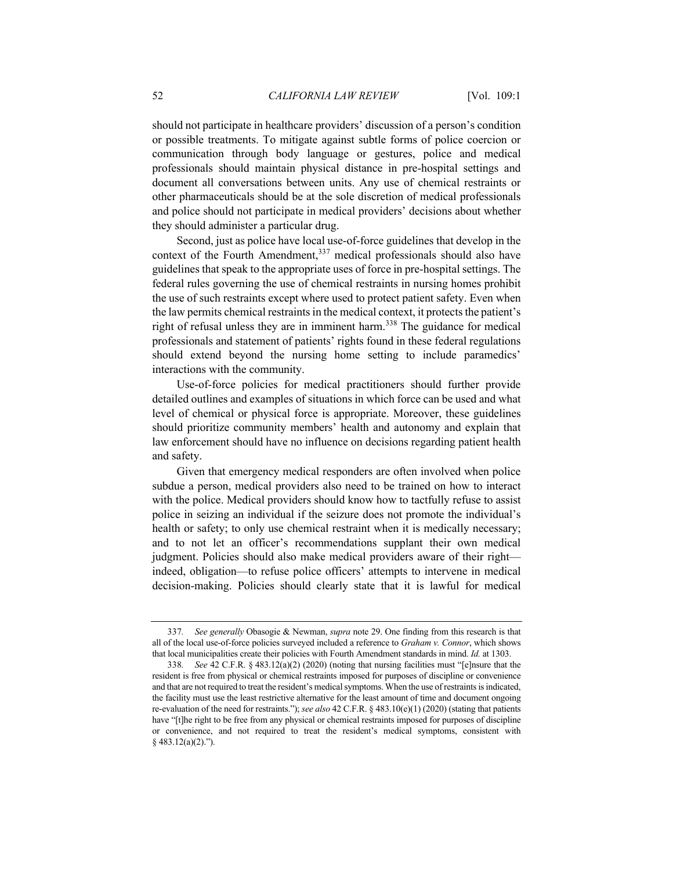should not participate in healthcare providers' discussion of a person's condition or possible treatments. To mitigate against subtle forms of police coercion or communication through body language or gestures, police and medical professionals should maintain physical distance in pre-hospital settings and document all conversations between units. Any use of chemical restraints or other pharmaceuticals should be at the sole discretion of medical professionals and police should not participate in medical providers' decisions about whether they should administer a particular drug.

Second, just as police have local use-of-force guidelines that develop in the context of the Fourth Amendment,  $337$  medical professionals should also have guidelines that speak to the appropriate uses of force in pre-hospital settings. The federal rules governing the use of chemical restraints in nursing homes prohibit the use of such restraints except where used to protect patient safety. Even when the law permits chemical restraints in the medical context, it protects the patient's right of refusal unless they are in imminent harm.<sup>338</sup> The guidance for medical professionals and statement of patients' rights found in these federal regulations should extend beyond the nursing home setting to include paramedics' interactions with the community.

Use-of-force policies for medical practitioners should further provide detailed outlines and examples of situations in which force can be used and what level of chemical or physical force is appropriate. Moreover, these guidelines should prioritize community members' health and autonomy and explain that law enforcement should have no influence on decisions regarding patient health and safety.

Given that emergency medical responders are often involved when police subdue a person, medical providers also need to be trained on how to interact with the police. Medical providers should know how to tactfully refuse to assist police in seizing an individual if the seizure does not promote the individual's health or safety; to only use chemical restraint when it is medically necessary; and to not let an officer's recommendations supplant their own medical judgment. Policies should also make medical providers aware of their right indeed, obligation—to refuse police officers' attempts to intervene in medical decision-making. Policies should clearly state that it is lawful for medical

<sup>337</sup>*. See generally* Obasogie & Newman, *supra* note 29. One finding from this research is that all of the local use-of-force policies surveyed included a reference to *Graham v. Connor*, which shows that local municipalities create their policies with Fourth Amendment standards in mind. *Id.* at 1303.

<sup>338</sup>*. See* 42 C.F.R. § 483.12(a)(2) (2020) (noting that nursing facilities must "[e]nsure that the resident is free from physical or chemical restraints imposed for purposes of discipline or convenience and that are not required to treat the resident's medical symptoms. When the use of restraints is indicated, the facility must use the least restrictive alternative for the least amount of time and document ongoing re-evaluation of the need for restraints."); *see also* 42 C.F.R. § 483.10(e)(1) (2020) (stating that patients have "[t]he right to be free from any physical or chemical restraints imposed for purposes of discipline or convenience, and not required to treat the resident's medical symptoms, consistent with § 483.12(a)(2).").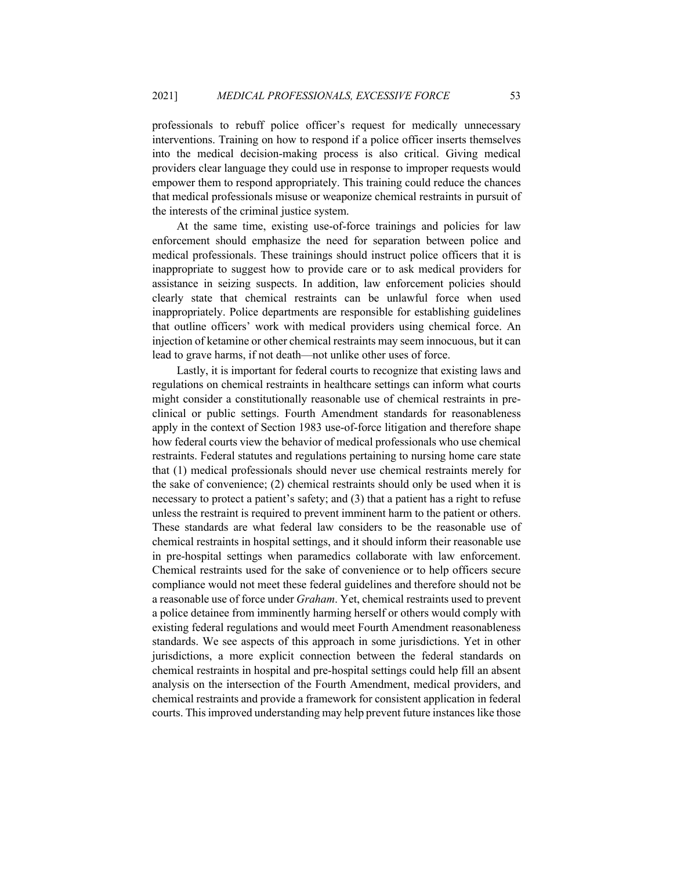professionals to rebuff police officer's request for medically unnecessary interventions. Training on how to respond if a police officer inserts themselves into the medical decision-making process is also critical. Giving medical providers clear language they could use in response to improper requests would empower them to respond appropriately. This training could reduce the chances that medical professionals misuse or weaponize chemical restraints in pursuit of the interests of the criminal justice system.

At the same time, existing use-of-force trainings and policies for law enforcement should emphasize the need for separation between police and medical professionals. These trainings should instruct police officers that it is inappropriate to suggest how to provide care or to ask medical providers for assistance in seizing suspects. In addition, law enforcement policies should clearly state that chemical restraints can be unlawful force when used inappropriately. Police departments are responsible for establishing guidelines that outline officers' work with medical providers using chemical force. An injection of ketamine or other chemical restraints may seem innocuous, but it can lead to grave harms, if not death—not unlike other uses of force.

Lastly, it is important for federal courts to recognize that existing laws and regulations on chemical restraints in healthcare settings can inform what courts might consider a constitutionally reasonable use of chemical restraints in preclinical or public settings. Fourth Amendment standards for reasonableness apply in the context of Section 1983 use-of-force litigation and therefore shape how federal courts view the behavior of medical professionals who use chemical restraints. Federal statutes and regulations pertaining to nursing home care state that (1) medical professionals should never use chemical restraints merely for the sake of convenience; (2) chemical restraints should only be used when it is necessary to protect a patient's safety; and (3) that a patient has a right to refuse unless the restraint is required to prevent imminent harm to the patient or others. These standards are what federal law considers to be the reasonable use of chemical restraints in hospital settings, and it should inform their reasonable use in pre-hospital settings when paramedics collaborate with law enforcement. Chemical restraints used for the sake of convenience or to help officers secure compliance would not meet these federal guidelines and therefore should not be a reasonable use of force under *Graham*. Yet, chemical restraints used to prevent a police detainee from imminently harming herself or others would comply with existing federal regulations and would meet Fourth Amendment reasonableness standards. We see aspects of this approach in some jurisdictions. Yet in other jurisdictions, a more explicit connection between the federal standards on chemical restraints in hospital and pre-hospital settings could help fill an absent analysis on the intersection of the Fourth Amendment, medical providers, and chemical restraints and provide a framework for consistent application in federal courts. This improved understanding may help prevent future instances like those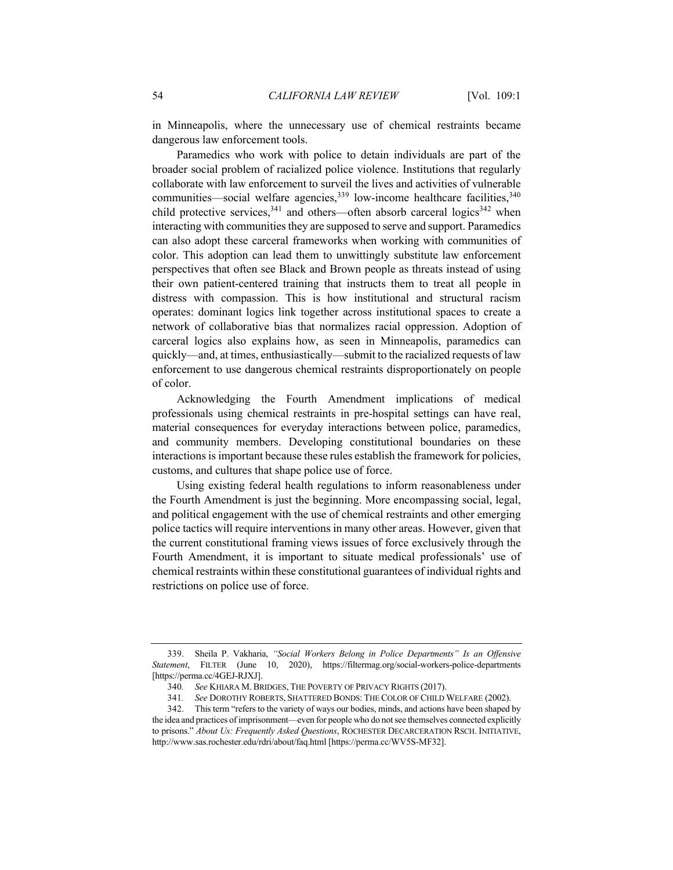in Minneapolis, where the unnecessary use of chemical restraints became dangerous law enforcement tools.

Paramedics who work with police to detain individuals are part of the broader social problem of racialized police violence. Institutions that regularly collaborate with law enforcement to surveil the lives and activities of vulnerable communities—social welfare agencies,  $339$  low-income healthcare facilities,  $340$ child protective services,  $341$  and others—often absorb carceral logics  $342$  when interacting with communities they are supposed to serve and support. Paramedics can also adopt these carceral frameworks when working with communities of color. This adoption can lead them to unwittingly substitute law enforcement perspectives that often see Black and Brown people as threats instead of using their own patient-centered training that instructs them to treat all people in distress with compassion. This is how institutional and structural racism operates: dominant logics link together across institutional spaces to create a network of collaborative bias that normalizes racial oppression. Adoption of carceral logics also explains how, as seen in Minneapolis, paramedics can quickly—and, at times, enthusiastically—submit to the racialized requests of law enforcement to use dangerous chemical restraints disproportionately on people of color.

Acknowledging the Fourth Amendment implications of medical professionals using chemical restraints in pre-hospital settings can have real, material consequences for everyday interactions between police, paramedics, and community members. Developing constitutional boundaries on these interactions is important because these rules establish the framework for policies, customs, and cultures that shape police use of force.

Using existing federal health regulations to inform reasonableness under the Fourth Amendment is just the beginning. More encompassing social, legal, and political engagement with the use of chemical restraints and other emerging police tactics will require interventions in many other areas. However, given that the current constitutional framing views issues of force exclusively through the Fourth Amendment, it is important to situate medical professionals' use of chemical restraints within these constitutional guarantees of individual rights and restrictions on police use of force.

<sup>339.</sup> Sheila P. Vakharia, *"Social Workers Belong in Police Departments" Is an Offensive Statement*, FILTER (June 10, 2020), https://filtermag.org/social-workers-police-departments [https://perma.cc/4GEJ-RJXJ].

<sup>340</sup>*. See* KHIARA M. BRIDGES, THE POVERTY OF PRIVACY RIGHTS (2017).

<sup>341</sup>*. See* DOROTHY ROBERTS, SHATTERED BONDS: THE COLOR OF CHILD WELFARE (2002).

<sup>342.</sup> This term "refers to the variety of ways our bodies, minds, and actions have been shaped by the idea and practices of imprisonment—even for people who do not see themselves connected explicitly to prisons." *About Us: Frequently Asked Questions*, ROCHESTER DECARCERATION RSCH. INITIATIVE, http://www.sas.rochester.edu/rdri/about/faq.html [https://perma.cc/WV5S-MF32].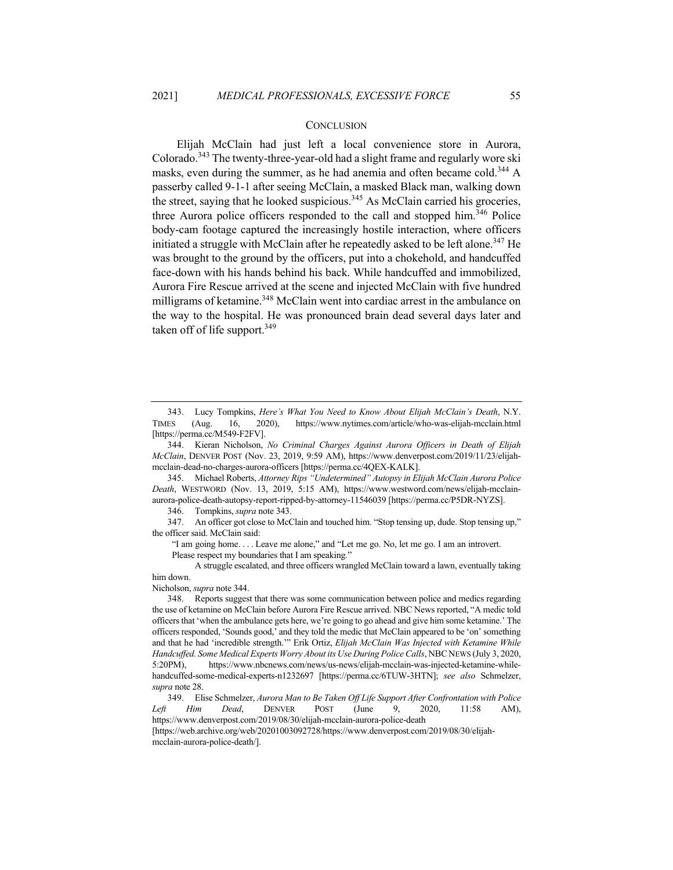### **CONCLUSION**

Elijah McClain had just left a local convenience store in Aurora, Colorado.<sup>343</sup> The twenty-three-year-old had a slight frame and regularly wore ski masks, even during the summer, as he had anemia and often became cold.<sup>344</sup> A passerby called 9-1-1 after seeing McClain, a masked Black man, walking down the street, saying that he looked suspicious.<sup>345</sup> As McClain carried his groceries, three Aurora police officers responded to the call and stopped him.<sup>346</sup> Police body-cam footage captured the increasingly hostile interaction, where officers initiated a struggle with McClain after he repeatedly asked to be left alone.<sup>347</sup> He was brought to the ground by the officers, put into a chokehold, and handcuffed face-down with his hands behind his back. While handcuffed and immobilized, Aurora Fire Rescue arrived at the scene and injected McClain with five hundred milligrams of ketamine.<sup>348</sup> McClain went into cardiac arrest in the ambulance on the way to the hospital. He was pronounced brain dead several days later and taken off of life support.  $349$ 

345. Michael Roberts, *Attorney Rips "Undetermined" Autopsy in Elijah McClain Aurora Police Death*, WESTWORD (Nov. 13, 2019, 5:15 AM), https://www.westword.com/news/elijah-mcclainaurora-police-death-autopsy-report-ripped-by-attorney-11546039 [https://perma.cc/P5DR-NYZS].

346. Tompkins, *supra* note 343.

347. An officer got close to McClain and touched him. "Stop tensing up, dude. Stop tensing up," the officer said. McClain said:

"I am going home. . . . Leave me alone," and "Let me go. No, let me go. I am an introvert. Please respect my boundaries that I am speaking."

A struggle escalated, and three officers wrangled McClain toward a lawn, eventually taking him down.

Nicholson, *supra* note 344.

[https://web.archive.org/web/20201003092728/https://www.denverpost.com/2019/08/30/elijahmcclain-aurora-police-death/].

<sup>343.</sup> Lucy Tompkins, *Here's What You Need to Know About Elijah McClain's Death*, N.Y. TIMES (Aug. 16, 2020), https://www.nytimes.com/article/who-was-elijah-mcclain.html [https://perma.cc/M549-F2FV].

<sup>344.</sup> Kieran Nicholson, *No Criminal Charges Against Aurora Officers in Death of Elijah McClain*, DENVER POST (Nov. 23, 2019, 9:59 AM), https://www.denverpost.com/2019/11/23/elijahmcclain-dead-no-charges-aurora-officers [https://perma.cc/4QEX-KALK].

<sup>348.</sup> Reports suggest that there was some communication between police and medics regarding the use of ketamine on McClain before Aurora Fire Rescue arrived. NBC News reported, "A medic told officers that 'when the ambulance gets here, we're going to go ahead and give him some ketamine.' The officers responded, 'Sounds good,' and they told the medic that McClain appeared to be 'on' something and that he had 'incredible strength.'" Erik Ortiz, *Elijah McClain Was Injected with Ketamine While Handcuffed. Some Medical Experts Worry About its Use During Police Calls*, NBCNEWS (July 3, 2020, 5:20PM), https://www.nbcnews.com/news/us-news/elijah-mcclain-was-injected-ketamine-whilehandcuffed-some-medical-experts-n1232697 [https://perma.cc/6TUW-3HTN]; *see also* Schmelzer, *supra* note 28.

<sup>349.</sup> Elise Schmelzer, *Aurora Man to Be Taken Off Life Support After Confrontation with Police Left Him Dead*, DENVER POST (June 9, 2020, 11:58 AM), https://www.denverpost.com/2019/08/30/elijah-mcclain-aurora-police-death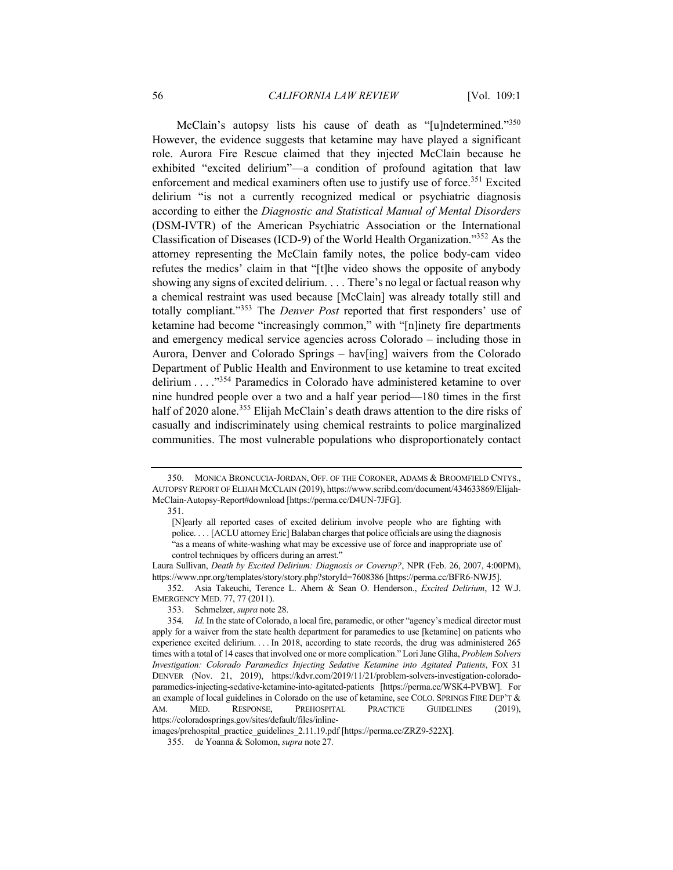McClain's autopsy lists his cause of death as "[u]ndetermined."<sup>350</sup> However, the evidence suggests that ketamine may have played a significant role. Aurora Fire Rescue claimed that they injected McClain because he exhibited "excited delirium"—a condition of profound agitation that law enforcement and medical examiners often use to justify use of force.<sup>351</sup> Excited delirium "is not a currently recognized medical or psychiatric diagnosis according to either the *Diagnostic and Statistical Manual of Mental Disorders* (DSM-IVTR) of the American Psychiatric Association or the International Classification of Diseases (ICD-9) of the World Health Organization."352 As the attorney representing the McClain family notes, the police body-cam video refutes the medics' claim in that "[t]he video shows the opposite of anybody showing any signs of excited delirium. . . . There's no legal or factual reason why a chemical restraint was used because [McClain] was already totally still and totally compliant."353 The *Denver Post* reported that first responders' use of ketamine had become "increasingly common," with "[n]inety fire departments and emergency medical service agencies across Colorado – including those in Aurora, Denver and Colorado Springs – hav[ing] waivers from the Colorado Department of Public Health and Environment to use ketamine to treat excited delirium . . . ."354 Paramedics in Colorado have administered ketamine to over nine hundred people over a two and a half year period—180 times in the first half of 2020 alone.<sup>355</sup> Elijah McClain's death draws attention to the dire risks of casually and indiscriminately using chemical restraints to police marginalized communities. The most vulnerable populations who disproportionately contact

images/prehospital\_practice\_guidelines\_2.11.19.pdf [https://perma.cc/ZRZ9-522X].

<sup>350.</sup> MONICA BRONCUCIA-JORDAN, OFF. OF THE CORONER, ADAMS & BROOMFIELD CNTYS., AUTOPSY REPORT OF ELIJAH MCCLAIN (2019), https://www.scribd.com/document/434633869/Elijah-McClain-Autopsy-Report#download [https://perma.cc/D4UN-7JFG].

<sup>351.</sup>

<sup>[</sup>N]early all reported cases of excited delirium involve people who are fighting with police. . . . [ACLU attorney Eric] Balaban charges that police officials are using the diagnosis "as a means of white-washing what may be excessive use of force and inappropriate use of control techniques by officers during an arrest."

Laura Sullivan, *Death by Excited Delirium: Diagnosis or Coverup?*, NPR (Feb. 26, 2007, 4:00PM), https://www.npr.org/templates/story/story.php?storyId=7608386 [https://perma.cc/BFR6-NWJ5].

<sup>352.</sup> Asia Takeuchi, Terence L. Ahern & Sean O. Henderson., *Excited Delirium*, 12 W.J. EMERGENCY MED. 77, 77 (2011).

<sup>353.</sup> Schmelzer, *supra* note 28.

<sup>354</sup>*. Id.* In the state of Colorado, a local fire, paramedic, or other "agency's medical director must apply for a waiver from the state health department for paramedics to use [ketamine] on patients who experience excited delirium. . . . In 2018, according to state records, the drug was administered 265 times with a total of 14 cases that involved one or more complication." Lori Jane Gliha, *Problem Solvers Investigation: Colorado Paramedics Injecting Sedative Ketamine into Agitated Patients*, FOX 31 DENVER (Nov. 21, 2019), https://kdvr.com/2019/11/21/problem-solvers-investigation-coloradoparamedics-injecting-sedative-ketamine-into-agitated-patients [https://perma.cc/WSK4-PVBW]. For an example of local guidelines in Colorado on the use of ketamine, see COLO. SPRINGS FIRE DEP'T & AM. MED. RESPONSE, PREHOSPITAL PRACTICE GUIDELINES (2019), https://coloradosprings.gov/sites/default/files/inline-

<sup>355.</sup> de Yoanna & Solomon, *supra* note 27.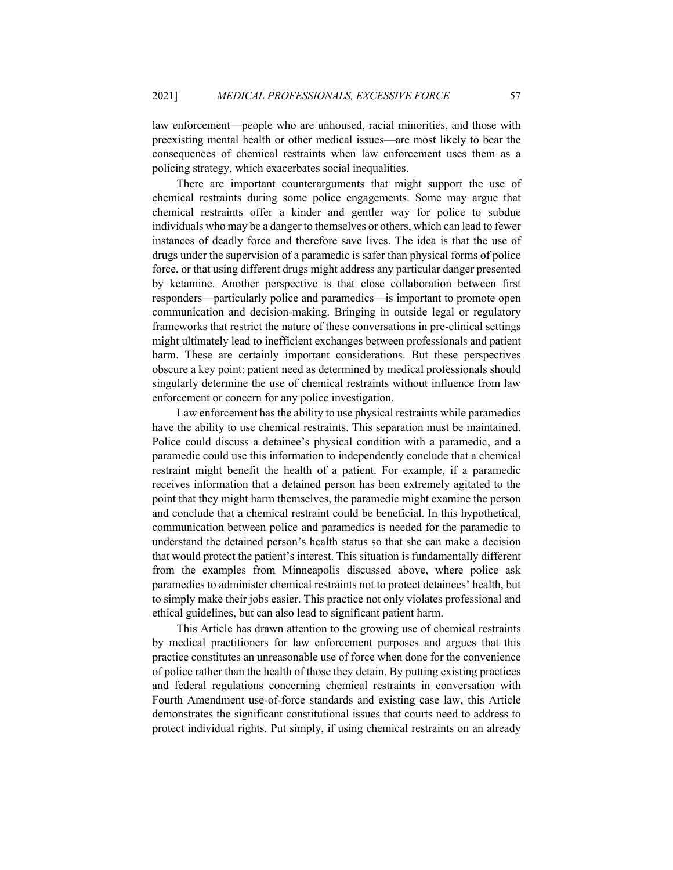law enforcement—people who are unhoused, racial minorities, and those with preexisting mental health or other medical issues—are most likely to bear the consequences of chemical restraints when law enforcement uses them as a policing strategy, which exacerbates social inequalities.

There are important counterarguments that might support the use of chemical restraints during some police engagements. Some may argue that chemical restraints offer a kinder and gentler way for police to subdue individuals who may be a danger to themselves or others, which can lead to fewer instances of deadly force and therefore save lives. The idea is that the use of drugs under the supervision of a paramedic is safer than physical forms of police force, or that using different drugs might address any particular danger presented by ketamine. Another perspective is that close collaboration between first responders—particularly police and paramedics—is important to promote open communication and decision-making. Bringing in outside legal or regulatory frameworks that restrict the nature of these conversations in pre-clinical settings might ultimately lead to inefficient exchanges between professionals and patient harm. These are certainly important considerations. But these perspectives obscure a key point: patient need as determined by medical professionals should singularly determine the use of chemical restraints without influence from law enforcement or concern for any police investigation.

Law enforcement has the ability to use physical restraints while paramedics have the ability to use chemical restraints. This separation must be maintained. Police could discuss a detainee's physical condition with a paramedic, and a paramedic could use this information to independently conclude that a chemical restraint might benefit the health of a patient. For example, if a paramedic receives information that a detained person has been extremely agitated to the point that they might harm themselves, the paramedic might examine the person and conclude that a chemical restraint could be beneficial. In this hypothetical, communication between police and paramedics is needed for the paramedic to understand the detained person's health status so that she can make a decision that would protect the patient's interest. This situation is fundamentally different from the examples from Minneapolis discussed above, where police ask paramedics to administer chemical restraints not to protect detainees' health, but to simply make their jobs easier. This practice not only violates professional and ethical guidelines, but can also lead to significant patient harm.

This Article has drawn attention to the growing use of chemical restraints by medical practitioners for law enforcement purposes and argues that this practice constitutes an unreasonable use of force when done for the convenience of police rather than the health of those they detain. By putting existing practices and federal regulations concerning chemical restraints in conversation with Fourth Amendment use-of-force standards and existing case law, this Article demonstrates the significant constitutional issues that courts need to address to protect individual rights. Put simply, if using chemical restraints on an already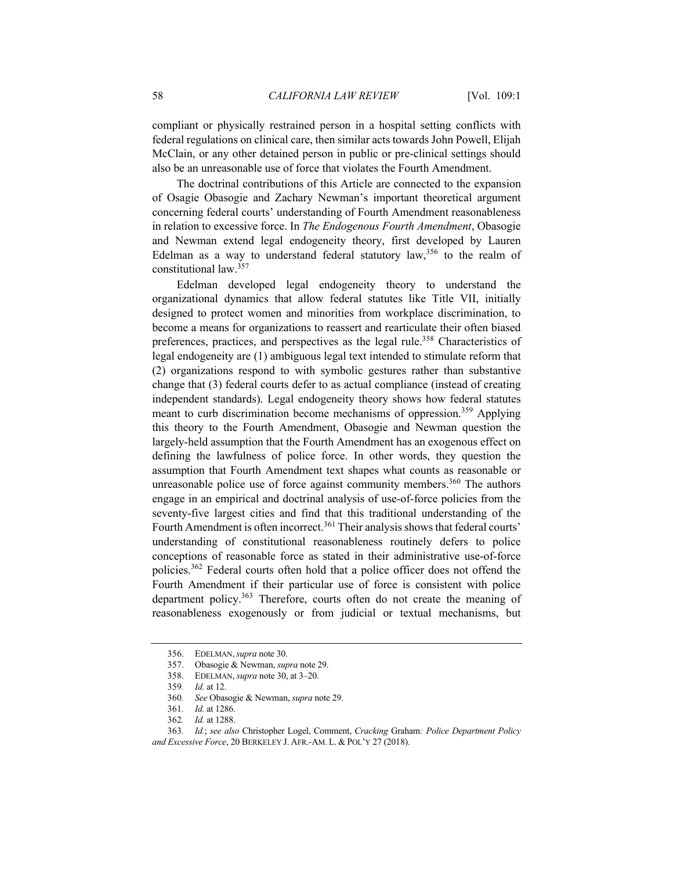compliant or physically restrained person in a hospital setting conflicts with federal regulations on clinical care, then similar acts towards John Powell, Elijah McClain, or any other detained person in public or pre-clinical settings should also be an unreasonable use of force that violates the Fourth Amendment.

The doctrinal contributions of this Article are connected to the expansion of Osagie Obasogie and Zachary Newman's important theoretical argument concerning federal courts' understanding of Fourth Amendment reasonableness in relation to excessive force. In *The Endogenous Fourth Amendment*, Obasogie and Newman extend legal endogeneity theory, first developed by Lauren Edelman as a way to understand federal statutory  $law<sub>356</sub>$  to the realm of constitutional law.357

Edelman developed legal endogeneity theory to understand the organizational dynamics that allow federal statutes like Title VII, initially designed to protect women and minorities from workplace discrimination, to become a means for organizations to reassert and rearticulate their often biased preferences, practices, and perspectives as the legal rule.<sup>358</sup> Characteristics of legal endogeneity are (1) ambiguous legal text intended to stimulate reform that (2) organizations respond to with symbolic gestures rather than substantive change that (3) federal courts defer to as actual compliance (instead of creating independent standards). Legal endogeneity theory shows how federal statutes meant to curb discrimination become mechanisms of oppression.<sup>359</sup> Applying this theory to the Fourth Amendment, Obasogie and Newman question the largely-held assumption that the Fourth Amendment has an exogenous effect on defining the lawfulness of police force. In other words, they question the assumption that Fourth Amendment text shapes what counts as reasonable or unreasonable police use of force against community members.<sup>360</sup> The authors engage in an empirical and doctrinal analysis of use-of-force policies from the seventy-five largest cities and find that this traditional understanding of the Fourth Amendment is often incorrect.<sup>361</sup> Their analysis shows that federal courts' understanding of constitutional reasonableness routinely defers to police conceptions of reasonable force as stated in their administrative use-of-force policies.<sup>362</sup> Federal courts often hold that a police officer does not offend the Fourth Amendment if their particular use of force is consistent with police department policy.<sup>363</sup> Therefore, courts often do not create the meaning of reasonableness exogenously or from judicial or textual mechanisms, but

<sup>356.</sup> EDELMAN,*supra* note 30.

<sup>357.</sup> Obasogie & Newman, *supra* note 29.

<sup>358.</sup> EDELMAN, *supra* note 30, at 3–20.

<sup>359</sup>*. Id.* at 12.

<sup>360</sup>*. See* Obasogie & Newman, *supra* note 29.

<sup>361</sup>*. Id.* at 1286.

<sup>362</sup>*. Id.* at 1288.

<sup>363</sup>*. Id.*; *see also* Christopher Logel, Comment, *Cracking* Graham*: Police Department Policy and Excessive Force*, 20 BERKELEY J. AFR.-AM. L. & POL'Y 27 (2018).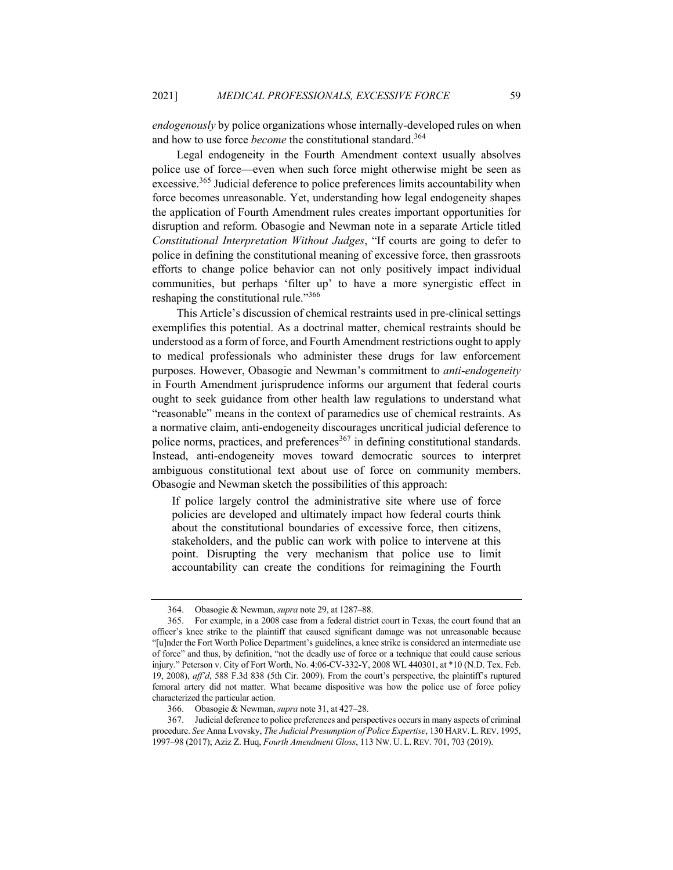*endogenously* by police organizations whose internally-developed rules on when and how to use force *become* the constitutional standard.<sup>364</sup>

Legal endogeneity in the Fourth Amendment context usually absolves police use of force—even when such force might otherwise might be seen as excessive.<sup>365</sup> Judicial deference to police preferences limits accountability when force becomes unreasonable. Yet, understanding how legal endogeneity shapes the application of Fourth Amendment rules creates important opportunities for disruption and reform. Obasogie and Newman note in a separate Article titled *Constitutional Interpretation Without Judges*, "If courts are going to defer to police in defining the constitutional meaning of excessive force, then grassroots efforts to change police behavior can not only positively impact individual communities, but perhaps 'filter up' to have a more synergistic effect in reshaping the constitutional rule."366

This Article's discussion of chemical restraints used in pre-clinical settings exemplifies this potential. As a doctrinal matter, chemical restraints should be understood as a form of force, and Fourth Amendment restrictions ought to apply to medical professionals who administer these drugs for law enforcement purposes. However, Obasogie and Newman's commitment to *anti-endogeneity* in Fourth Amendment jurisprudence informs our argument that federal courts ought to seek guidance from other health law regulations to understand what "reasonable" means in the context of paramedics use of chemical restraints. As a normative claim, anti-endogeneity discourages uncritical judicial deference to police norms, practices, and preferences<sup>367</sup> in defining constitutional standards. Instead, anti-endogeneity moves toward democratic sources to interpret ambiguous constitutional text about use of force on community members. Obasogie and Newman sketch the possibilities of this approach:

If police largely control the administrative site where use of force policies are developed and ultimately impact how federal courts think about the constitutional boundaries of excessive force, then citizens, stakeholders, and the public can work with police to intervene at this point. Disrupting the very mechanism that police use to limit accountability can create the conditions for reimagining the Fourth

<sup>364.</sup> Obasogie & Newman, *supra* note 29, at 1287–88.

<sup>365.</sup> For example, in a 2008 case from a federal district court in Texas, the court found that an officer's knee strike to the plaintiff that caused significant damage was not unreasonable because "[u]nder the Fort Worth Police Department's guidelines, a knee strike is considered an intermediate use of force" and thus, by definition, "not the deadly use of force or a technique that could cause serious injury." Peterson v. City of Fort Worth, No. 4:06-CV-332-Y, 2008 WL 440301, at \*10 (N.D. Tex. Feb. 19, 2008), *aff'd*, 588 F.3d 838 (5th Cir. 2009). From the court's perspective, the plaintiff's ruptured femoral artery did not matter. What became dispositive was how the police use of force policy characterized the particular action.

<sup>366.</sup> Obasogie & Newman, *supra* note 31, at 427–28.

<sup>367.</sup> Judicial deference to police preferences and perspectives occurs in many aspects of criminal procedure. *See* Anna Lvovsky, *The Judicial Presumption of Police Expertise*, 130 HARV. L.REV. 1995, 1997–98 (2017); Aziz Z. Huq, *Fourth Amendment Gloss*, 113 NW. U. L. REV. 701, 703 (2019).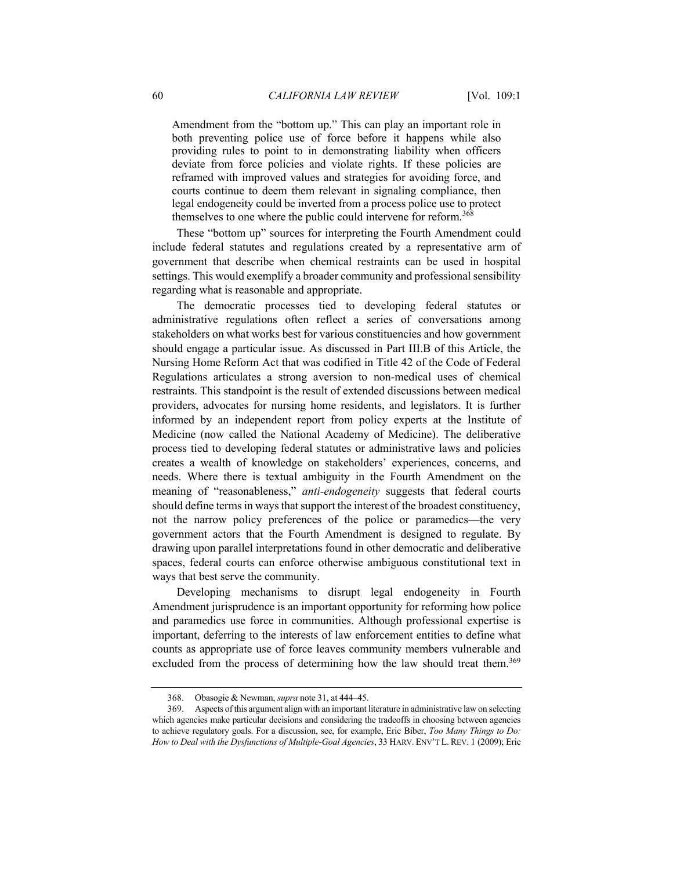Amendment from the "bottom up." This can play an important role in both preventing police use of force before it happens while also providing rules to point to in demonstrating liability when officers deviate from force policies and violate rights. If these policies are reframed with improved values and strategies for avoiding force, and courts continue to deem them relevant in signaling compliance, then legal endogeneity could be inverted from a process police use to protect themselves to one where the public could intervene for reform.<sup>368</sup>

These "bottom up" sources for interpreting the Fourth Amendment could include federal statutes and regulations created by a representative arm of government that describe when chemical restraints can be used in hospital settings. This would exemplify a broader community and professional sensibility regarding what is reasonable and appropriate.

The democratic processes tied to developing federal statutes or administrative regulations often reflect a series of conversations among stakeholders on what works best for various constituencies and how government should engage a particular issue. As discussed in Part III.B of this Article, the Nursing Home Reform Act that was codified in Title 42 of the Code of Federal Regulations articulates a strong aversion to non-medical uses of chemical restraints. This standpoint is the result of extended discussions between medical providers, advocates for nursing home residents, and legislators. It is further informed by an independent report from policy experts at the Institute of Medicine (now called the National Academy of Medicine). The deliberative process tied to developing federal statutes or administrative laws and policies creates a wealth of knowledge on stakeholders' experiences, concerns, and needs. Where there is textual ambiguity in the Fourth Amendment on the meaning of "reasonableness," *anti-endogeneity* suggests that federal courts should define terms in ways that support the interest of the broadest constituency, not the narrow policy preferences of the police or paramedics—the very government actors that the Fourth Amendment is designed to regulate. By drawing upon parallel interpretations found in other democratic and deliberative spaces, federal courts can enforce otherwise ambiguous constitutional text in ways that best serve the community.

Developing mechanisms to disrupt legal endogeneity in Fourth Amendment jurisprudence is an important opportunity for reforming how police and paramedics use force in communities. Although professional expertise is important, deferring to the interests of law enforcement entities to define what counts as appropriate use of force leaves community members vulnerable and excluded from the process of determining how the law should treat them.<sup>369</sup>

<sup>368.</sup> Obasogie & Newman, *supra* note 31, at 444–45.

<sup>369.</sup> Aspects of this argument align with an important literature in administrative law on selecting which agencies make particular decisions and considering the tradeoffs in choosing between agencies to achieve regulatory goals. For a discussion, see, for example, Eric Biber, *Too Many Things to Do: How to Deal with the Dysfunctions of Multiple-Goal Agencies*, 33 HARV. ENV'T L. REV. 1 (2009); Eric